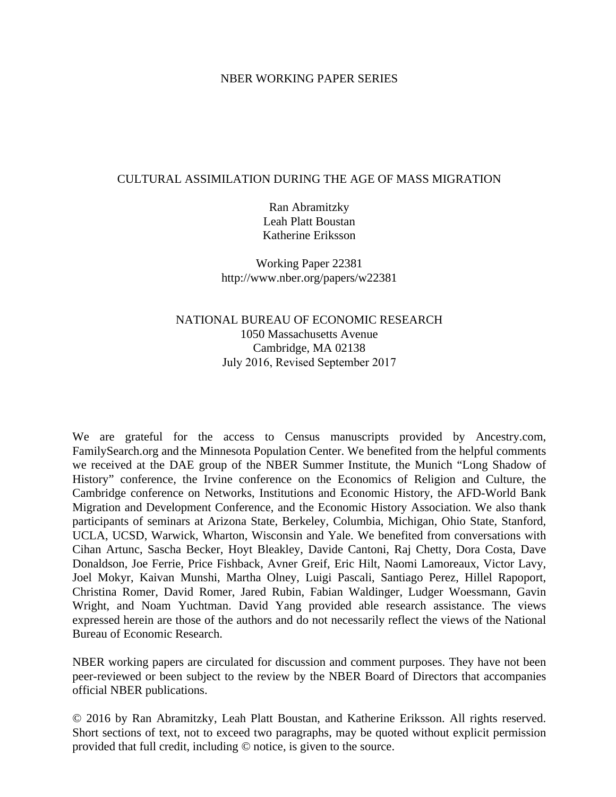### NBER WORKING PAPER SERIES

### CULTURAL ASSIMILATION DURING THE AGE OF MASS MIGRATION

Ran Abramitzky Leah Platt Boustan Katherine Eriksson

Working Paper 22381 http://www.nber.org/papers/w22381

# NATIONAL BUREAU OF ECONOMIC RESEARCH 1050 Massachusetts Avenue Cambridge, MA 02138 July 2016, Revised September 2017

We are grateful for the access to Census manuscripts provided by Ancestry.com, FamilySearch.org and the Minnesota Population Center. We benefited from the helpful comments we received at the DAE group of the NBER Summer Institute, the Munich "Long Shadow of History" conference, the Irvine conference on the Economics of Religion and Culture, the Cambridge conference on Networks, Institutions and Economic History, the AFD-World Bank Migration and Development Conference, and the Economic History Association. We also thank participants of seminars at Arizona State, Berkeley, Columbia, Michigan, Ohio State, Stanford, UCLA, UCSD, Warwick, Wharton, Wisconsin and Yale. We benefited from conversations with Cihan Artunc, Sascha Becker, Hoyt Bleakley, Davide Cantoni, Raj Chetty, Dora Costa, Dave Donaldson, Joe Ferrie, Price Fishback, Avner Greif, Eric Hilt, Naomi Lamoreaux, Victor Lavy, Joel Mokyr, Kaivan Munshi, Martha Olney, Luigi Pascali, Santiago Perez, Hillel Rapoport, Christina Romer, David Romer, Jared Rubin, Fabian Waldinger, Ludger Woessmann, Gavin Wright, and Noam Yuchtman. David Yang provided able research assistance. The views expressed herein are those of the authors and do not necessarily reflect the views of the National Bureau of Economic Research.

NBER working papers are circulated for discussion and comment purposes. They have not been peer-reviewed or been subject to the review by the NBER Board of Directors that accompanies official NBER publications.

© 2016 by Ran Abramitzky, Leah Platt Boustan, and Katherine Eriksson. All rights reserved. Short sections of text, not to exceed two paragraphs, may be quoted without explicit permission provided that full credit, including © notice, is given to the source.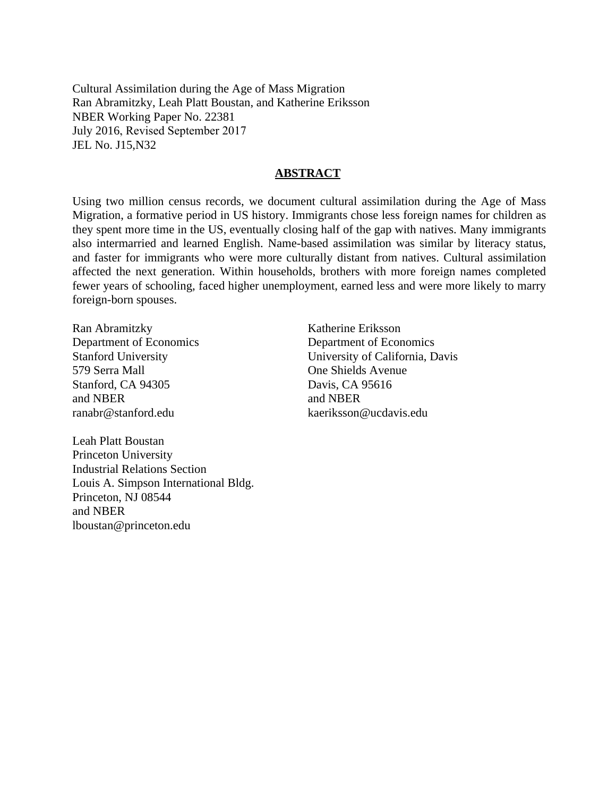Cultural Assimilation during the Age of Mass Migration Ran Abramitzky, Leah Platt Boustan, and Katherine Eriksson NBER Working Paper No. 22381 July 2016, Revised September 2017 JEL No. J15,N32

### **ABSTRACT**

Using two million census records, we document cultural assimilation during the Age of Mass Migration, a formative period in US history. Immigrants chose less foreign names for children as they spent more time in the US, eventually closing half of the gap with natives. Many immigrants also intermarried and learned English. Name-based assimilation was similar by literacy status, and faster for immigrants who were more culturally distant from natives. Cultural assimilation affected the next generation. Within households, brothers with more foreign names completed fewer years of schooling, faced higher unemployment, earned less and were more likely to marry foreign-born spouses.

Ran Abramitzky Department of Economics Stanford University 579 Serra Mall Stanford, CA 94305 and NBER ranabr@stanford.edu

Katherine Eriksson Department of Economics University of California, Davis One Shields Avenue Davis, CA 95616 and NBER kaeriksson@ucdavis.edu

Leah Platt Boustan Princeton University Industrial Relations Section Louis A. Simpson International Bldg. Princeton, NJ 08544 and NBER lboustan@princeton.edu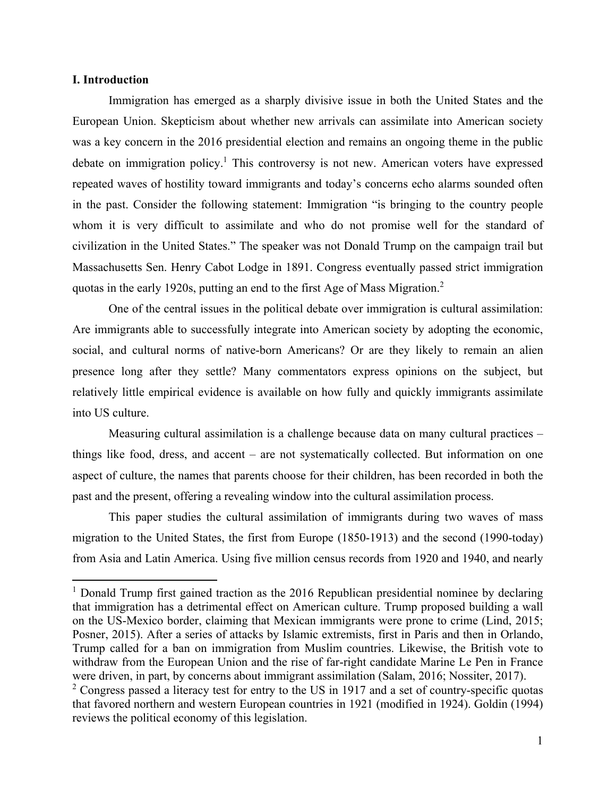### **I. Introduction**

Immigration has emerged as a sharply divisive issue in both the United States and the European Union. Skepticism about whether new arrivals can assimilate into American society was a key concern in the 2016 presidential election and remains an ongoing theme in the public debate on immigration policy.<sup>1</sup> This controversy is not new. American voters have expressed repeated waves of hostility toward immigrants and today's concerns echo alarms sounded often in the past. Consider the following statement: Immigration "is bringing to the country people whom it is very difficult to assimilate and who do not promise well for the standard of civilization in the United States." The speaker was not Donald Trump on the campaign trail but Massachusetts Sen. Henry Cabot Lodge in 1891. Congress eventually passed strict immigration quotas in the early 1920s, putting an end to the first Age of Mass Migration.<sup>2</sup>

One of the central issues in the political debate over immigration is cultural assimilation: Are immigrants able to successfully integrate into American society by adopting the economic, social, and cultural norms of native-born Americans? Or are they likely to remain an alien presence long after they settle? Many commentators express opinions on the subject, but relatively little empirical evidence is available on how fully and quickly immigrants assimilate into US culture.

Measuring cultural assimilation is a challenge because data on many cultural practices – things like food, dress, and accent – are not systematically collected. But information on one aspect of culture, the names that parents choose for their children, has been recorded in both the past and the present, offering a revealing window into the cultural assimilation process.

This paper studies the cultural assimilation of immigrants during two waves of mass migration to the United States, the first from Europe (1850-1913) and the second (1990-today) from Asia and Latin America. Using five million census records from 1920 and 1940, and nearly

<sup>&</sup>lt;sup>1</sup> Donald Trump first gained traction as the 2016 Republican presidential nominee by declaring that immigration has a detrimental effect on American culture. Trump proposed building a wall on the US-Mexico border, claiming that Mexican immigrants were prone to crime (Lind, 2015; Posner, 2015). After a series of attacks by Islamic extremists, first in Paris and then in Orlando, Trump called for a ban on immigration from Muslim countries. Likewise, the British vote to withdraw from the European Union and the rise of far-right candidate Marine Le Pen in France were driven, in part, by concerns about immigrant assimilation (Salam, 2016; Nossiter, 2017).

 $2$  Congress passed a literacy test for entry to the US in 1917 and a set of country-specific quotas that favored northern and western European countries in 1921 (modified in 1924). Goldin (1994) reviews the political economy of this legislation.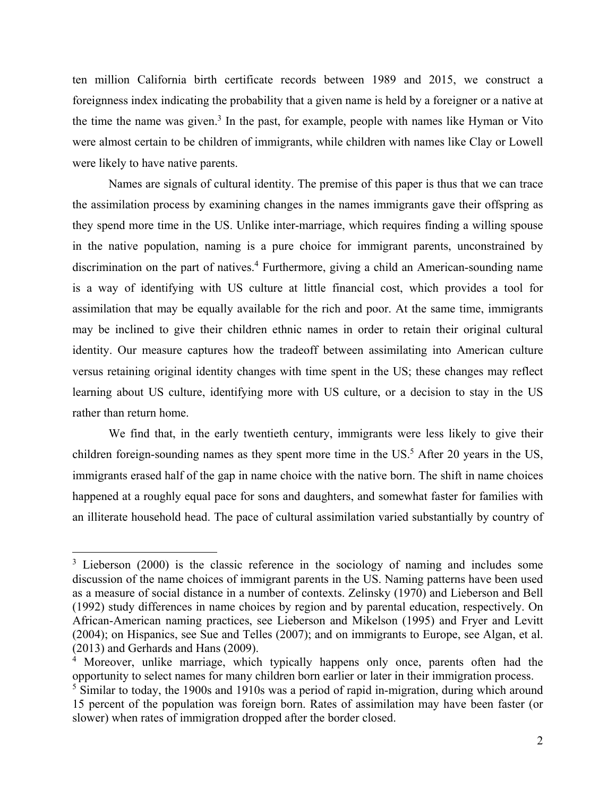ten million California birth certificate records between 1989 and 2015, we construct a foreignness index indicating the probability that a given name is held by a foreigner or a native at the time the name was given.<sup>3</sup> In the past, for example, people with names like Hyman or Vito were almost certain to be children of immigrants, while children with names like Clay or Lowell were likely to have native parents.

Names are signals of cultural identity. The premise of this paper is thus that we can trace the assimilation process by examining changes in the names immigrants gave their offspring as they spend more time in the US. Unlike inter-marriage, which requires finding a willing spouse in the native population, naming is a pure choice for immigrant parents, unconstrained by discrimination on the part of natives.<sup>4</sup> Furthermore, giving a child an American-sounding name is a way of identifying with US culture at little financial cost, which provides a tool for assimilation that may be equally available for the rich and poor. At the same time, immigrants may be inclined to give their children ethnic names in order to retain their original cultural identity. Our measure captures how the tradeoff between assimilating into American culture versus retaining original identity changes with time spent in the US; these changes may reflect learning about US culture, identifying more with US culture, or a decision to stay in the US rather than return home.

We find that, in the early twentieth century, immigrants were less likely to give their children foreign-sounding names as they spent more time in the US.<sup>5</sup> After 20 years in the US, immigrants erased half of the gap in name choice with the native born. The shift in name choices happened at a roughly equal pace for sons and daughters, and somewhat faster for families with an illiterate household head. The pace of cultural assimilation varied substantially by country of

 $3$  Lieberson (2000) is the classic reference in the sociology of naming and includes some discussion of the name choices of immigrant parents in the US. Naming patterns have been used as a measure of social distance in a number of contexts. Zelinsky (1970) and Lieberson and Bell (1992) study differences in name choices by region and by parental education, respectively. On African-American naming practices, see Lieberson and Mikelson (1995) and Fryer and Levitt (2004); on Hispanics, see Sue and Telles (2007); and on immigrants to Europe, see Algan, et al. (2013) and Gerhards and Hans (2009).

<sup>&</sup>lt;sup>4</sup> Moreover, unlike marriage, which typically happens only once, parents often had the opportunity to select names for many children born earlier or later in their immigration process.

<sup>&</sup>lt;sup>5</sup> Similar to today, the 1900s and 1910s was a period of rapid in-migration, during which around 15 percent of the population was foreign born. Rates of assimilation may have been faster (or slower) when rates of immigration dropped after the border closed.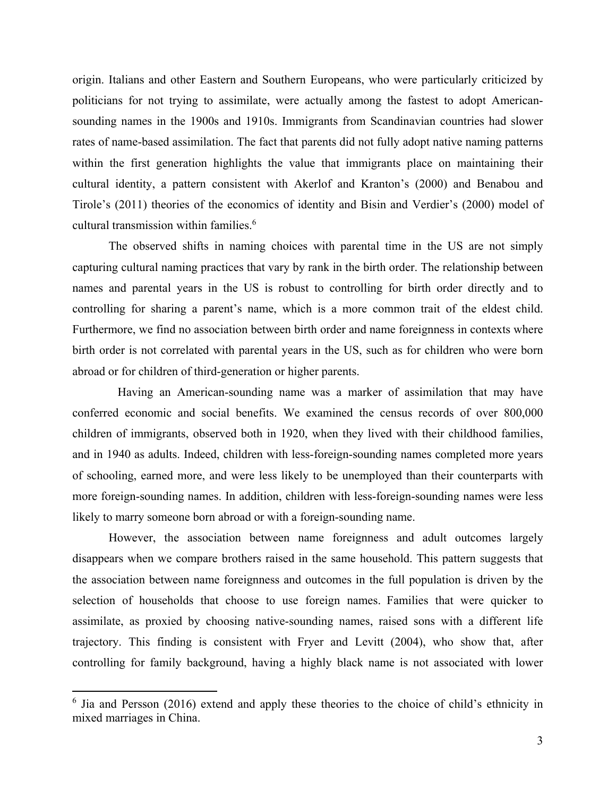origin. Italians and other Eastern and Southern Europeans, who were particularly criticized by politicians for not trying to assimilate, were actually among the fastest to adopt Americansounding names in the 1900s and 1910s. Immigrants from Scandinavian countries had slower rates of name-based assimilation. The fact that parents did not fully adopt native naming patterns within the first generation highlights the value that immigrants place on maintaining their cultural identity, a pattern consistent with Akerlof and Kranton's (2000) and Benabou and Tirole's (2011) theories of the economics of identity and Bisin and Verdier's (2000) model of cultural transmission within families.<sup>6</sup>

The observed shifts in naming choices with parental time in the US are not simply capturing cultural naming practices that vary by rank in the birth order. The relationship between names and parental years in the US is robust to controlling for birth order directly and to controlling for sharing a parent's name, which is a more common trait of the eldest child. Furthermore, we find no association between birth order and name foreignness in contexts where birth order is not correlated with parental years in the US, such as for children who were born abroad or for children of third-generation or higher parents.

 Having an American-sounding name was a marker of assimilation that may have conferred economic and social benefits. We examined the census records of over 800,000 children of immigrants, observed both in 1920, when they lived with their childhood families, and in 1940 as adults. Indeed, children with less-foreign-sounding names completed more years of schooling, earned more, and were less likely to be unemployed than their counterparts with more foreign-sounding names. In addition, children with less-foreign-sounding names were less likely to marry someone born abroad or with a foreign-sounding name.

However, the association between name foreignness and adult outcomes largely disappears when we compare brothers raised in the same household. This pattern suggests that the association between name foreignness and outcomes in the full population is driven by the selection of households that choose to use foreign names. Families that were quicker to assimilate, as proxied by choosing native-sounding names, raised sons with a different life trajectory. This finding is consistent with Fryer and Levitt (2004), who show that, after controlling for family background, having a highly black name is not associated with lower

<sup>&</sup>lt;sup>6</sup> Jia and Persson (2016) extend and apply these theories to the choice of child's ethnicity in mixed marriages in China.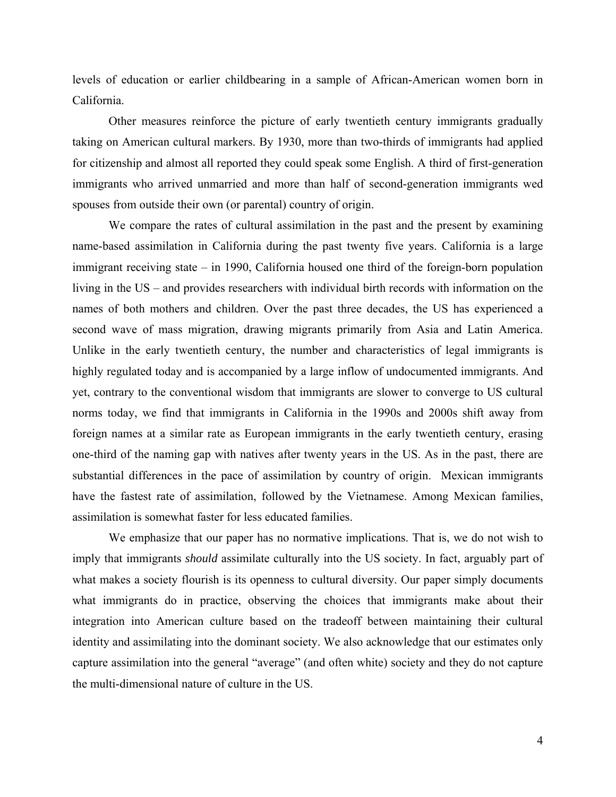levels of education or earlier childbearing in a sample of African-American women born in California.

Other measures reinforce the picture of early twentieth century immigrants gradually taking on American cultural markers. By 1930, more than two-thirds of immigrants had applied for citizenship and almost all reported they could speak some English. A third of first-generation immigrants who arrived unmarried and more than half of second-generation immigrants wed spouses from outside their own (or parental) country of origin.

We compare the rates of cultural assimilation in the past and the present by examining name-based assimilation in California during the past twenty five years. California is a large immigrant receiving state – in 1990, California housed one third of the foreign-born population living in the US – and provides researchers with individual birth records with information on the names of both mothers and children. Over the past three decades, the US has experienced a second wave of mass migration, drawing migrants primarily from Asia and Latin America. Unlike in the early twentieth century, the number and characteristics of legal immigrants is highly regulated today and is accompanied by a large inflow of undocumented immigrants. And yet, contrary to the conventional wisdom that immigrants are slower to converge to US cultural norms today, we find that immigrants in California in the 1990s and 2000s shift away from foreign names at a similar rate as European immigrants in the early twentieth century, erasing one-third of the naming gap with natives after twenty years in the US. As in the past, there are substantial differences in the pace of assimilation by country of origin. Mexican immigrants have the fastest rate of assimilation, followed by the Vietnamese. Among Mexican families, assimilation is somewhat faster for less educated families.

We emphasize that our paper has no normative implications. That is, we do not wish to imply that immigrants *should* assimilate culturally into the US society. In fact, arguably part of what makes a society flourish is its openness to cultural diversity. Our paper simply documents what immigrants do in practice, observing the choices that immigrants make about their integration into American culture based on the tradeoff between maintaining their cultural identity and assimilating into the dominant society. We also acknowledge that our estimates only capture assimilation into the general "average" (and often white) society and they do not capture the multi-dimensional nature of culture in the US.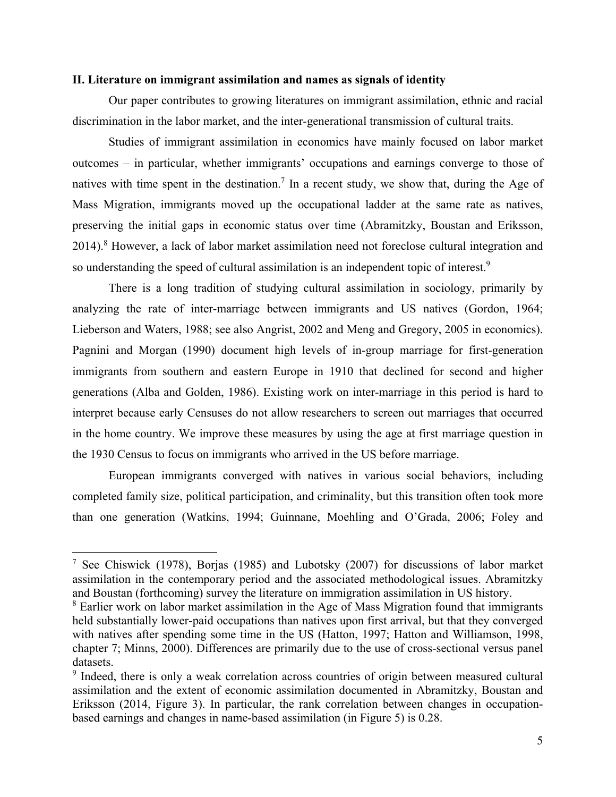### **II. Literature on immigrant assimilation and names as signals of identity**

Our paper contributes to growing literatures on immigrant assimilation, ethnic and racial discrimination in the labor market, and the inter-generational transmission of cultural traits.

Studies of immigrant assimilation in economics have mainly focused on labor market outcomes – in particular, whether immigrants' occupations and earnings converge to those of natives with time spent in the destination.<sup>7</sup> In a recent study, we show that, during the Age of Mass Migration, immigrants moved up the occupational ladder at the same rate as natives, preserving the initial gaps in economic status over time (Abramitzky, Boustan and Eriksson, 2014).<sup>8</sup> However, a lack of labor market assimilation need not foreclose cultural integration and so understanding the speed of cultural assimilation is an independent topic of interest.<sup>9</sup>

There is a long tradition of studying cultural assimilation in sociology, primarily by analyzing the rate of inter-marriage between immigrants and US natives (Gordon, 1964; Lieberson and Waters, 1988; see also Angrist, 2002 and Meng and Gregory, 2005 in economics). Pagnini and Morgan (1990) document high levels of in-group marriage for first-generation immigrants from southern and eastern Europe in 1910 that declined for second and higher generations (Alba and Golden, 1986). Existing work on inter-marriage in this period is hard to interpret because early Censuses do not allow researchers to screen out marriages that occurred in the home country. We improve these measures by using the age at first marriage question in the 1930 Census to focus on immigrants who arrived in the US before marriage.

European immigrants converged with natives in various social behaviors, including completed family size, political participation, and criminality, but this transition often took more than one generation (Watkins, 1994; Guinnane, Moehling and O'Grada, 2006; Foley and

<sup>&</sup>lt;sup>7</sup> See Chiswick (1978), Borjas (1985) and Lubotsky (2007) for discussions of labor market assimilation in the contemporary period and the associated methodological issues. Abramitzky and Boustan (forthcoming) survey the literature on immigration assimilation in US history.

<sup>&</sup>lt;sup>8</sup> Earlier work on labor market assimilation in the Age of Mass Migration found that immigrants held substantially lower-paid occupations than natives upon first arrival, but that they converged with natives after spending some time in the US (Hatton, 1997; Hatton and Williamson, 1998, chapter 7; Minns, 2000). Differences are primarily due to the use of cross-sectional versus panel datasets.

<sup>&</sup>lt;sup>9</sup> Indeed, there is only a weak correlation across countries of origin between measured cultural assimilation and the extent of economic assimilation documented in Abramitzky, Boustan and Eriksson (2014, Figure 3). In particular, the rank correlation between changes in occupationbased earnings and changes in name-based assimilation (in Figure 5) is 0.28.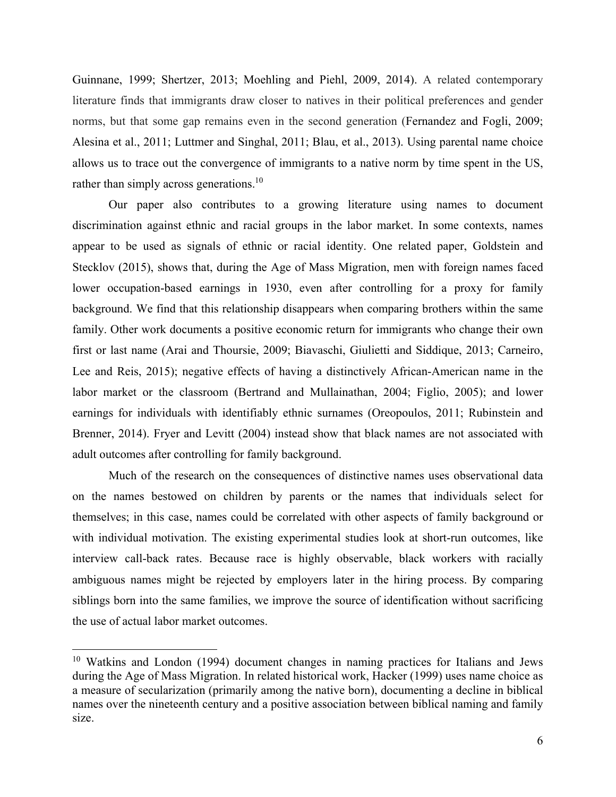Guinnane, 1999; Shertzer, 2013; Moehling and Piehl, 2009, 2014). A related contemporary literature finds that immigrants draw closer to natives in their political preferences and gender norms, but that some gap remains even in the second generation (Fernandez and Fogli, 2009; Alesina et al., 2011; Luttmer and Singhal, 2011; Blau, et al., 2013). Using parental name choice allows us to trace out the convergence of immigrants to a native norm by time spent in the US, rather than simply across generations.<sup>10</sup>

Our paper also contributes to a growing literature using names to document discrimination against ethnic and racial groups in the labor market. In some contexts, names appear to be used as signals of ethnic or racial identity. One related paper, Goldstein and Stecklov (2015), shows that, during the Age of Mass Migration, men with foreign names faced lower occupation-based earnings in 1930, even after controlling for a proxy for family background. We find that this relationship disappears when comparing brothers within the same family. Other work documents a positive economic return for immigrants who change their own first or last name (Arai and Thoursie, 2009; Biavaschi, Giulietti and Siddique, 2013; Carneiro, Lee and Reis, 2015); negative effects of having a distinctively African-American name in the labor market or the classroom (Bertrand and Mullainathan, 2004; Figlio, 2005); and lower earnings for individuals with identifiably ethnic surnames (Oreopoulos, 2011; Rubinstein and Brenner, 2014). Fryer and Levitt (2004) instead show that black names are not associated with adult outcomes after controlling for family background.

Much of the research on the consequences of distinctive names uses observational data on the names bestowed on children by parents or the names that individuals select for themselves; in this case, names could be correlated with other aspects of family background or with individual motivation. The existing experimental studies look at short-run outcomes, like interview call-back rates. Because race is highly observable, black workers with racially ambiguous names might be rejected by employers later in the hiring process. By comparing siblings born into the same families, we improve the source of identification without sacrificing the use of actual labor market outcomes.

<sup>&</sup>lt;sup>10</sup> Watkins and London (1994) document changes in naming practices for Italians and Jews during the Age of Mass Migration. In related historical work, Hacker (1999) uses name choice as a measure of secularization (primarily among the native born), documenting a decline in biblical names over the nineteenth century and a positive association between biblical naming and family size.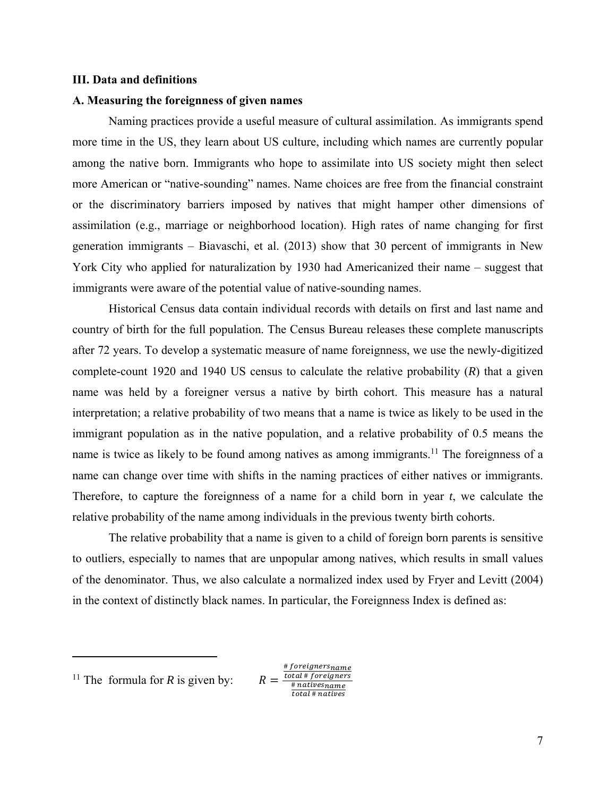#### **III. Data and definitions**

#### **A. Measuring the foreignness of given names**

Naming practices provide a useful measure of cultural assimilation. As immigrants spend more time in the US, they learn about US culture, including which names are currently popular among the native born. Immigrants who hope to assimilate into US society might then select more American or "native-sounding" names. Name choices are free from the financial constraint or the discriminatory barriers imposed by natives that might hamper other dimensions of assimilation (e.g., marriage or neighborhood location). High rates of name changing for first generation immigrants – Biavaschi, et al. (2013) show that 30 percent of immigrants in New York City who applied for naturalization by 1930 had Americanized their name – suggest that immigrants were aware of the potential value of native-sounding names.

Historical Census data contain individual records with details on first and last name and country of birth for the full population. The Census Bureau releases these complete manuscripts after 72 years. To develop a systematic measure of name foreignness, we use the newly-digitized complete-count 1920 and 1940 US census to calculate the relative probability (*R*) that a given name was held by a foreigner versus a native by birth cohort. This measure has a natural interpretation; a relative probability of two means that a name is twice as likely to be used in the immigrant population as in the native population, and a relative probability of 0.5 means the name is twice as likely to be found among natives as among immigrants.<sup>11</sup> The foreignness of a name can change over time with shifts in the naming practices of either natives or immigrants. Therefore, to capture the foreignness of a name for a child born in year *t*, we calculate the relative probability of the name among individuals in the previous twenty birth cohorts.

The relative probability that a name is given to a child of foreign born parents is sensitive to outliers, especially to names that are unpopular among natives, which results in small values of the denominator. Thus, we also calculate a normalized index used by Fryer and Levitt (2004) in the context of distinctly black names. In particular, the Foreignness Index is defined as:

<sup>&</sup>lt;sup>11</sup> The formula for *R* is given by:

<sup>#</sup> foreignersname  $R = \frac{Total*foreigname}{(1 + 1 + 1)}$  $#$  natives $name$ total # natives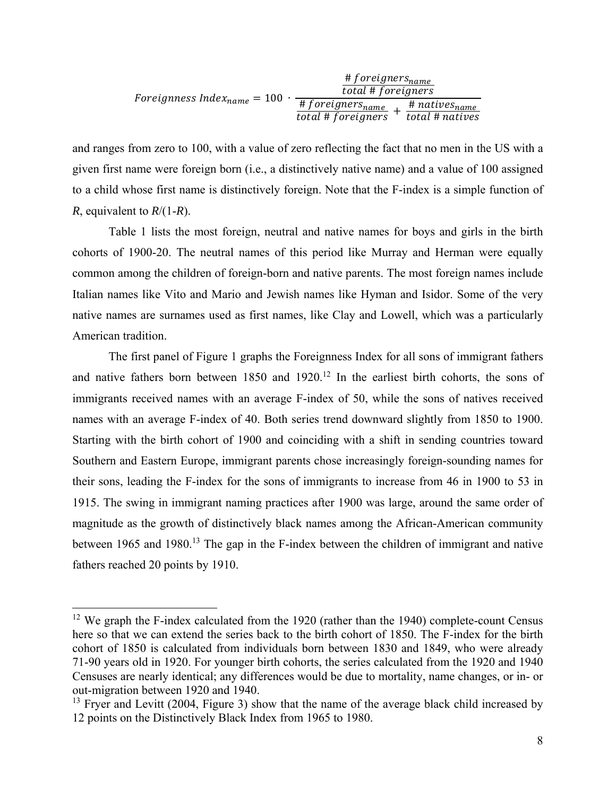|                                   | # foreigners <sub>name</sub><br>total # foreigners |                                                |
|-----------------------------------|----------------------------------------------------|------------------------------------------------|
| Foreignness Index $_{name}$ = 100 | # foreigners <sub>name</sub><br>total # foreigners | . # natives <sub>name</sub><br>total # natives |

and ranges from zero to 100, with a value of zero reflecting the fact that no men in the US with a given first name were foreign born (i.e., a distinctively native name) and a value of 100 assigned to a child whose first name is distinctively foreign. Note that the F-index is a simple function of *R*, equivalent to *R*/(1-*R*).

 Table 1 lists the most foreign, neutral and native names for boys and girls in the birth cohorts of 1900-20. The neutral names of this period like Murray and Herman were equally common among the children of foreign-born and native parents. The most foreign names include Italian names like Vito and Mario and Jewish names like Hyman and Isidor. Some of the very native names are surnames used as first names, like Clay and Lowell, which was a particularly American tradition.

 The first panel of Figure 1 graphs the Foreignness Index for all sons of immigrant fathers and native fathers born between  $1850$  and  $1920$ .<sup>12</sup> In the earliest birth cohorts, the sons of immigrants received names with an average F-index of 50, while the sons of natives received names with an average F-index of 40. Both series trend downward slightly from 1850 to 1900. Starting with the birth cohort of 1900 and coinciding with a shift in sending countries toward Southern and Eastern Europe, immigrant parents chose increasingly foreign-sounding names for their sons, leading the F-index for the sons of immigrants to increase from 46 in 1900 to 53 in 1915. The swing in immigrant naming practices after 1900 was large, around the same order of magnitude as the growth of distinctively black names among the African-American community between 1965 and 1980.<sup>13</sup> The gap in the F-index between the children of immigrant and native fathers reached 20 points by 1910.

<sup>&</sup>lt;sup>12</sup> We graph the F-index calculated from the 1920 (rather than the 1940) complete-count Census here so that we can extend the series back to the birth cohort of 1850. The F-index for the birth cohort of 1850 is calculated from individuals born between 1830 and 1849, who were already 71-90 years old in 1920. For younger birth cohorts, the series calculated from the 1920 and 1940 Censuses are nearly identical; any differences would be due to mortality, name changes, or in- or out-migration between 1920 and 1940.

 $13$  Fryer and Levitt (2004, Figure 3) show that the name of the average black child increased by 12 points on the Distinctively Black Index from 1965 to 1980.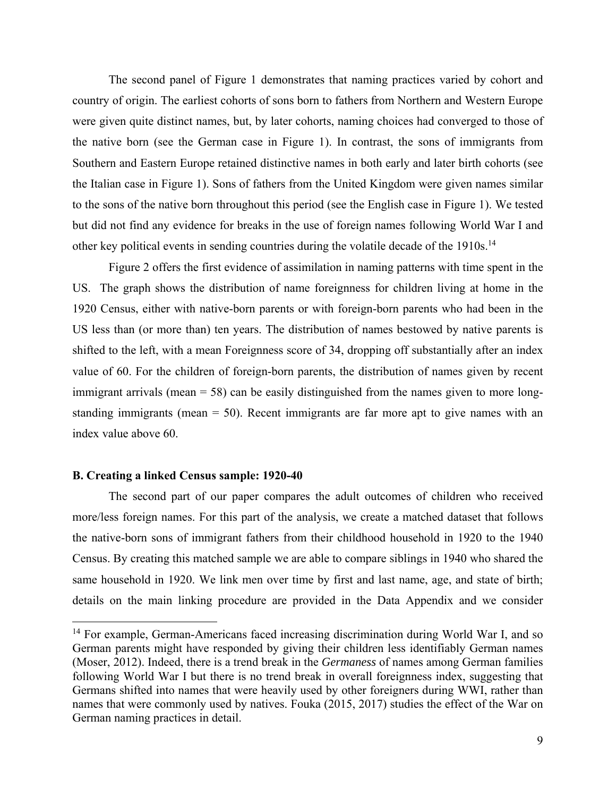The second panel of Figure 1 demonstrates that naming practices varied by cohort and country of origin. The earliest cohorts of sons born to fathers from Northern and Western Europe were given quite distinct names, but, by later cohorts, naming choices had converged to those of the native born (see the German case in Figure 1). In contrast, the sons of immigrants from Southern and Eastern Europe retained distinctive names in both early and later birth cohorts (see the Italian case in Figure 1). Sons of fathers from the United Kingdom were given names similar to the sons of the native born throughout this period (see the English case in Figure 1). We tested but did not find any evidence for breaks in the use of foreign names following World War I and other key political events in sending countries during the volatile decade of the 1910s.<sup>14</sup>

Figure 2 offers the first evidence of assimilation in naming patterns with time spent in the US. The graph shows the distribution of name foreignness for children living at home in the 1920 Census, either with native-born parents or with foreign-born parents who had been in the US less than (or more than) ten years. The distribution of names bestowed by native parents is shifted to the left, with a mean Foreignness score of 34, dropping off substantially after an index value of 60. For the children of foreign-born parents, the distribution of names given by recent immigrant arrivals (mean = 58) can be easily distinguished from the names given to more longstanding immigrants (mean  $= 50$ ). Recent immigrants are far more apt to give names with an index value above 60.

### **B. Creating a linked Census sample: 1920-40**

The second part of our paper compares the adult outcomes of children who received more/less foreign names. For this part of the analysis, we create a matched dataset that follows the native-born sons of immigrant fathers from their childhood household in 1920 to the 1940 Census. By creating this matched sample we are able to compare siblings in 1940 who shared the same household in 1920. We link men over time by first and last name, age, and state of birth; details on the main linking procedure are provided in the Data Appendix and we consider

<sup>&</sup>lt;sup>14</sup> For example, German-Americans faced increasing discrimination during World War I, and so German parents might have responded by giving their children less identifiably German names (Moser, 2012). Indeed, there is a trend break in the *Germaness* of names among German families following World War I but there is no trend break in overall foreignness index, suggesting that Germans shifted into names that were heavily used by other foreigners during WWI, rather than names that were commonly used by natives. Fouka (2015, 2017) studies the effect of the War on German naming practices in detail.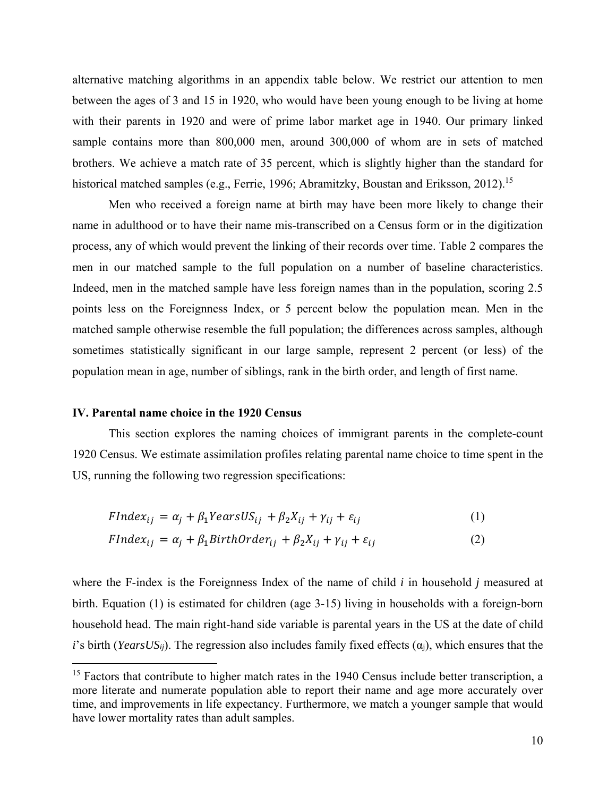alternative matching algorithms in an appendix table below. We restrict our attention to men between the ages of 3 and 15 in 1920, who would have been young enough to be living at home with their parents in 1920 and were of prime labor market age in 1940. Our primary linked sample contains more than 800,000 men, around 300,000 of whom are in sets of matched brothers. We achieve a match rate of 35 percent, which is slightly higher than the standard for historical matched samples (e.g., Ferrie, 1996; Abramitzky, Boustan and Eriksson, 2012).<sup>15</sup>

Men who received a foreign name at birth may have been more likely to change their name in adulthood or to have their name mis-transcribed on a Census form or in the digitization process, any of which would prevent the linking of their records over time. Table 2 compares the men in our matched sample to the full population on a number of baseline characteristics. Indeed, men in the matched sample have less foreign names than in the population, scoring 2.5 points less on the Foreignness Index, or 5 percent below the population mean. Men in the matched sample otherwise resemble the full population; the differences across samples, although sometimes statistically significant in our large sample, represent 2 percent (or less) of the population mean in age, number of siblings, rank in the birth order, and length of first name.

#### **IV. Parental name choice in the 1920 Census**

This section explores the naming choices of immigrant parents in the complete-count 1920 Census. We estimate assimilation profiles relating parental name choice to time spent in the US, running the following two regression specifications:

$$
FIndex_{ij} = \alpha_j + \beta_1 YearsUS_{ij} + \beta_2 X_{ij} + \gamma_{ij} + \varepsilon_{ij}
$$
\n(1)

$$
FIndex_{ij} = \alpha_j + \beta_1 BirthOrder_{ij} + \beta_2 X_{ij} + \gamma_{ij} + \varepsilon_{ij}
$$
\n(2)

where the F-index is the Foreignness Index of the name of child *i* in household *j* measured at birth. Equation (1) is estimated for children (age 3-15) living in households with a foreign-born household head. The main right-hand side variable is parental years in the US at the date of child *i*'s birth (*YearsUS<sub>ij</sub>*). The regression also includes family fixed effects ( $\alpha$ <sub>i</sub>), which ensures that the

<sup>&</sup>lt;sup>15</sup> Factors that contribute to higher match rates in the 1940 Census include better transcription, a more literate and numerate population able to report their name and age more accurately over time, and improvements in life expectancy. Furthermore, we match a younger sample that would have lower mortality rates than adult samples.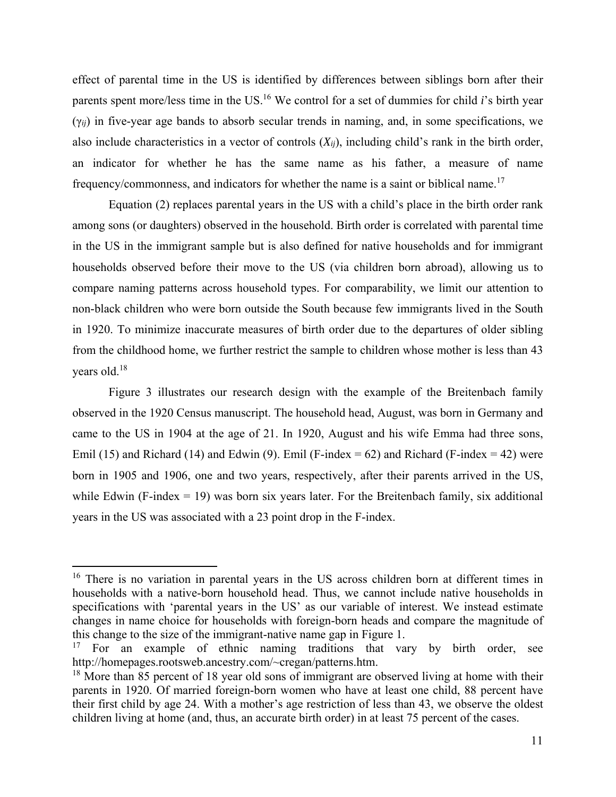effect of parental time in the US is identified by differences between siblings born after their parents spent more/less time in the US.16 We control for a set of dummies for child *i*'s birth year (γ*ij*) in five-year age bands to absorb secular trends in naming, and, in some specifications, we also include characteristics in a vector of controls (*Xij*), including child's rank in the birth order, an indicator for whether he has the same name as his father, a measure of name frequency/commonness, and indicators for whether the name is a saint or biblical name.<sup>17</sup>

 Equation (2) replaces parental years in the US with a child's place in the birth order rank among sons (or daughters) observed in the household. Birth order is correlated with parental time in the US in the immigrant sample but is also defined for native households and for immigrant households observed before their move to the US (via children born abroad), allowing us to compare naming patterns across household types. For comparability, we limit our attention to non-black children who were born outside the South because few immigrants lived in the South in 1920. To minimize inaccurate measures of birth order due to the departures of older sibling from the childhood home, we further restrict the sample to children whose mother is less than 43 years old.18

Figure 3 illustrates our research design with the example of the Breitenbach family observed in the 1920 Census manuscript. The household head, August, was born in Germany and came to the US in 1904 at the age of 21. In 1920, August and his wife Emma had three sons, Emil (15) and Richard (14) and Edwin (9). Emil (F-index = 62) and Richard (F-index = 42) were born in 1905 and 1906, one and two years, respectively, after their parents arrived in the US, while Edwin (F-index  $= 19$ ) was born six years later. For the Breitenbach family, six additional years in the US was associated with a 23 point drop in the F-index.

<sup>&</sup>lt;sup>16</sup> There is no variation in parental years in the US across children born at different times in households with a native-born household head. Thus, we cannot include native households in specifications with 'parental years in the US' as our variable of interest. We instead estimate changes in name choice for households with foreign-born heads and compare the magnitude of this change to the size of the immigrant-native name gap in Figure 1.

<sup>&</sup>lt;sup>17</sup> For an example of ethnic naming traditions that vary by birth order, see http://homepages.rootsweb.ancestry.com/~cregan/patterns.htm.

<sup>&</sup>lt;sup>18</sup> More than 85 percent of 18 year old sons of immigrant are observed living at home with their parents in 1920. Of married foreign-born women who have at least one child, 88 percent have their first child by age 24. With a mother's age restriction of less than 43, we observe the oldest children living at home (and, thus, an accurate birth order) in at least 75 percent of the cases.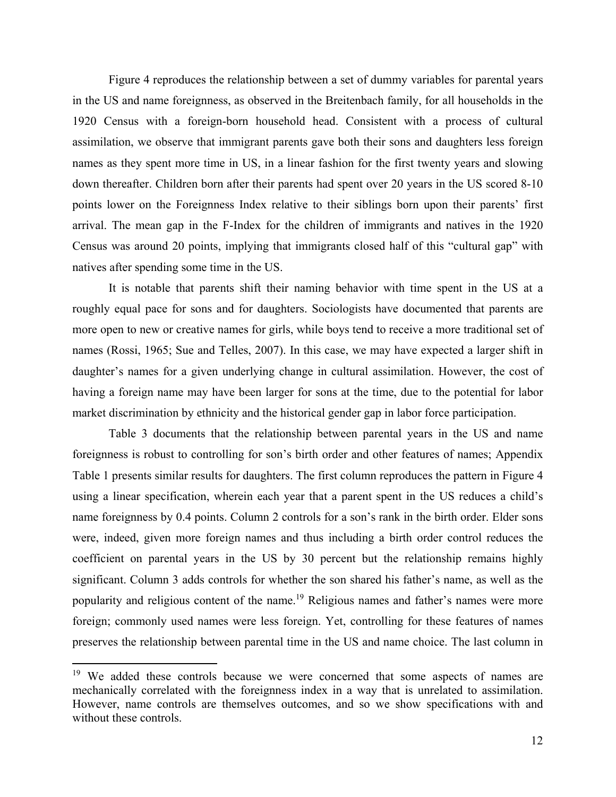Figure 4 reproduces the relationship between a set of dummy variables for parental years in the US and name foreignness, as observed in the Breitenbach family, for all households in the 1920 Census with a foreign-born household head. Consistent with a process of cultural assimilation, we observe that immigrant parents gave both their sons and daughters less foreign names as they spent more time in US, in a linear fashion for the first twenty years and slowing down thereafter. Children born after their parents had spent over 20 years in the US scored 8-10 points lower on the Foreignness Index relative to their siblings born upon their parents' first arrival. The mean gap in the F-Index for the children of immigrants and natives in the 1920 Census was around 20 points, implying that immigrants closed half of this "cultural gap" with natives after spending some time in the US.

It is notable that parents shift their naming behavior with time spent in the US at a roughly equal pace for sons and for daughters. Sociologists have documented that parents are more open to new or creative names for girls, while boys tend to receive a more traditional set of names (Rossi, 1965; Sue and Telles, 2007). In this case, we may have expected a larger shift in daughter's names for a given underlying change in cultural assimilation. However, the cost of having a foreign name may have been larger for sons at the time, due to the potential for labor market discrimination by ethnicity and the historical gender gap in labor force participation.

Table 3 documents that the relationship between parental years in the US and name foreignness is robust to controlling for son's birth order and other features of names; Appendix Table 1 presents similar results for daughters. The first column reproduces the pattern in Figure 4 using a linear specification, wherein each year that a parent spent in the US reduces a child's name foreignness by 0.4 points. Column 2 controls for a son's rank in the birth order. Elder sons were, indeed, given more foreign names and thus including a birth order control reduces the coefficient on parental years in the US by 30 percent but the relationship remains highly significant. Column 3 adds controls for whether the son shared his father's name, as well as the popularity and religious content of the name.<sup>19</sup> Religious names and father's names were more foreign; commonly used names were less foreign. Yet, controlling for these features of names preserves the relationship between parental time in the US and name choice. The last column in

<sup>&</sup>lt;sup>19</sup> We added these controls because we were concerned that some aspects of names are mechanically correlated with the foreignness index in a way that is unrelated to assimilation. However, name controls are themselves outcomes, and so we show specifications with and without these controls.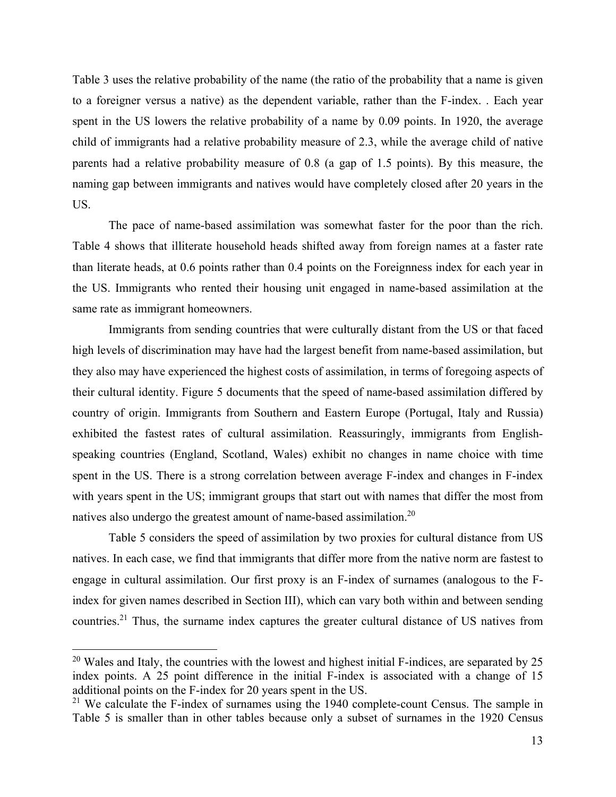Table 3 uses the relative probability of the name (the ratio of the probability that a name is given to a foreigner versus a native) as the dependent variable, rather than the F-index. . Each year spent in the US lowers the relative probability of a name by 0.09 points. In 1920, the average child of immigrants had a relative probability measure of 2.3, while the average child of native parents had a relative probability measure of 0.8 (a gap of 1.5 points). By this measure, the naming gap between immigrants and natives would have completely closed after 20 years in the US.

The pace of name-based assimilation was somewhat faster for the poor than the rich. Table 4 shows that illiterate household heads shifted away from foreign names at a faster rate than literate heads, at 0.6 points rather than 0.4 points on the Foreignness index for each year in the US. Immigrants who rented their housing unit engaged in name-based assimilation at the same rate as immigrant homeowners.

Immigrants from sending countries that were culturally distant from the US or that faced high levels of discrimination may have had the largest benefit from name-based assimilation, but they also may have experienced the highest costs of assimilation, in terms of foregoing aspects of their cultural identity. Figure 5 documents that the speed of name-based assimilation differed by country of origin. Immigrants from Southern and Eastern Europe (Portugal, Italy and Russia) exhibited the fastest rates of cultural assimilation. Reassuringly, immigrants from Englishspeaking countries (England, Scotland, Wales) exhibit no changes in name choice with time spent in the US. There is a strong correlation between average F-index and changes in F-index with years spent in the US; immigrant groups that start out with names that differ the most from natives also undergo the greatest amount of name-based assimilation.<sup>20</sup>

 Table 5 considers the speed of assimilation by two proxies for cultural distance from US natives. In each case, we find that immigrants that differ more from the native norm are fastest to engage in cultural assimilation. Our first proxy is an F-index of surnames (analogous to the Findex for given names described in Section III), which can vary both within and between sending countries.21 Thus, the surname index captures the greater cultural distance of US natives from

<sup>&</sup>lt;sup>20</sup> Wales and Italy, the countries with the lowest and highest initial F-indices, are separated by 25 index points. A 25 point difference in the initial F-index is associated with a change of 15 additional points on the F-index for 20 years spent in the US.

<sup>&</sup>lt;sup>21</sup> We calculate the F-index of surnames using the  $1940$  complete-count Census. The sample in Table 5 is smaller than in other tables because only a subset of surnames in the 1920 Census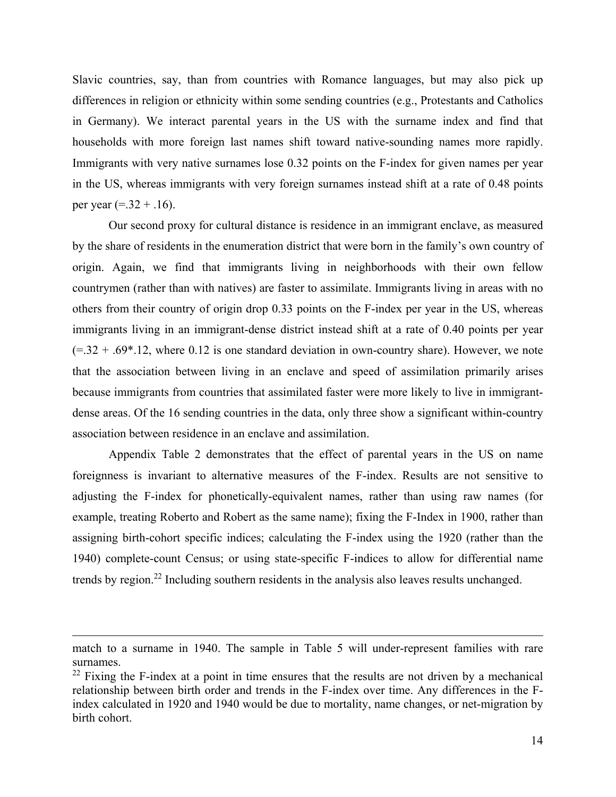Slavic countries, say, than from countries with Romance languages, but may also pick up differences in religion or ethnicity within some sending countries (e.g., Protestants and Catholics in Germany). We interact parental years in the US with the surname index and find that households with more foreign last names shift toward native-sounding names more rapidly. Immigrants with very native surnames lose 0.32 points on the F-index for given names per year in the US, whereas immigrants with very foreign surnames instead shift at a rate of 0.48 points per year  $(= .32 + .16)$ .

 Our second proxy for cultural distance is residence in an immigrant enclave, as measured by the share of residents in the enumeration district that were born in the family's own country of origin. Again, we find that immigrants living in neighborhoods with their own fellow countrymen (rather than with natives) are faster to assimilate. Immigrants living in areas with no others from their country of origin drop 0.33 points on the F-index per year in the US, whereas immigrants living in an immigrant-dense district instead shift at a rate of 0.40 points per year  $(= .32 + .69*.12$ , where 0.12 is one standard deviation in own-country share). However, we note that the association between living in an enclave and speed of assimilation primarily arises because immigrants from countries that assimilated faster were more likely to live in immigrantdense areas. Of the 16 sending countries in the data, only three show a significant within-country association between residence in an enclave and assimilation.

Appendix Table 2 demonstrates that the effect of parental years in the US on name foreignness is invariant to alternative measures of the F-index. Results are not sensitive to adjusting the F-index for phonetically-equivalent names, rather than using raw names (for example, treating Roberto and Robert as the same name); fixing the F-Index in 1900, rather than assigning birth-cohort specific indices; calculating the F-index using the 1920 (rather than the 1940) complete-count Census; or using state-specific F-indices to allow for differential name trends by region.<sup>22</sup> Including southern residents in the analysis also leaves results unchanged.

<u> 1989 - Johann Stein, marwolaethau a gweledydd a ganlad y ganlad y ganlad y ganlad y ganlad y ganlad y ganlad</u>

match to a surname in 1940. The sample in Table 5 will under-represent families with rare surnames.

 $22$  Fixing the F-index at a point in time ensures that the results are not driven by a mechanical relationship between birth order and trends in the F-index over time. Any differences in the Findex calculated in 1920 and 1940 would be due to mortality, name changes, or net-migration by birth cohort.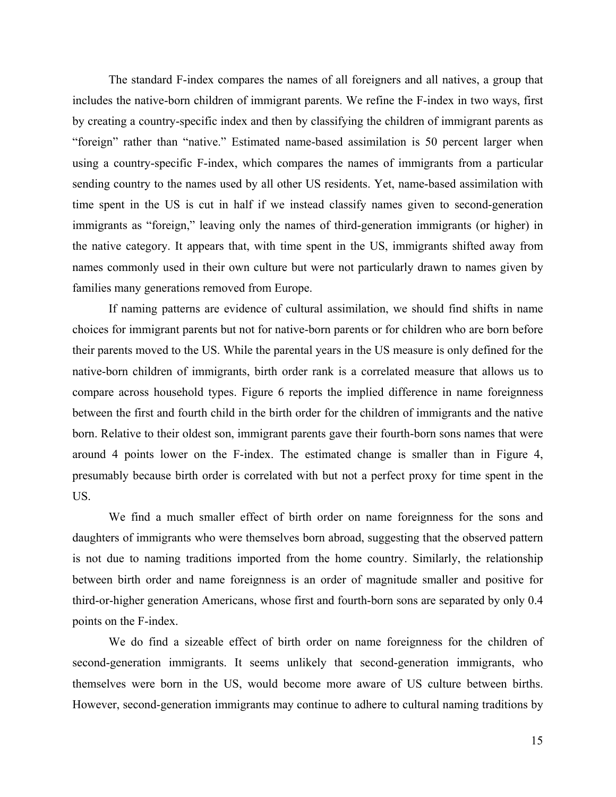The standard F-index compares the names of all foreigners and all natives, a group that includes the native-born children of immigrant parents. We refine the F-index in two ways, first by creating a country-specific index and then by classifying the children of immigrant parents as "foreign" rather than "native." Estimated name-based assimilation is 50 percent larger when using a country-specific F-index, which compares the names of immigrants from a particular sending country to the names used by all other US residents. Yet, name-based assimilation with time spent in the US is cut in half if we instead classify names given to second-generation immigrants as "foreign," leaving only the names of third-generation immigrants (or higher) in the native category. It appears that, with time spent in the US, immigrants shifted away from names commonly used in their own culture but were not particularly drawn to names given by families many generations removed from Europe.

If naming patterns are evidence of cultural assimilation, we should find shifts in name choices for immigrant parents but not for native-born parents or for children who are born before their parents moved to the US. While the parental years in the US measure is only defined for the native-born children of immigrants, birth order rank is a correlated measure that allows us to compare across household types. Figure 6 reports the implied difference in name foreignness between the first and fourth child in the birth order for the children of immigrants and the native born. Relative to their oldest son, immigrant parents gave their fourth-born sons names that were around 4 points lower on the F-index. The estimated change is smaller than in Figure 4, presumably because birth order is correlated with but not a perfect proxy for time spent in the US.

We find a much smaller effect of birth order on name foreignness for the sons and daughters of immigrants who were themselves born abroad, suggesting that the observed pattern is not due to naming traditions imported from the home country. Similarly, the relationship between birth order and name foreignness is an order of magnitude smaller and positive for third-or-higher generation Americans, whose first and fourth-born sons are separated by only 0.4 points on the F-index.

We do find a sizeable effect of birth order on name foreignness for the children of second-generation immigrants. It seems unlikely that second-generation immigrants, who themselves were born in the US, would become more aware of US culture between births. However, second-generation immigrants may continue to adhere to cultural naming traditions by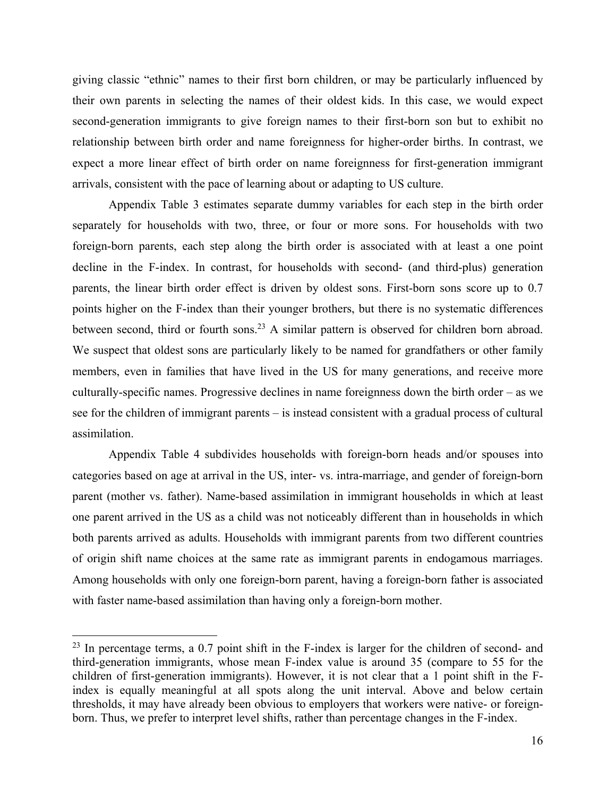giving classic "ethnic" names to their first born children, or may be particularly influenced by their own parents in selecting the names of their oldest kids. In this case, we would expect second-generation immigrants to give foreign names to their first-born son but to exhibit no relationship between birth order and name foreignness for higher-order births. In contrast, we expect a more linear effect of birth order on name foreignness for first-generation immigrant arrivals, consistent with the pace of learning about or adapting to US culture.

Appendix Table 3 estimates separate dummy variables for each step in the birth order separately for households with two, three, or four or more sons. For households with two foreign-born parents, each step along the birth order is associated with at least a one point decline in the F-index. In contrast, for households with second- (and third-plus) generation parents, the linear birth order effect is driven by oldest sons. First-born sons score up to 0.7 points higher on the F-index than their younger brothers, but there is no systematic differences between second, third or fourth sons.<sup>23</sup> A similar pattern is observed for children born abroad. We suspect that oldest sons are particularly likely to be named for grandfathers or other family members, even in families that have lived in the US for many generations, and receive more culturally-specific names. Progressive declines in name foreignness down the birth order – as we see for the children of immigrant parents – is instead consistent with a gradual process of cultural assimilation.

Appendix Table 4 subdivides households with foreign-born heads and/or spouses into categories based on age at arrival in the US, inter- vs. intra-marriage, and gender of foreign-born parent (mother vs. father). Name-based assimilation in immigrant households in which at least one parent arrived in the US as a child was not noticeably different than in households in which both parents arrived as adults. Households with immigrant parents from two different countries of origin shift name choices at the same rate as immigrant parents in endogamous marriages. Among households with only one foreign-born parent, having a foreign-born father is associated with faster name-based assimilation than having only a foreign-born mother.

 $23$  In percentage terms, a 0.7 point shift in the F-index is larger for the children of second- and third-generation immigrants, whose mean F-index value is around 35 (compare to 55 for the children of first-generation immigrants). However, it is not clear that a 1 point shift in the Findex is equally meaningful at all spots along the unit interval. Above and below certain thresholds, it may have already been obvious to employers that workers were native- or foreignborn. Thus, we prefer to interpret level shifts, rather than percentage changes in the F-index.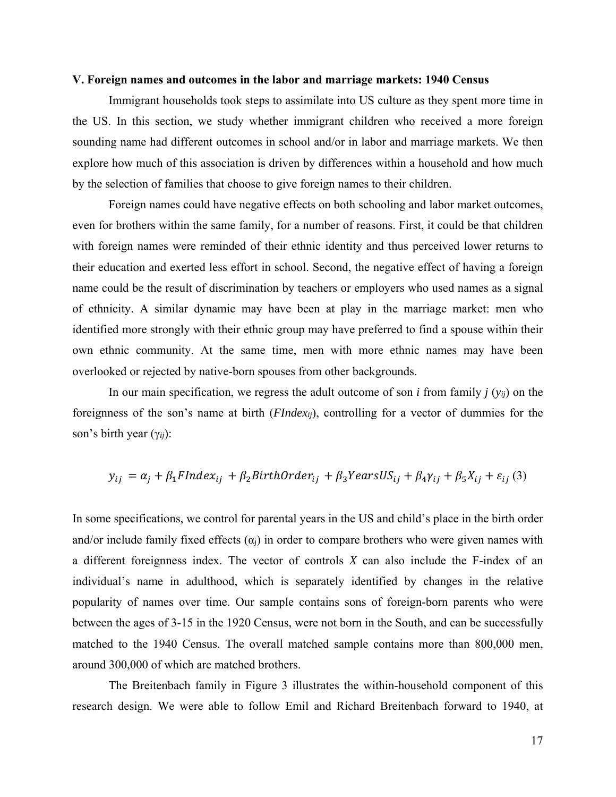#### **V. Foreign names and outcomes in the labor and marriage markets: 1940 Census**

Immigrant households took steps to assimilate into US culture as they spent more time in the US. In this section, we study whether immigrant children who received a more foreign sounding name had different outcomes in school and/or in labor and marriage markets. We then explore how much of this association is driven by differences within a household and how much by the selection of families that choose to give foreign names to their children.

Foreign names could have negative effects on both schooling and labor market outcomes, even for brothers within the same family, for a number of reasons. First, it could be that children with foreign names were reminded of their ethnic identity and thus perceived lower returns to their education and exerted less effort in school. Second, the negative effect of having a foreign name could be the result of discrimination by teachers or employers who used names as a signal of ethnicity. A similar dynamic may have been at play in the marriage market: men who identified more strongly with their ethnic group may have preferred to find a spouse within their own ethnic community. At the same time, men with more ethnic names may have been overlooked or rejected by native-born spouses from other backgrounds.

In our main specification, we regress the adult outcome of son *i* from family *j* (*yij*) on the foreignness of the son's name at birth (*FIndexij*), controlling for a vector of dummies for the son's birth year (γ*ij*):

$$
y_{ij} = \alpha_j + \beta_1 FIndex_{ij} + \beta_2 BirthOrder_{ij} + \beta_3 YearsUS_{ij} + \beta_4 \gamma_{ij} + \beta_5 X_{ij} + \varepsilon_{ij}
$$
 (3)

In some specifications, we control for parental years in the US and child's place in the birth order and/or include family fixed effects  $(\alpha_i)$  in order to compare brothers who were given names with a different foreignness index. The vector of controls *X* can also include the F-index of an individual's name in adulthood, which is separately identified by changes in the relative popularity of names over time. Our sample contains sons of foreign-born parents who were between the ages of 3-15 in the 1920 Census, were not born in the South, and can be successfully matched to the 1940 Census. The overall matched sample contains more than 800,000 men, around 300,000 of which are matched brothers.

The Breitenbach family in Figure 3 illustrates the within-household component of this research design. We were able to follow Emil and Richard Breitenbach forward to 1940, at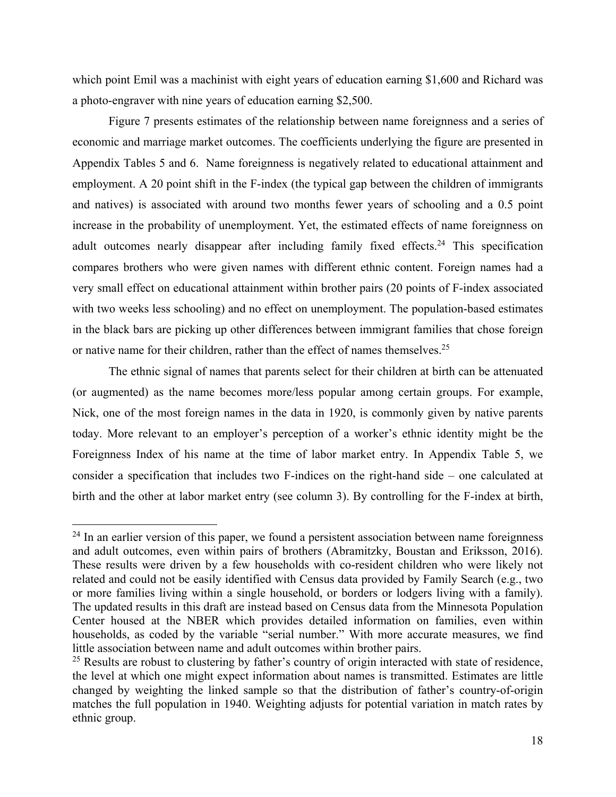which point Emil was a machinist with eight years of education earning \$1,600 and Richard was a photo-engraver with nine years of education earning \$2,500.

 Figure 7 presents estimates of the relationship between name foreignness and a series of economic and marriage market outcomes. The coefficients underlying the figure are presented in Appendix Tables 5 and 6. Name foreignness is negatively related to educational attainment and employment. A 20 point shift in the F-index (the typical gap between the children of immigrants and natives) is associated with around two months fewer years of schooling and a 0.5 point increase in the probability of unemployment. Yet, the estimated effects of name foreignness on adult outcomes nearly disappear after including family fixed effects.<sup>24</sup> This specification compares brothers who were given names with different ethnic content. Foreign names had a very small effect on educational attainment within brother pairs (20 points of F-index associated with two weeks less schooling) and no effect on unemployment. The population-based estimates in the black bars are picking up other differences between immigrant families that chose foreign or native name for their children, rather than the effect of names themselves.<sup>25</sup>

 The ethnic signal of names that parents select for their children at birth can be attenuated (or augmented) as the name becomes more/less popular among certain groups. For example, Nick, one of the most foreign names in the data in 1920, is commonly given by native parents today. More relevant to an employer's perception of a worker's ethnic identity might be the Foreignness Index of his name at the time of labor market entry. In Appendix Table 5, we consider a specification that includes two F-indices on the right-hand side – one calculated at birth and the other at labor market entry (see column 3). By controlling for the F-index at birth,

 $24$  In an earlier version of this paper, we found a persistent association between name foreignness and adult outcomes, even within pairs of brothers (Abramitzky, Boustan and Eriksson, 2016). These results were driven by a few households with co-resident children who were likely not related and could not be easily identified with Census data provided by Family Search (e.g., two or more families living within a single household, or borders or lodgers living with a family). The updated results in this draft are instead based on Census data from the Minnesota Population Center housed at the NBER which provides detailed information on families, even within households, as coded by the variable "serial number." With more accurate measures, we find little association between name and adult outcomes within brother pairs.

<sup>&</sup>lt;sup>25</sup> Results are robust to clustering by father's country of origin interacted with state of residence, the level at which one might expect information about names is transmitted. Estimates are little changed by weighting the linked sample so that the distribution of father's country-of-origin matches the full population in 1940. Weighting adjusts for potential variation in match rates by ethnic group.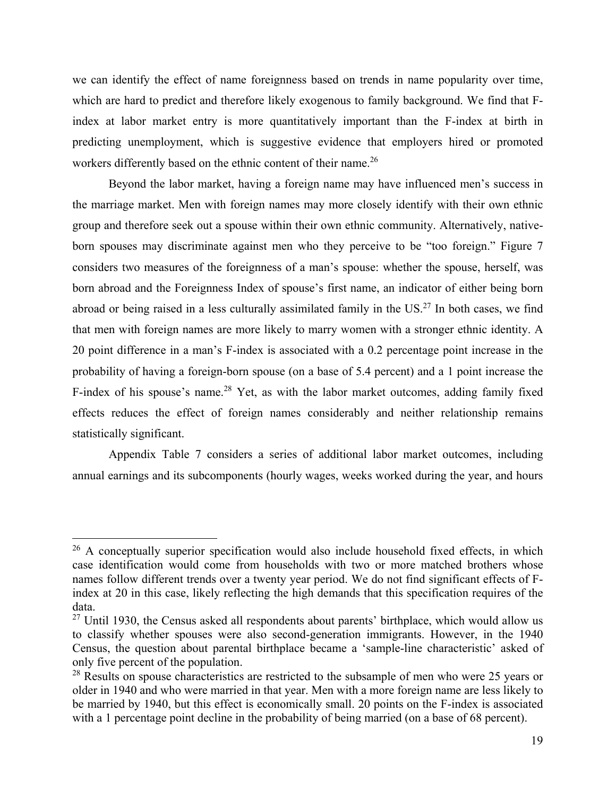we can identify the effect of name foreignness based on trends in name popularity over time, which are hard to predict and therefore likely exogenous to family background. We find that Findex at labor market entry is more quantitatively important than the F-index at birth in predicting unemployment, which is suggestive evidence that employers hired or promoted workers differently based on the ethnic content of their name.<sup>26</sup>

Beyond the labor market, having a foreign name may have influenced men's success in the marriage market. Men with foreign names may more closely identify with their own ethnic group and therefore seek out a spouse within their own ethnic community. Alternatively, nativeborn spouses may discriminate against men who they perceive to be "too foreign." Figure 7 considers two measures of the foreignness of a man's spouse: whether the spouse, herself, was born abroad and the Foreignness Index of spouse's first name, an indicator of either being born abroad or being raised in a less culturally assimilated family in the US.<sup>27</sup> In both cases, we find that men with foreign names are more likely to marry women with a stronger ethnic identity. A 20 point difference in a man's F-index is associated with a 0.2 percentage point increase in the probability of having a foreign-born spouse (on a base of 5.4 percent) and a 1 point increase the F-index of his spouse's name.<sup>28</sup> Yet, as with the labor market outcomes, adding family fixed effects reduces the effect of foreign names considerably and neither relationship remains statistically significant.

 Appendix Table 7 considers a series of additional labor market outcomes, including annual earnings and its subcomponents (hourly wages, weeks worked during the year, and hours

 $26$  A conceptually superior specification would also include household fixed effects, in which case identification would come from households with two or more matched brothers whose names follow different trends over a twenty year period. We do not find significant effects of Findex at 20 in this case, likely reflecting the high demands that this specification requires of the data.

 $27$  Until 1930, the Census asked all respondents about parents' birthplace, which would allow us to classify whether spouses were also second-generation immigrants. However, in the 1940 Census, the question about parental birthplace became a 'sample-line characteristic' asked of only five percent of the population.

<sup>&</sup>lt;sup>28</sup> Results on spouse characteristics are restricted to the subsample of men who were 25 years or older in 1940 and who were married in that year. Men with a more foreign name are less likely to be married by 1940, but this effect is economically small. 20 points on the F-index is associated with a 1 percentage point decline in the probability of being married (on a base of 68 percent).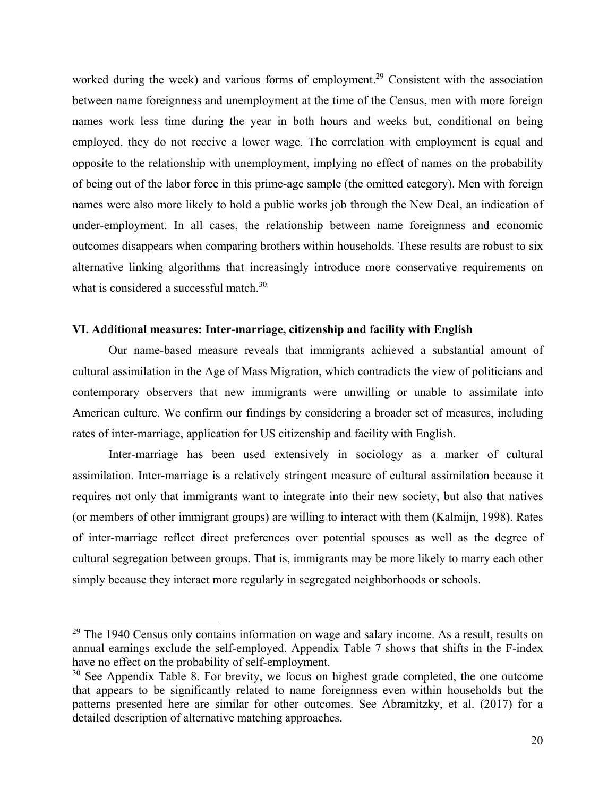worked during the week) and various forms of employment.<sup>29</sup> Consistent with the association between name foreignness and unemployment at the time of the Census, men with more foreign names work less time during the year in both hours and weeks but, conditional on being employed, they do not receive a lower wage. The correlation with employment is equal and opposite to the relationship with unemployment, implying no effect of names on the probability of being out of the labor force in this prime-age sample (the omitted category). Men with foreign names were also more likely to hold a public works job through the New Deal, an indication of under-employment. In all cases, the relationship between name foreignness and economic outcomes disappears when comparing brothers within households. These results are robust to six alternative linking algorithms that increasingly introduce more conservative requirements on what is considered a successful match.<sup>30</sup>

### **VI. Additional measures: Inter-marriage, citizenship and facility with English**

Our name-based measure reveals that immigrants achieved a substantial amount of cultural assimilation in the Age of Mass Migration, which contradicts the view of politicians and contemporary observers that new immigrants were unwilling or unable to assimilate into American culture. We confirm our findings by considering a broader set of measures, including rates of inter-marriage, application for US citizenship and facility with English.

Inter-marriage has been used extensively in sociology as a marker of cultural assimilation. Inter-marriage is a relatively stringent measure of cultural assimilation because it requires not only that immigrants want to integrate into their new society, but also that natives (or members of other immigrant groups) are willing to interact with them (Kalmijn, 1998). Rates of inter-marriage reflect direct preferences over potential spouses as well as the degree of cultural segregation between groups. That is, immigrants may be more likely to marry each other simply because they interact more regularly in segregated neighborhoods or schools.

 $29$  The 1940 Census only contains information on wage and salary income. As a result, results on annual earnings exclude the self-employed. Appendix Table 7 shows that shifts in the F-index have no effect on the probability of self-employment.

<sup>&</sup>lt;sup>30</sup> See Appendix Table 8. For brevity, we focus on highest grade completed, the one outcome that appears to be significantly related to name foreignness even within households but the patterns presented here are similar for other outcomes. See Abramitzky, et al. (2017) for a detailed description of alternative matching approaches.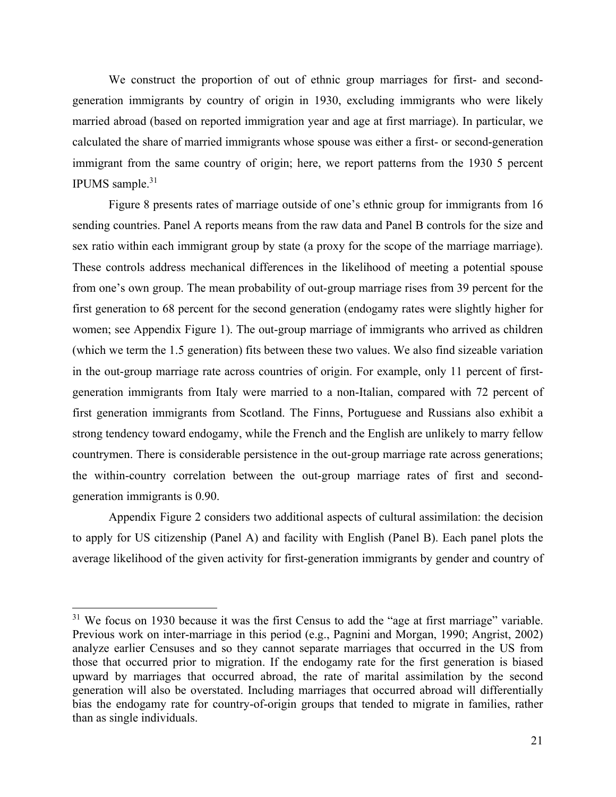We construct the proportion of out of ethnic group marriages for first- and secondgeneration immigrants by country of origin in 1930, excluding immigrants who were likely married abroad (based on reported immigration year and age at first marriage). In particular, we calculated the share of married immigrants whose spouse was either a first- or second-generation immigrant from the same country of origin; here, we report patterns from the 1930 5 percent IPUMS sample. $31$ 

Figure 8 presents rates of marriage outside of one's ethnic group for immigrants from 16 sending countries. Panel A reports means from the raw data and Panel B controls for the size and sex ratio within each immigrant group by state (a proxy for the scope of the marriage marriage). These controls address mechanical differences in the likelihood of meeting a potential spouse from one's own group. The mean probability of out-group marriage rises from 39 percent for the first generation to 68 percent for the second generation (endogamy rates were slightly higher for women; see Appendix Figure 1). The out-group marriage of immigrants who arrived as children (which we term the 1.5 generation) fits between these two values. We also find sizeable variation in the out-group marriage rate across countries of origin. For example, only 11 percent of firstgeneration immigrants from Italy were married to a non-Italian, compared with 72 percent of first generation immigrants from Scotland. The Finns, Portuguese and Russians also exhibit a strong tendency toward endogamy, while the French and the English are unlikely to marry fellow countrymen. There is considerable persistence in the out-group marriage rate across generations; the within-country correlation between the out-group marriage rates of first and secondgeneration immigrants is 0.90.

Appendix Figure 2 considers two additional aspects of cultural assimilation: the decision to apply for US citizenship (Panel A) and facility with English (Panel B). Each panel plots the average likelihood of the given activity for first-generation immigrants by gender and country of

<sup>&</sup>lt;sup>31</sup> We focus on 1930 because it was the first Census to add the "age at first marriage" variable. Previous work on inter-marriage in this period (e.g., Pagnini and Morgan, 1990; Angrist, 2002) analyze earlier Censuses and so they cannot separate marriages that occurred in the US from those that occurred prior to migration. If the endogamy rate for the first generation is biased upward by marriages that occurred abroad, the rate of marital assimilation by the second generation will also be overstated. Including marriages that occurred abroad will differentially bias the endogamy rate for country-of-origin groups that tended to migrate in families, rather than as single individuals.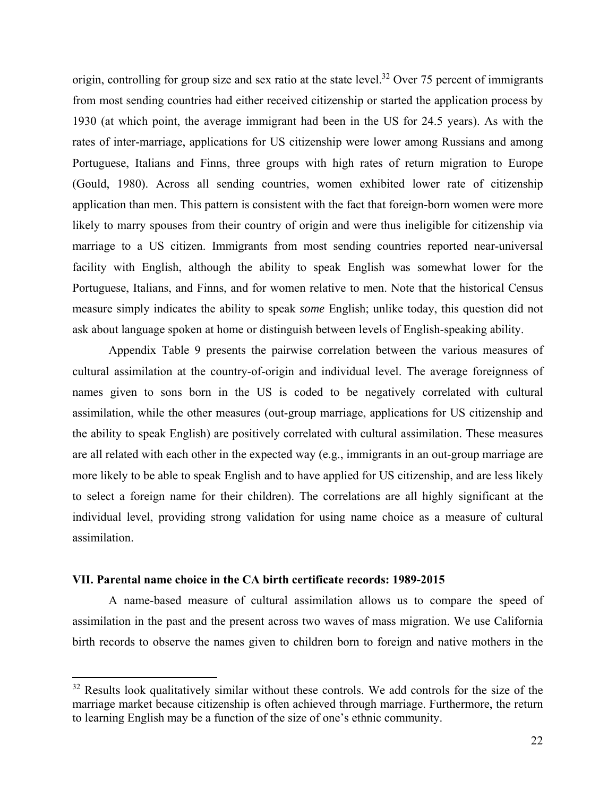origin, controlling for group size and sex ratio at the state level.<sup>32</sup> Over 75 percent of immigrants from most sending countries had either received citizenship or started the application process by 1930 (at which point, the average immigrant had been in the US for 24.5 years). As with the rates of inter-marriage, applications for US citizenship were lower among Russians and among Portuguese, Italians and Finns, three groups with high rates of return migration to Europe (Gould, 1980). Across all sending countries, women exhibited lower rate of citizenship application than men. This pattern is consistent with the fact that foreign-born women were more likely to marry spouses from their country of origin and were thus ineligible for citizenship via marriage to a US citizen. Immigrants from most sending countries reported near-universal facility with English, although the ability to speak English was somewhat lower for the Portuguese, Italians, and Finns, and for women relative to men. Note that the historical Census measure simply indicates the ability to speak *some* English; unlike today, this question did not ask about language spoken at home or distinguish between levels of English-speaking ability.

Appendix Table 9 presents the pairwise correlation between the various measures of cultural assimilation at the country-of-origin and individual level. The average foreignness of names given to sons born in the US is coded to be negatively correlated with cultural assimilation, while the other measures (out-group marriage, applications for US citizenship and the ability to speak English) are positively correlated with cultural assimilation. These measures are all related with each other in the expected way (e.g., immigrants in an out-group marriage are more likely to be able to speak English and to have applied for US citizenship, and are less likely to select a foreign name for their children). The correlations are all highly significant at the individual level, providing strong validation for using name choice as a measure of cultural assimilation.

#### **VII. Parental name choice in the CA birth certificate records: 1989-2015**

A name-based measure of cultural assimilation allows us to compare the speed of assimilation in the past and the present across two waves of mass migration. We use California birth records to observe the names given to children born to foreign and native mothers in the

 $32$  Results look qualitatively similar without these controls. We add controls for the size of the marriage market because citizenship is often achieved through marriage. Furthermore, the return to learning English may be a function of the size of one's ethnic community.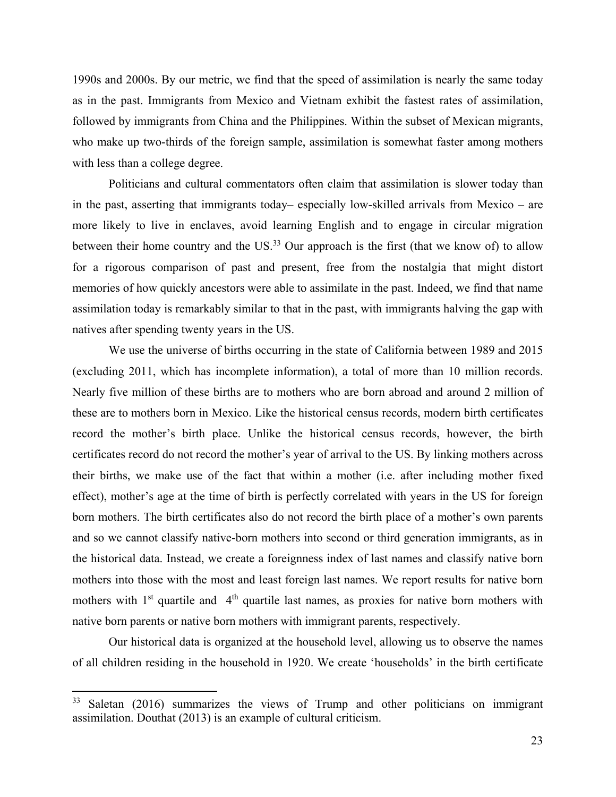1990s and 2000s. By our metric, we find that the speed of assimilation is nearly the same today as in the past. Immigrants from Mexico and Vietnam exhibit the fastest rates of assimilation, followed by immigrants from China and the Philippines. Within the subset of Mexican migrants, who make up two-thirds of the foreign sample, assimilation is somewhat faster among mothers with less than a college degree.

Politicians and cultural commentators often claim that assimilation is slower today than in the past, asserting that immigrants today– especially low-skilled arrivals from Mexico – are more likely to live in enclaves, avoid learning English and to engage in circular migration between their home country and the US.<sup>33</sup> Our approach is the first (that we know of) to allow for a rigorous comparison of past and present, free from the nostalgia that might distort memories of how quickly ancestors were able to assimilate in the past. Indeed, we find that name assimilation today is remarkably similar to that in the past, with immigrants halving the gap with natives after spending twenty years in the US.

We use the universe of births occurring in the state of California between 1989 and 2015 (excluding 2011, which has incomplete information), a total of more than 10 million records. Nearly five million of these births are to mothers who are born abroad and around 2 million of these are to mothers born in Mexico. Like the historical census records, modern birth certificates record the mother's birth place. Unlike the historical census records, however, the birth certificates record do not record the mother's year of arrival to the US. By linking mothers across their births, we make use of the fact that within a mother (i.e. after including mother fixed effect), mother's age at the time of birth is perfectly correlated with years in the US for foreign born mothers. The birth certificates also do not record the birth place of a mother's own parents and so we cannot classify native-born mothers into second or third generation immigrants, as in the historical data. Instead, we create a foreignness index of last names and classify native born mothers into those with the most and least foreign last names. We report results for native born mothers with  $1<sup>st</sup>$  quartile and  $4<sup>th</sup>$  quartile last names, as proxies for native born mothers with native born parents or native born mothers with immigrant parents, respectively.

Our historical data is organized at the household level, allowing us to observe the names of all children residing in the household in 1920. We create 'households' in the birth certificate

 $33$  Saletan (2016) summarizes the views of Trump and other politicians on immigrant assimilation. Douthat (2013) is an example of cultural criticism.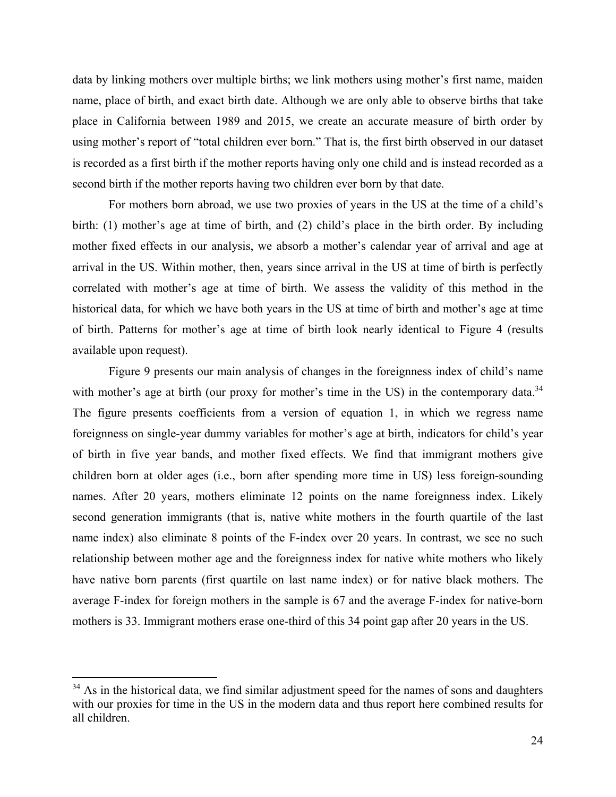data by linking mothers over multiple births; we link mothers using mother's first name, maiden name, place of birth, and exact birth date. Although we are only able to observe births that take place in California between 1989 and 2015, we create an accurate measure of birth order by using mother's report of "total children ever born." That is, the first birth observed in our dataset is recorded as a first birth if the mother reports having only one child and is instead recorded as a second birth if the mother reports having two children ever born by that date.

For mothers born abroad, we use two proxies of years in the US at the time of a child's birth: (1) mother's age at time of birth, and (2) child's place in the birth order. By including mother fixed effects in our analysis, we absorb a mother's calendar year of arrival and age at arrival in the US. Within mother, then, years since arrival in the US at time of birth is perfectly correlated with mother's age at time of birth. We assess the validity of this method in the historical data, for which we have both years in the US at time of birth and mother's age at time of birth. Patterns for mother's age at time of birth look nearly identical to Figure 4 (results available upon request).

Figure 9 presents our main analysis of changes in the foreignness index of child's name with mother's age at birth (our proxy for mother's time in the US) in the contemporary data.<sup>34</sup> The figure presents coefficients from a version of equation 1, in which we regress name foreignness on single-year dummy variables for mother's age at birth, indicators for child's year of birth in five year bands, and mother fixed effects. We find that immigrant mothers give children born at older ages (i.e., born after spending more time in US) less foreign-sounding names. After 20 years, mothers eliminate 12 points on the name foreignness index. Likely second generation immigrants (that is, native white mothers in the fourth quartile of the last name index) also eliminate 8 points of the F-index over 20 years. In contrast, we see no such relationship between mother age and the foreignness index for native white mothers who likely have native born parents (first quartile on last name index) or for native black mothers. The average F-index for foreign mothers in the sample is 67 and the average F-index for native-born mothers is 33. Immigrant mothers erase one-third of this 34 point gap after 20 years in the US.

 $34$  As in the historical data, we find similar adjustment speed for the names of sons and daughters with our proxies for time in the US in the modern data and thus report here combined results for all children.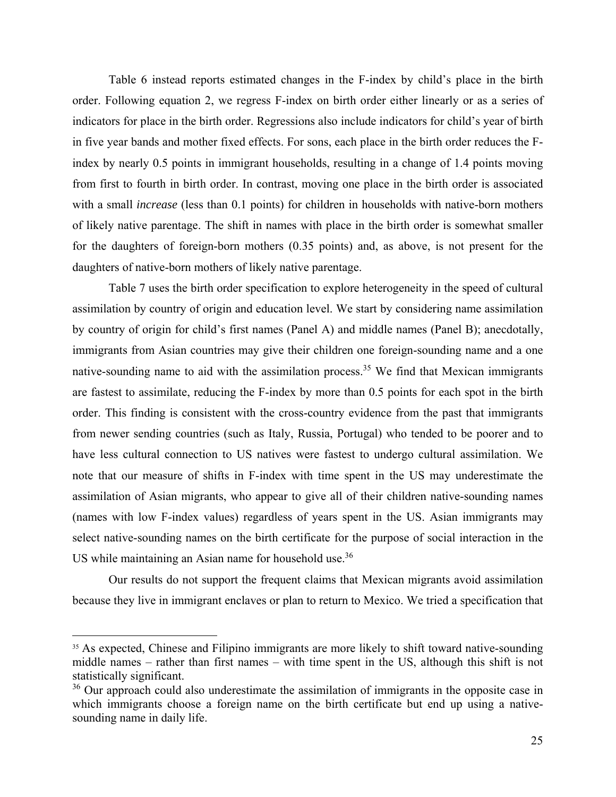Table 6 instead reports estimated changes in the F-index by child's place in the birth order. Following equation 2, we regress F-index on birth order either linearly or as a series of indicators for place in the birth order. Regressions also include indicators for child's year of birth in five year bands and mother fixed effects. For sons, each place in the birth order reduces the Findex by nearly 0.5 points in immigrant households, resulting in a change of 1.4 points moving from first to fourth in birth order. In contrast, moving one place in the birth order is associated with a small *increase* (less than 0.1 points) for children in households with native-born mothers of likely native parentage. The shift in names with place in the birth order is somewhat smaller for the daughters of foreign-born mothers (0.35 points) and, as above, is not present for the daughters of native-born mothers of likely native parentage.

Table 7 uses the birth order specification to explore heterogeneity in the speed of cultural assimilation by country of origin and education level. We start by considering name assimilation by country of origin for child's first names (Panel A) and middle names (Panel B); anecdotally, immigrants from Asian countries may give their children one foreign-sounding name and a one native-sounding name to aid with the assimilation process.<sup>35</sup> We find that Mexican immigrants are fastest to assimilate, reducing the F-index by more than 0.5 points for each spot in the birth order. This finding is consistent with the cross-country evidence from the past that immigrants from newer sending countries (such as Italy, Russia, Portugal) who tended to be poorer and to have less cultural connection to US natives were fastest to undergo cultural assimilation. We note that our measure of shifts in F-index with time spent in the US may underestimate the assimilation of Asian migrants, who appear to give all of their children native-sounding names (names with low F-index values) regardless of years spent in the US. Asian immigrants may select native-sounding names on the birth certificate for the purpose of social interaction in the US while maintaining an Asian name for household use.<sup>36</sup>

Our results do not support the frequent claims that Mexican migrants avoid assimilation because they live in immigrant enclaves or plan to return to Mexico. We tried a specification that

 $35$  As expected, Chinese and Filipino immigrants are more likely to shift toward native-sounding middle names – rather than first names – with time spent in the US, although this shift is not statistically significant.

 $36$  Our approach could also underestimate the assimilation of immigrants in the opposite case in which immigrants choose a foreign name on the birth certificate but end up using a nativesounding name in daily life.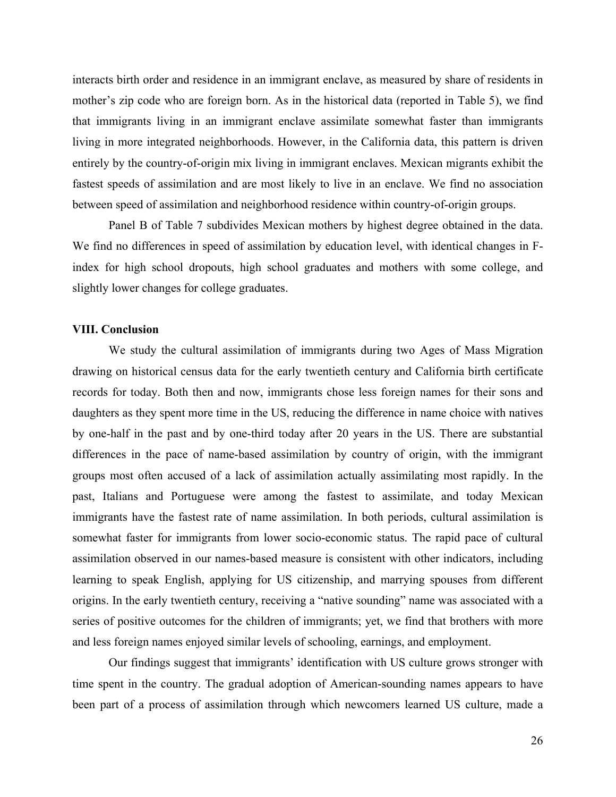interacts birth order and residence in an immigrant enclave, as measured by share of residents in mother's zip code who are foreign born. As in the historical data (reported in Table 5), we find that immigrants living in an immigrant enclave assimilate somewhat faster than immigrants living in more integrated neighborhoods. However, in the California data, this pattern is driven entirely by the country-of-origin mix living in immigrant enclaves. Mexican migrants exhibit the fastest speeds of assimilation and are most likely to live in an enclave. We find no association between speed of assimilation and neighborhood residence within country-of-origin groups.

Panel B of Table 7 subdivides Mexican mothers by highest degree obtained in the data. We find no differences in speed of assimilation by education level, with identical changes in Findex for high school dropouts, high school graduates and mothers with some college, and slightly lower changes for college graduates.

### **VIII. Conclusion**

We study the cultural assimilation of immigrants during two Ages of Mass Migration drawing on historical census data for the early twentieth century and California birth certificate records for today. Both then and now, immigrants chose less foreign names for their sons and daughters as they spent more time in the US, reducing the difference in name choice with natives by one-half in the past and by one-third today after 20 years in the US. There are substantial differences in the pace of name-based assimilation by country of origin, with the immigrant groups most often accused of a lack of assimilation actually assimilating most rapidly. In the past, Italians and Portuguese were among the fastest to assimilate, and today Mexican immigrants have the fastest rate of name assimilation. In both periods, cultural assimilation is somewhat faster for immigrants from lower socio-economic status. The rapid pace of cultural assimilation observed in our names-based measure is consistent with other indicators, including learning to speak English, applying for US citizenship, and marrying spouses from different origins. In the early twentieth century, receiving a "native sounding" name was associated with a series of positive outcomes for the children of immigrants; yet, we find that brothers with more and less foreign names enjoyed similar levels of schooling, earnings, and employment.

Our findings suggest that immigrants' identification with US culture grows stronger with time spent in the country. The gradual adoption of American-sounding names appears to have been part of a process of assimilation through which newcomers learned US culture, made a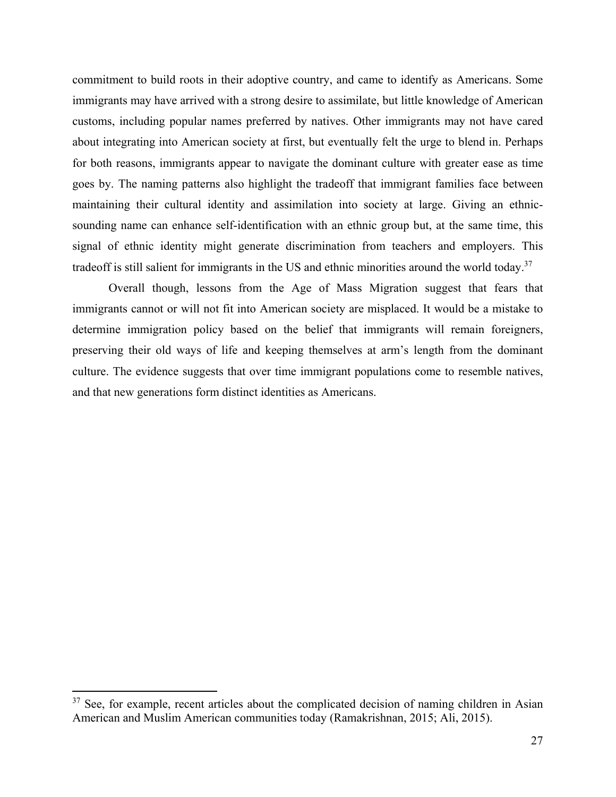commitment to build roots in their adoptive country, and came to identify as Americans. Some immigrants may have arrived with a strong desire to assimilate, but little knowledge of American customs, including popular names preferred by natives. Other immigrants may not have cared about integrating into American society at first, but eventually felt the urge to blend in. Perhaps for both reasons, immigrants appear to navigate the dominant culture with greater ease as time goes by. The naming patterns also highlight the tradeoff that immigrant families face between maintaining their cultural identity and assimilation into society at large. Giving an ethnicsounding name can enhance self-identification with an ethnic group but, at the same time, this signal of ethnic identity might generate discrimination from teachers and employers. This tradeoff is still salient for immigrants in the US and ethnic minorities around the world today.<sup>37</sup>

Overall though, lessons from the Age of Mass Migration suggest that fears that immigrants cannot or will not fit into American society are misplaced. It would be a mistake to determine immigration policy based on the belief that immigrants will remain foreigners, preserving their old ways of life and keeping themselves at arm's length from the dominant culture. The evidence suggests that over time immigrant populations come to resemble natives, and that new generations form distinct identities as Americans.

 $37$  See, for example, recent articles about the complicated decision of naming children in Asian American and Muslim American communities today (Ramakrishnan, 2015; Ali, 2015).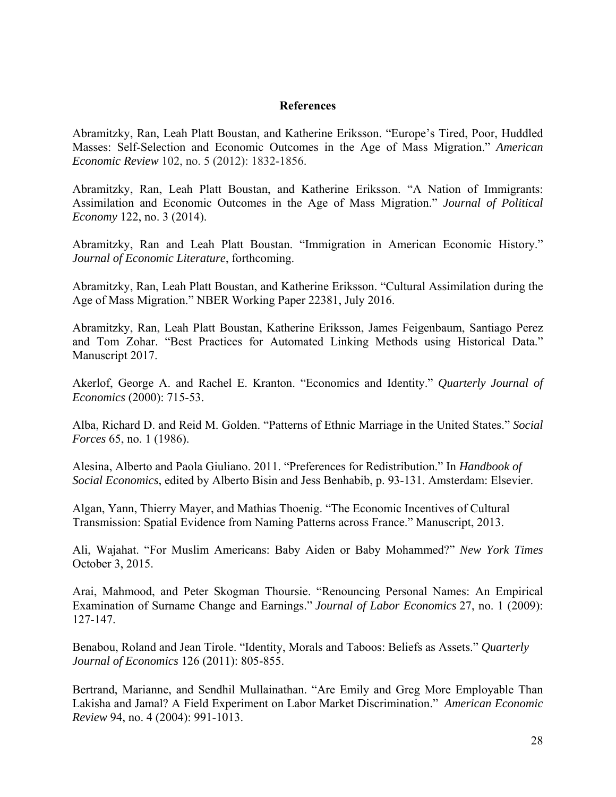### **References**

Abramitzky, Ran, Leah Platt Boustan, and Katherine Eriksson. "Europe's Tired, Poor, Huddled Masses: Self-Selection and Economic Outcomes in the Age of Mass Migration." *American Economic Review* 102, no. 5 (2012): 1832-1856.

Abramitzky, Ran, Leah Platt Boustan, and Katherine Eriksson. "A Nation of Immigrants: Assimilation and Economic Outcomes in the Age of Mass Migration." *Journal of Political Economy* 122, no. 3 (2014).

Abramitzky, Ran and Leah Platt Boustan. "Immigration in American Economic History." *Journal of Economic Literature*, forthcoming.

Abramitzky, Ran, Leah Platt Boustan, and Katherine Eriksson. "Cultural Assimilation during the Age of Mass Migration." NBER Working Paper 22381, July 2016.

Abramitzky, Ran, Leah Platt Boustan, Katherine Eriksson, James Feigenbaum, Santiago Perez and Tom Zohar. "Best Practices for Automated Linking Methods using Historical Data." Manuscript 2017.

Akerlof, George A. and Rachel E. Kranton. "Economics and Identity." *Quarterly Journal of Economics* (2000): 715-53.

Alba, Richard D. and Reid M. Golden. "Patterns of Ethnic Marriage in the United States." *Social Forces* 65, no. 1 (1986).

Alesina, Alberto and Paola Giuliano. 2011. "Preferences for Redistribution." In *Handbook of Social Economics*, edited by Alberto Bisin and Jess Benhabib, p. 93-131. Amsterdam: Elsevier.

Algan, Yann, Thierry Mayer, and Mathias Thoenig. "The Economic Incentives of Cultural Transmission: Spatial Evidence from Naming Patterns across France." Manuscript, 2013.

Ali, Wajahat. "For Muslim Americans: Baby Aiden or Baby Mohammed?" *New York Times* October 3, 2015.

Arai, Mahmood, and Peter Skogman Thoursie. "Renouncing Personal Names: An Empirical Examination of Surname Change and Earnings." *Journal of Labor Economics* 27, no. 1 (2009): 127-147.

Benabou, Roland and Jean Tirole. "Identity, Morals and Taboos: Beliefs as Assets." *Quarterly Journal of Economics* 126 (2011): 805-855.

Bertrand, Marianne, and Sendhil Mullainathan. "Are Emily and Greg More Employable Than Lakisha and Jamal? A Field Experiment on Labor Market Discrimination." *American Economic Review* 94, no. 4 (2004): 991-1013.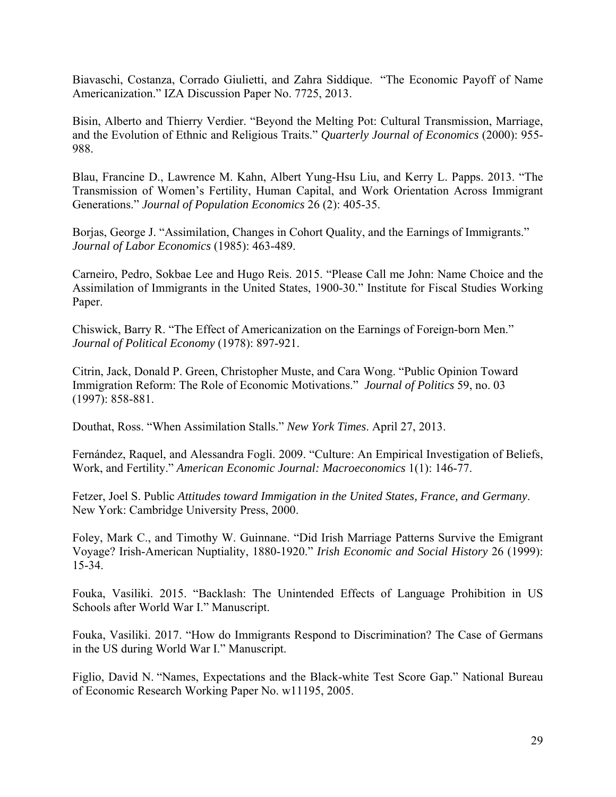Biavaschi, Costanza, Corrado Giulietti, and Zahra Siddique. "The Economic Payoff of Name Americanization." IZA Discussion Paper No. 7725, 2013.

Bisin, Alberto and Thierry Verdier. "Beyond the Melting Pot: Cultural Transmission, Marriage, and the Evolution of Ethnic and Religious Traits." *Quarterly Journal of Economics* (2000): 955- 988.

Blau, Francine D., Lawrence M. Kahn, Albert Yung-Hsu Liu, and Kerry L. Papps. 2013. "The Transmission of Women's Fertility, Human Capital, and Work Orientation Across Immigrant Generations." *Journal of Population Economics* 26 (2): 405-35.

Borjas, George J. "Assimilation, Changes in Cohort Quality, and the Earnings of Immigrants." *Journal of Labor Economics* (1985): 463-489.

Carneiro, Pedro, Sokbae Lee and Hugo Reis. 2015. "Please Call me John: Name Choice and the Assimilation of Immigrants in the United States, 1900-30." Institute for Fiscal Studies Working Paper.

Chiswick, Barry R. "The Effect of Americanization on the Earnings of Foreign-born Men." *Journal of Political Economy* (1978): 897-921.

Citrin, Jack, Donald P. Green, Christopher Muste, and Cara Wong. "Public Opinion Toward Immigration Reform: The Role of Economic Motivations." *Journal of Politics* 59, no. 03 (1997): 858-881.

Douthat, Ross. "When Assimilation Stalls." *New York Times*. April 27, 2013.

Fernández, Raquel, and Alessandra Fogli. 2009. "Culture: An Empirical Investigation of Beliefs, Work, and Fertility." *American Economic Journal: Macroeconomics* 1(1): 146-77.

Fetzer, Joel S. Public *Attitudes toward Immigation in the United States, France, and Germany*. New York: Cambridge University Press, 2000.

Foley, Mark C., and Timothy W. Guinnane. "Did Irish Marriage Patterns Survive the Emigrant Voyage? Irish-American Nuptiality, 1880-1920." *Irish Economic and Social History* 26 (1999): 15-34.

Fouka, Vasiliki. 2015. "Backlash: The Unintended Effects of Language Prohibition in US Schools after World War I." Manuscript.

Fouka, Vasiliki. 2017. "How do Immigrants Respond to Discrimination? The Case of Germans in the US during World War I." Manuscript.

Figlio, David N. "Names, Expectations and the Black-white Test Score Gap." National Bureau of Economic Research Working Paper No. w11195, 2005.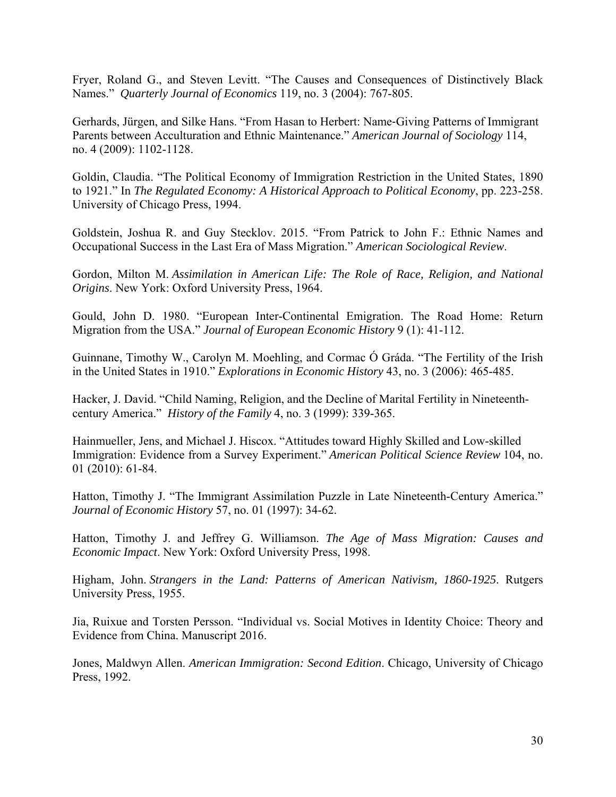Fryer, Roland G., and Steven Levitt. "The Causes and Consequences of Distinctively Black Names." *Quarterly Journal of Economics* 119, no. 3 (2004): 767-805.

Gerhards, Jürgen, and Silke Hans. "From Hasan to Herbert: Name‐Giving Patterns of Immigrant Parents between Acculturation and Ethnic Maintenance." *American Journal of Sociology* 114, no. 4 (2009): 1102-1128.

Goldin, Claudia. "The Political Economy of Immigration Restriction in the United States, 1890 to 1921." In *The Regulated Economy: A Historical Approach to Political Economy*, pp. 223-258. University of Chicago Press, 1994.

Goldstein, Joshua R. and Guy Stecklov. 2015. "From Patrick to John F.: Ethnic Names and Occupational Success in the Last Era of Mass Migration." *American Sociological Review*.

Gordon, Milton M. *Assimilation in American Life: The Role of Race, Religion, and National Origins*. New York: Oxford University Press, 1964.

Gould, John D. 1980. "European Inter-Continental Emigration. The Road Home: Return Migration from the USA." *Journal of European Economic History* 9 (1): 41-112.

Guinnane, Timothy W., Carolyn M. Moehling, and Cormac Ó Gráda. "The Fertility of the Irish in the United States in 1910." *Explorations in Economic History* 43, no. 3 (2006): 465-485.

Hacker, J. David. "Child Naming, Religion, and the Decline of Marital Fertility in Nineteenthcentury America." *History of the Family* 4, no. 3 (1999): 339-365.

Hainmueller, Jens, and Michael J. Hiscox. "Attitudes toward Highly Skilled and Low-skilled Immigration: Evidence from a Survey Experiment." *American Political Science Review* 104, no. 01 (2010): 61-84.

Hatton, Timothy J. "The Immigrant Assimilation Puzzle in Late Nineteenth-Century America." *Journal of Economic History* 57, no. 01 (1997): 34-62.

Hatton, Timothy J. and Jeffrey G. Williamson. *The Age of Mass Migration: Causes and Economic Impact*. New York: Oxford University Press, 1998.

Higham, John. *Strangers in the Land: Patterns of American Nativism, 1860-1925*. Rutgers University Press, 1955.

Jia, Ruixue and Torsten Persson. "Individual vs. Social Motives in Identity Choice: Theory and Evidence from China. Manuscript 2016.

Jones, Maldwyn Allen. *American Immigration: Second Edition*. Chicago, University of Chicago Press, 1992.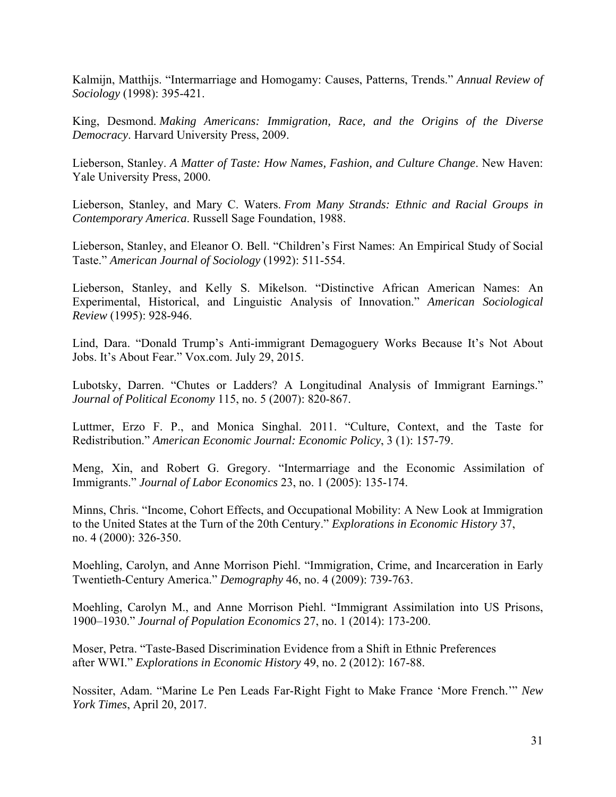Kalmijn, Matthijs. "Intermarriage and Homogamy: Causes, Patterns, Trends." *Annual Review of Sociology* (1998): 395-421.

King, Desmond. *Making Americans: Immigration, Race, and the Origins of the Diverse Democracy*. Harvard University Press, 2009.

Lieberson, Stanley. *A Matter of Taste: How Names, Fashion, and Culture Change*. New Haven: Yale University Press, 2000.

Lieberson, Stanley, and Mary C. Waters. *From Many Strands: Ethnic and Racial Groups in Contemporary America*. Russell Sage Foundation, 1988.

Lieberson, Stanley, and Eleanor O. Bell. "Children's First Names: An Empirical Study of Social Taste." *American Journal of Sociology* (1992): 511-554.

Lieberson, Stanley, and Kelly S. Mikelson. "Distinctive African American Names: An Experimental, Historical, and Linguistic Analysis of Innovation." *American Sociological Review* (1995): 928-946.

Lind, Dara. "Donald Trump's Anti-immigrant Demagoguery Works Because It's Not About Jobs. It's About Fear." Vox.com. July 29, 2015.

Lubotsky, Darren. "Chutes or Ladders? A Longitudinal Analysis of Immigrant Earnings." *Journal of Political Economy* 115, no. 5 (2007): 820-867.

Luttmer, Erzo F. P., and Monica Singhal. 2011. "Culture, Context, and the Taste for Redistribution." *American Economic Journal: Economic Policy*, 3 (1): 157-79.

Meng, Xin, and Robert G. Gregory. "Intermarriage and the Economic Assimilation of Immigrants." *Journal of Labor Economics* 23, no. 1 (2005): 135-174.

Minns, Chris. "Income, Cohort Effects, and Occupational Mobility: A New Look at Immigration to the United States at the Turn of the 20th Century." *Explorations in Economic History* 37, no. 4 (2000): 326-350.

Moehling, Carolyn, and Anne Morrison Piehl. "Immigration, Crime, and Incarceration in Early Twentieth-Century America." *Demography* 46, no. 4 (2009): 739-763.

Moehling, Carolyn M., and Anne Morrison Piehl. "Immigrant Assimilation into US Prisons, 1900–1930." *Journal of Population Economics* 27, no. 1 (2014): 173-200.

Moser, Petra. "Taste-Based Discrimination Evidence from a Shift in Ethnic Preferences after WWI." *Explorations in Economic History* 49, no. 2 (2012): 167-88.

Nossiter, Adam. "Marine Le Pen Leads Far-Right Fight to Make France 'More French.'" *New York Times*, April 20, 2017.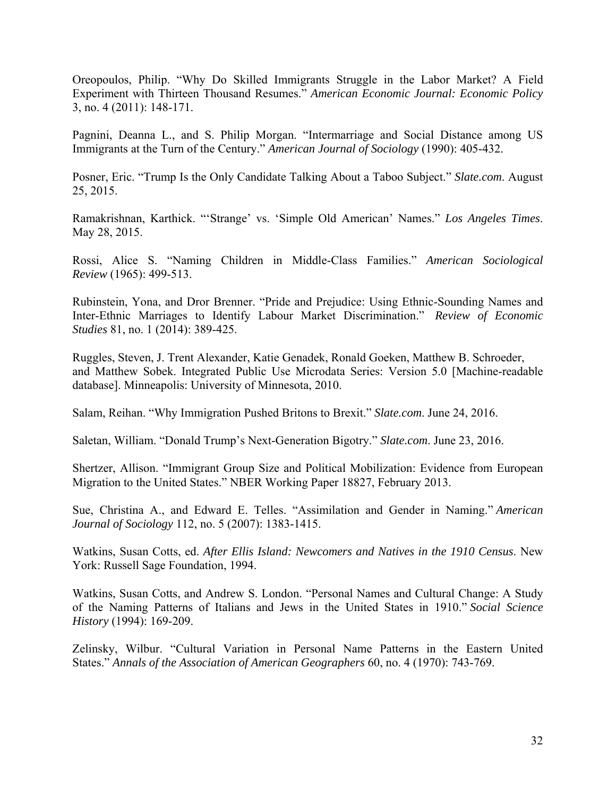Oreopoulos, Philip. "Why Do Skilled Immigrants Struggle in the Labor Market? A Field Experiment with Thirteen Thousand Resumes." *American Economic Journal: Economic Policy* 3, no. 4 (2011): 148-171.

Pagnini, Deanna L., and S. Philip Morgan. "Intermarriage and Social Distance among US Immigrants at the Turn of the Century." *American Journal of Sociology* (1990): 405-432.

Posner, Eric. "Trump Is the Only Candidate Talking About a Taboo Subject." *Slate.com*. August 25, 2015.

Ramakrishnan, Karthick. "'Strange' vs. 'Simple Old American' Names." *Los Angeles Times*. May 28, 2015.

Rossi, Alice S. "Naming Children in Middle-Class Families." *American Sociological Review* (1965): 499-513.

Rubinstein, Yona, and Dror Brenner. "Pride and Prejudice: Using Ethnic-Sounding Names and Inter-Ethnic Marriages to Identify Labour Market Discrimination." *Review of Economic Studies* 81, no. 1 (2014): 389-425.

Ruggles, Steven, J. Trent Alexander, Katie Genadek, Ronald Goeken, Matthew B. Schroeder, and Matthew Sobek. Integrated Public Use Microdata Series: Version 5.0 [Machine-readable database]. Minneapolis: University of Minnesota, 2010.

Salam, Reihan. "Why Immigration Pushed Britons to Brexit." *Slate.com*. June 24, 2016.

Saletan, William. "Donald Trump's Next-Generation Bigotry." *Slate.com*. June 23, 2016.

Shertzer, Allison. "Immigrant Group Size and Political Mobilization: Evidence from European Migration to the United States." NBER Working Paper 18827, February 2013.

Sue, Christina A., and Edward E. Telles. "Assimilation and Gender in Naming." *American Journal of Sociology* 112, no. 5 (2007): 1383-1415.

Watkins, Susan Cotts, ed. *After Ellis Island: Newcomers and Natives in the 1910 Census*. New York: Russell Sage Foundation, 1994.

Watkins, Susan Cotts, and Andrew S. London. "Personal Names and Cultural Change: A Study of the Naming Patterns of Italians and Jews in the United States in 1910." *Social Science History* (1994): 169-209.

Zelinsky, Wilbur. "Cultural Variation in Personal Name Patterns in the Eastern United States." *Annals of the Association of American Geographers* 60, no. 4 (1970): 743-769.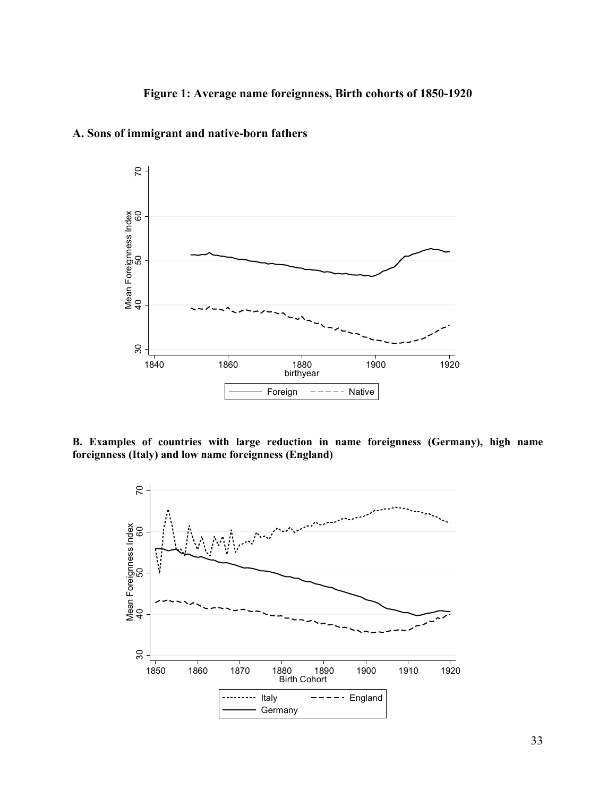

**A. Sons of immigrant and native-born fathers** 

**B. Examples of countries with large reduction in name foreignness (Germany), high name** 

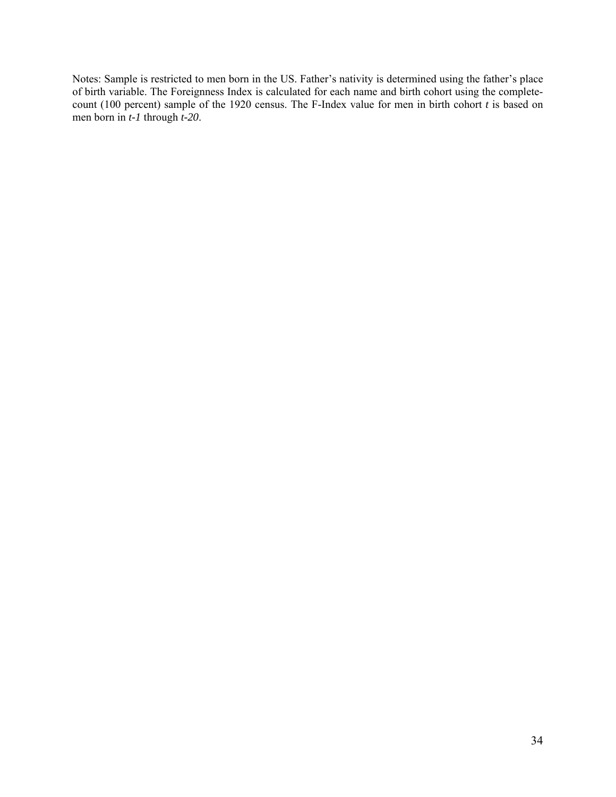Notes: Sample is restricted to men born in the US. Father's nativity is determined using the father's place of birth variable. The Foreignness Index is calculated for each name and birth cohort using the completecount (100 percent) sample of the 1920 census. The F-Index value for men in birth cohort *t* is based on men born in *t-1* through *t-20*.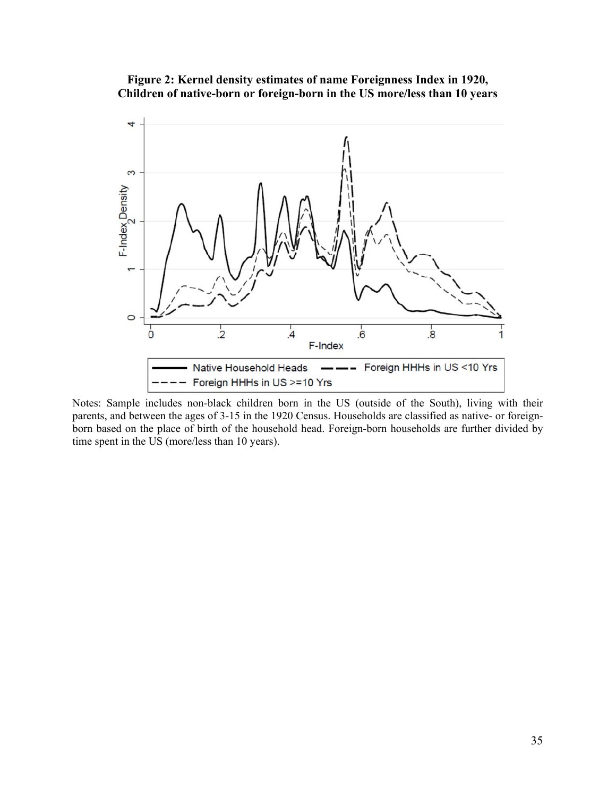**Figure 2: Kernel density estimates of name Foreignness Index in 1920, Children of native-born or foreign-born in the US more/less than 10 years** 



Notes: Sample includes non-black children born in the US (outside of the South), living with their parents, and between the ages of 3-15 in the 1920 Census. Households are classified as native- or foreignborn based on the place of birth of the household head. Foreign-born households are further divided by time spent in the US (more/less than 10 years).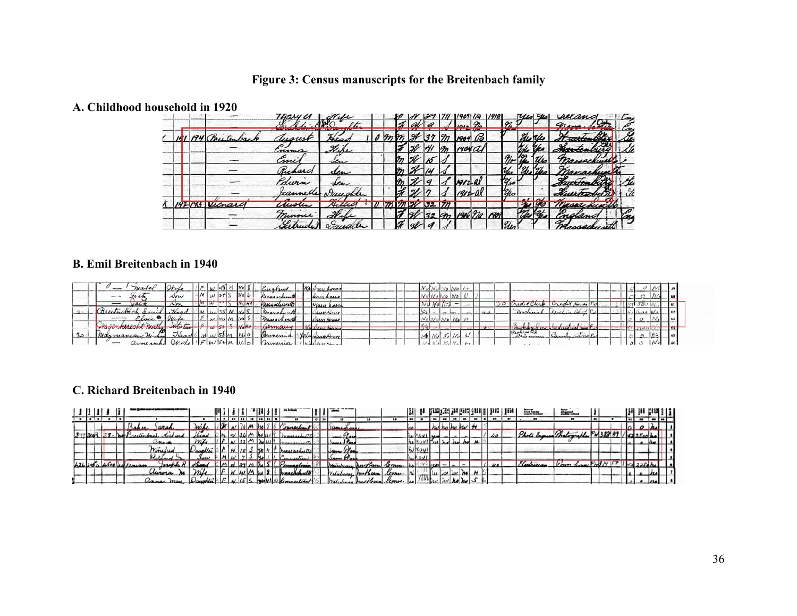# **Figure 3: Census manuscripts for the Breitenbach family**

#### **A. Childhood household in 1920**

|  |        | 14044         |                   |  |  |     |   |               |             |             | 61 L | numa       |               |  |
|--|--------|---------------|-------------------|--|--|-----|---|---------------|-------------|-------------|------|------------|---------------|--|
|  |        |               |                   |  |  |     |   |               |             |             |      |            | <b>Carlos</b> |  |
|  |        | ussuss        |                   |  |  |     |   |               | 64          |             |      |            |               |  |
|  |        | mma           | <u>ere</u>        |  |  |     |   |               | $1904 \, d$ |             |      |            |               |  |
|  |        | cmu           | um                |  |  |     |   |               |             |             |      |            | 24ARCAUSEE    |  |
|  |        | $\mathcal{A}$ |                   |  |  |     |   |               |             | и           |      |            |               |  |
|  |        | Edwin         |                   |  |  |     |   | $7912 - 21$   |             | The         |      |            |               |  |
|  |        |               | teannelle vouesta |  |  |     |   |               |             | <b>Elio</b> |      |            |               |  |
|  | yenare | usu           |                   |  |  |     |   |               |             |             |      | assichusch |               |  |
|  |        | nume          | na                |  |  | 132 | m | 1906 T/a 1909 |             |             |      | Congland   |               |  |
|  |        |               |                   |  |  |     |   |               |             |             |      |            |               |  |

#### **B. Emil Breitenbach in 1940**

|    | mate                                 | Wife                    |  |       | Cugand       | NA Scay Loved                | VO INO                      |                |                                        |                             |  |  |
|----|--------------------------------------|-------------------------|--|-------|--------------|------------------------------|-----------------------------|----------------|----------------------------------------|-----------------------------|--|--|
|    | --<br>$\mathcal{I} \cap \mathcal{L}$ | sow                     |  | $W_0$ | Massachunet  | asus anse                    |                             |                |                                        |                             |  |  |
|    | VAC<br>---                           | $\sim$ m                |  |       | Massachusett | Nauer Room                   | $N \circ (C)$               |                | Credit Clerk                           | Credit Horse P.             |  |  |
|    |                                      | $\alpha$                |  |       | resorchusett | aus Anne                     |                             | H <sub>0</sub> | Hadward                                |                             |  |  |
|    | isu                                  |                         |  |       | Massach with | Dame House                   | パン エンショーハム                  |                |                                        |                             |  |  |
|    |                                      |                         |  |       | 1201110101   | <b><i>NH NOUL MOISS</i></b>  |                             | <b>TURNER</b>  | <b>LOUTLE</b>                          | <b>MALLAN MARY CLOUM !!</b> |  |  |
| 30 | Thazmanian                           | ⊸<br>$rac{1}{\sqrt{2}}$ |  |       | armenia      | $\mathcal{N}$ NNA Naun Heure | $\mathcal{Q}$ $\mathcal{W}$ |                | <b>CONFERRE</b><br>$\sim$<br>Galeannan | $\sim$                      |  |  |
|    | armenound                            |                         |  |       |              | <i>Irmenica</i> Millan House |                             |                |                                        |                             |  |  |

# **C. Richard Breitenbach in 1940**

|         |  |                             |              |                |                    |               |                                       |                              |  |                    |               |    |                                          |                |   |         | Albert President          | --- |  |  |  |
|---------|--|-----------------------------|--------------|----------------|--------------------|---------------|---------------------------------------|------------------------------|--|--------------------|---------------|----|------------------------------------------|----------------|---|---------|---------------------------|-----|--|--|--|
|         |  |                             |              | A <sub>1</sub> | $10$ 11 19 18 14 3 |               |                                       |                              |  |                    |               | 21 | $122$ 33                                 | P <sub>0</sub> |   | 96      |                           |     |  |  |  |
|         |  | <b>Saha4</b>                |              |                |                    |               |                                       | 10                           |  |                    |               |    | not have had the                         |                |   |         |                           |     |  |  |  |
| 3.37341 |  |                             |              |                |                    |               | $\Delta u \wedge \omega u$ is now it! |                              |  |                    | $0.011$ $\mu$ |    |                                          |                |   | 40      | Photi Engraved materially |     |  |  |  |
|         |  | <i><u><b>Louise</b></u></i> |              |                |                    | $A \bullet H$ |                                       | L.I Tan                      |  |                    |               |    | not had had he                           |                | H |         |                           |     |  |  |  |
|         |  | Winessed                    | Janahley     |                |                    |               | prassaciulli                          | Samu Zaz                     |  |                    | <b>WIXOUI</b> |    |                                          |                |   |         |                           |     |  |  |  |
|         |  | Kilband                     | سمد          |                |                    |               |                                       | Same Place                   |  |                    |               |    |                                          |                |   |         |                           |     |  |  |  |
|         |  |                             |              |                |                    |               |                                       | Malubusy har Care            |  | $-0$ $\frac{1}{2}$ |               |    |                                          |                |   | $\mu$ e | Electrician               |     |  |  |  |
|         |  | Murora                      |              |                | $H/M$ by $30$      |               | massachults                           | Valubury heatlance           |  | Lenu.              |               |    |                                          | 144            |   |         |                           |     |  |  |  |
|         |  | anna may                    | 12 centrales |                |                    |               | N 15 S Junk 21 Connection             | Matubury husbleave Clone. he |  |                    |               |    | $hu$ $\frac{1}{2}$ $h$ $\frac{1}{2}$ $h$ |                |   |         |                           |     |  |  |  |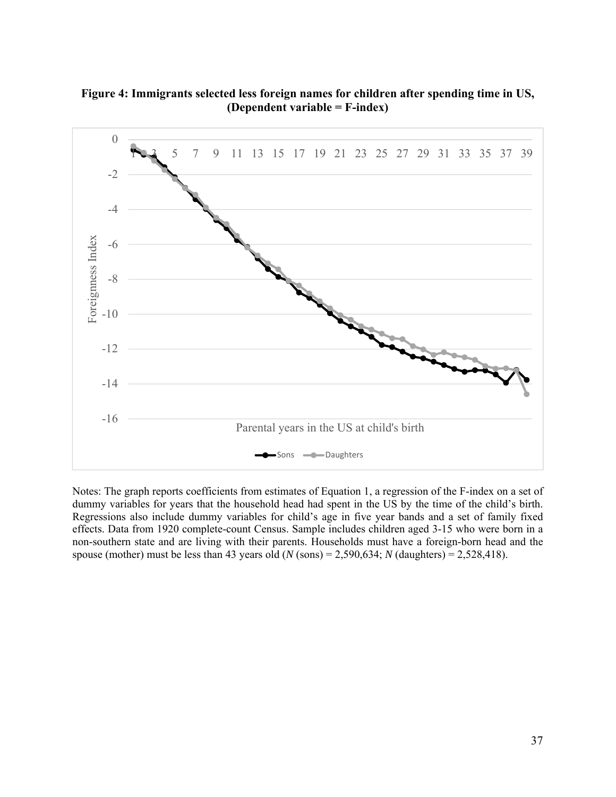**Figure 4: Immigrants selected less foreign names for children after spending time in US, (Dependent variable = F-index)** 



Notes: The graph reports coefficients from estimates of Equation 1, a regression of the F-index on a set of dummy variables for years that the household head had spent in the US by the time of the child's birth. Regressions also include dummy variables for child's age in five year bands and a set of family fixed effects. Data from 1920 complete-count Census. Sample includes children aged 3-15 who were born in a non-southern state and are living with their parents. Households must have a foreign-born head and the spouse (mother) must be less than 43 years old  $(N \text{ (sons)} = 2,590,634; N \text{ (daughters)} = 2,528,418)$ .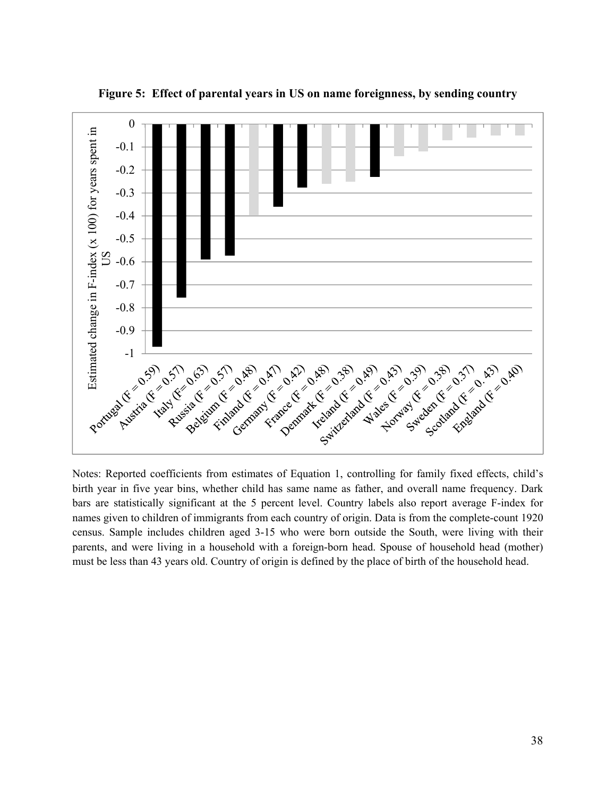

**Figure 5: Effect of parental years in US on name foreignness, by sending country** 

Notes: Reported coefficients from estimates of Equation 1, controlling for family fixed effects, child's birth year in five year bins, whether child has same name as father, and overall name frequency. Dark bars are statistically significant at the 5 percent level. Country labels also report average F-index for names given to children of immigrants from each country of origin. Data is from the complete-count 1920 census. Sample includes children aged 3-15 who were born outside the South, were living with their parents, and were living in a household with a foreign-born head. Spouse of household head (mother) must be less than 43 years old. Country of origin is defined by the place of birth of the household head.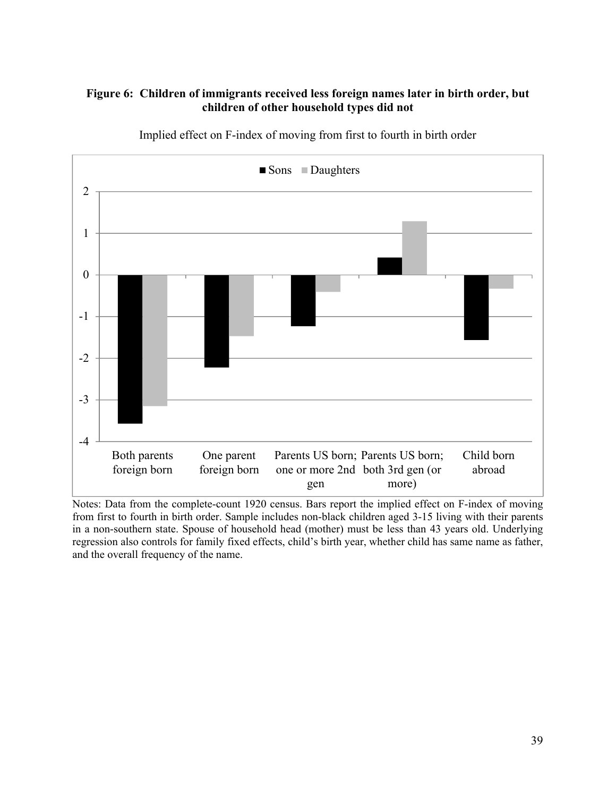# **Figure 6: Children of immigrants received less foreign names later in birth order, but children of other household types did not**



Implied effect on F-index of moving from first to fourth in birth order

Notes: Data from the complete-count 1920 census. Bars report the implied effect on F-index of moving from first to fourth in birth order. Sample includes non-black children aged 3-15 living with their parents in a non-southern state. Spouse of household head (mother) must be less than 43 years old. Underlying regression also controls for family fixed effects, child's birth year, whether child has same name as father, and the overall frequency of the name.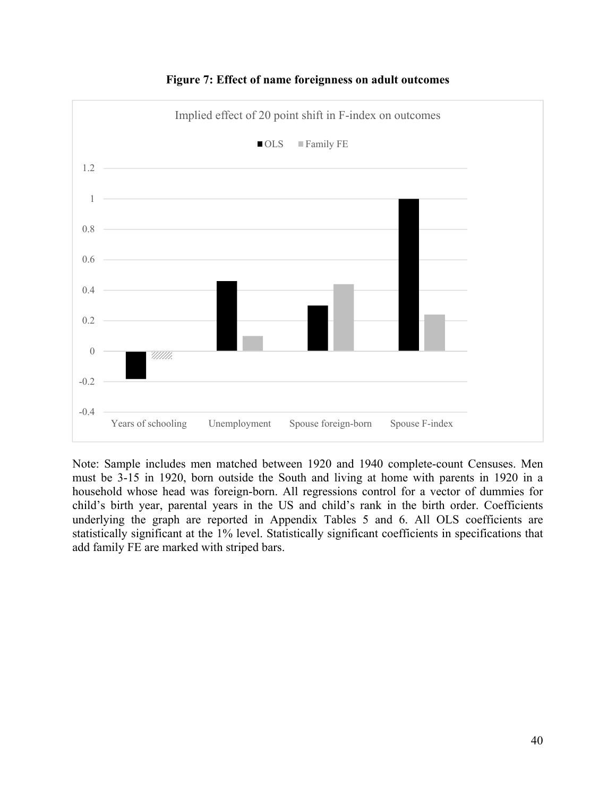

**Figure 7: Effect of name foreignness on adult outcomes** 

Note: Sample includes men matched between 1920 and 1940 complete-count Censuses. Men must be 3-15 in 1920, born outside the South and living at home with parents in 1920 in a household whose head was foreign-born. All regressions control for a vector of dummies for child's birth year, parental years in the US and child's rank in the birth order. Coefficients underlying the graph are reported in Appendix Tables 5 and 6. All OLS coefficients are statistically significant at the 1% level. Statistically significant coefficients in specifications that add family FE are marked with striped bars.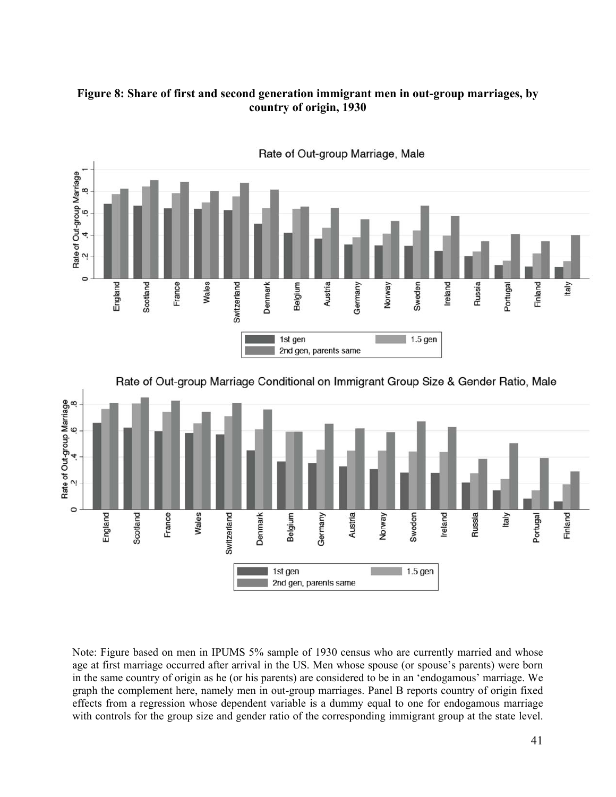# **Figure 8: Share of first and second generation immigrant men in out-group marriages, by country of origin, 1930**



Rate of Out-group Marriage, Male



Note: Figure based on men in IPUMS 5% sample of 1930 census who are currently married and whose age at first marriage occurred after arrival in the US. Men whose spouse (or spouse's parents) were born in the same country of origin as he (or his parents) are considered to be in an 'endogamous' marriage. We graph the complement here, namely men in out-group marriages. Panel B reports country of origin fixed effects from a regression whose dependent variable is a dummy equal to one for endogamous marriage with controls for the group size and gender ratio of the corresponding immigrant group at the state level.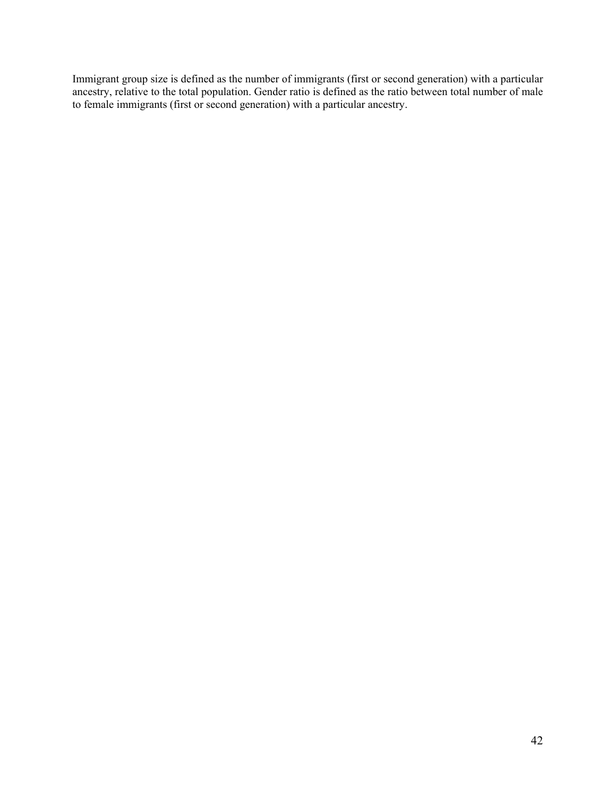Immigrant group size is defined as the number of immigrants (first or second generation) with a particular ancestry, relative to the total population. Gender ratio is defined as the ratio between total number of male to female immigrants (first or second generation) with a particular ancestry.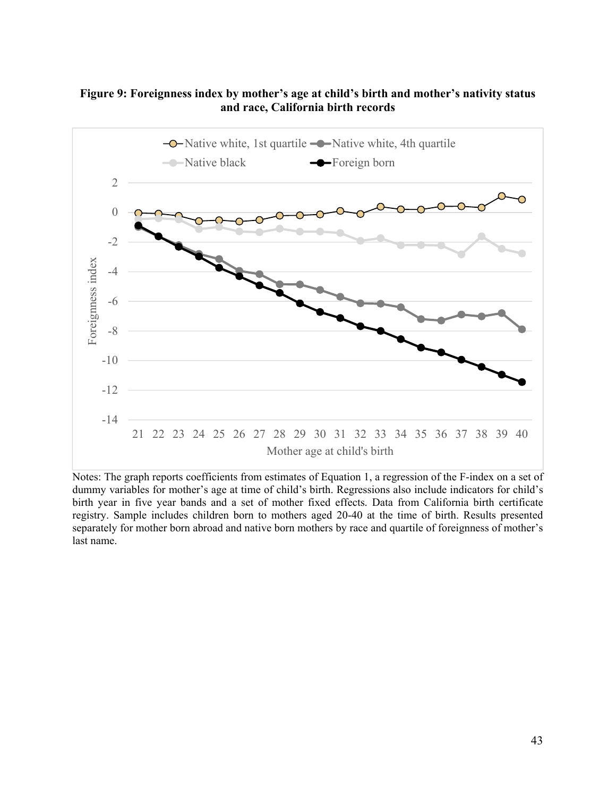## **Figure 9: Foreignness index by mother's age at child's birth and mother's nativity status and race, California birth records**



Notes: The graph reports coefficients from estimates of Equation 1, a regression of the F-index on a set of dummy variables for mother's age at time of child's birth. Regressions also include indicators for child's birth year in five year bands and a set of mother fixed effects. Data from California birth certificate registry. Sample includes children born to mothers aged 20-40 at the time of birth. Results presented separately for mother born abroad and native born mothers by race and quartile of foreignness of mother's last name.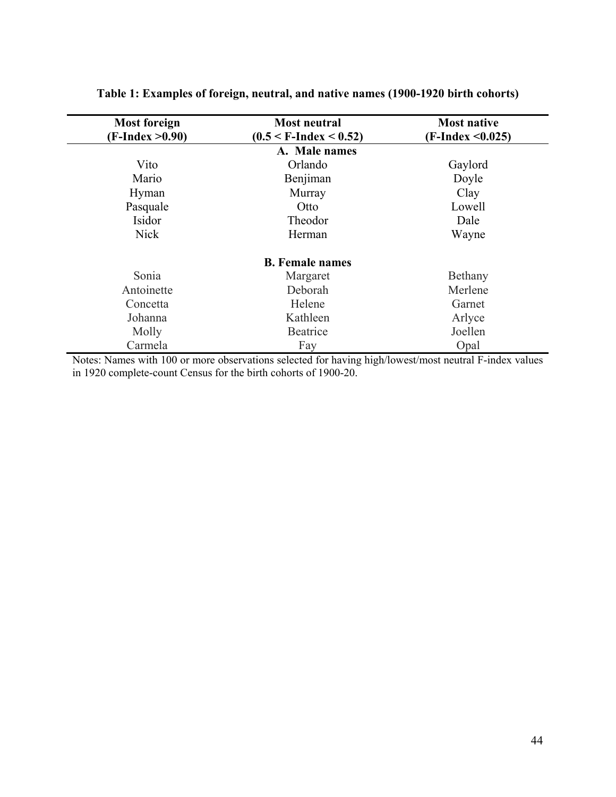| <b>Most foreign</b><br>$(F-Index > 0.90)$ | <b>Most neutral</b><br>$(0.5 < F$ -Index $< 0.52)$ | <b>Most native</b><br>$(F-Index < 0.025)$ |
|-------------------------------------------|----------------------------------------------------|-------------------------------------------|
|                                           | A. Male names                                      |                                           |
| Vito                                      | Orlando                                            | Gaylord                                   |
| Mario                                     | Benjiman                                           | Doyle                                     |
| Hyman                                     | Murray                                             | Clay                                      |
| Pasquale                                  | Otto                                               | Lowell                                    |
| Isidor                                    | Theodor                                            | Dale                                      |
| <b>Nick</b>                               | Herman                                             | Wayne                                     |
|                                           | <b>B.</b> Female names                             |                                           |
| Sonia                                     | Margaret                                           | Bethany                                   |
| Antoinette                                | Deborah                                            | Merlene                                   |
| Concetta                                  | Helene                                             | Garnet                                    |
| Johanna                                   | Kathleen                                           | Arlyce                                    |
| Molly                                     | Beatrice                                           | Joellen                                   |
| Carmela                                   | Fay                                                | Opal                                      |

# **Table 1: Examples of foreign, neutral, and native names (1900-1920 birth cohorts)**

Notes: Names with 100 or more observations selected for having high/lowest/most neutral F-index values in 1920 complete-count Census for the birth cohorts of 1900-20.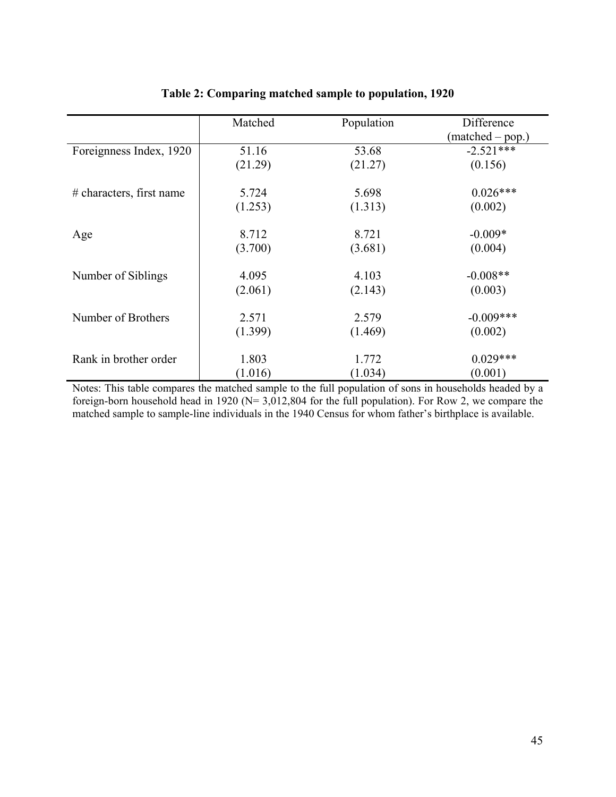|                            | Matched | Population | Difference         |
|----------------------------|---------|------------|--------------------|
|                            |         |            | $(matched - pop.)$ |
| Foreignness Index, 1920    | 51.16   | 53.68      | $-2.521***$        |
|                            | (21.29) | (21.27)    | (0.156)            |
| $#$ characters, first name | 5.724   | 5.698      | $0.026***$         |
|                            | (1.253) | (1.313)    | (0.002)            |
| Age                        | 8.712   | 8.721      | $-0.009*$          |
|                            | (3.700) | (3.681)    | (0.004)            |
| Number of Siblings         | 4.095   | 4.103      | $-0.008**$         |
|                            | (2.061) | (2.143)    | (0.003)            |
| Number of Brothers         | 2.571   | 2.579      | $-0.009***$        |
|                            | (1.399) | (1.469)    | (0.002)            |
| Rank in brother order      | 1.803   | 1.772      | $0.029***$         |
|                            | (1.016) | (1.034)    | (0.001)            |

# **Table 2: Comparing matched sample to population, 1920**

Notes: This table compares the matched sample to the full population of sons in households headed by a foreign-born household head in 1920 ( $N= 3,012,804$  for the full population). For Row 2, we compare the matched sample to sample-line individuals in the 1940 Census for whom father's birthplace is available.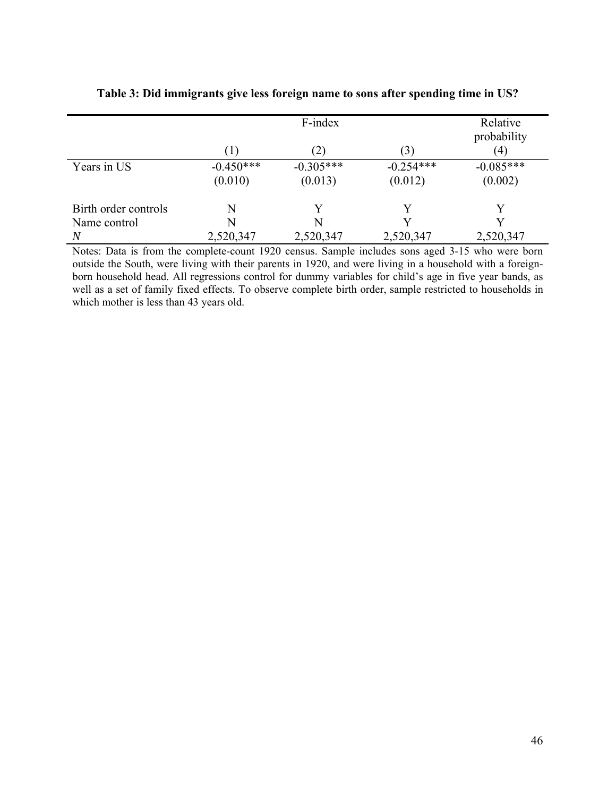|                      |             | F-index     |             | Relative<br>probability |
|----------------------|-------------|-------------|-------------|-------------------------|
|                      | (1)         | (2)         | (3)         | $\left(4\right)$        |
| Years in US          | $-0.450***$ | $-0.305***$ | $-0.254***$ | $-0.085***$             |
|                      | (0.010)     | (0.013)     | (0.012)     | (0.002)                 |
| Birth order controls | N           | Y           |             | Y                       |
| Name control         | N           | N           |             |                         |
| N                    | 2,520,347   | 2,520,347   | 2,520,347   | 2,520,347               |

**Table 3: Did immigrants give less foreign name to sons after spending time in US?** 

Notes: Data is from the complete-count 1920 census. Sample includes sons aged 3-15 who were born outside the South, were living with their parents in 1920, and were living in a household with a foreignborn household head. All regressions control for dummy variables for child's age in five year bands, as well as a set of family fixed effects. To observe complete birth order, sample restricted to households in which mother is less than 43 years old.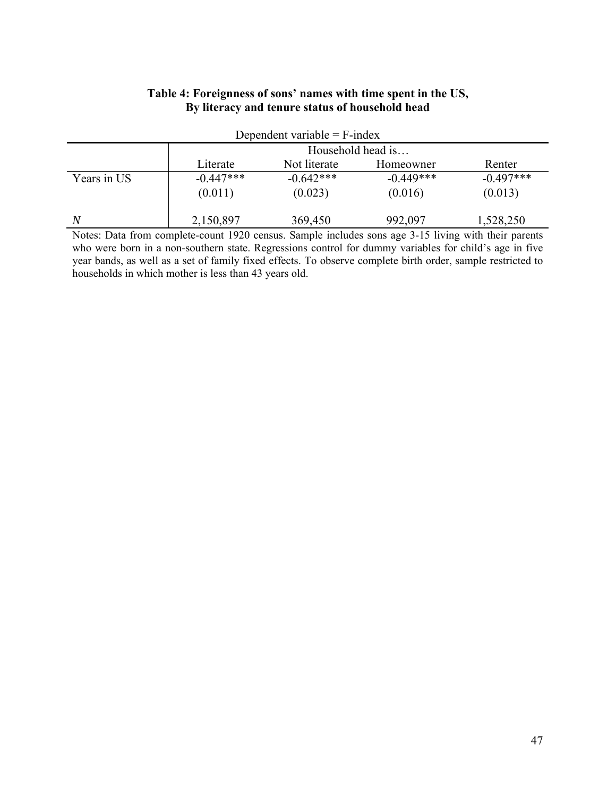| Dependent variable $=$ F-index |                   |              |             |             |  |  |  |  |  |  |  |  |
|--------------------------------|-------------------|--------------|-------------|-------------|--|--|--|--|--|--|--|--|
|                                | Household head is |              |             |             |  |  |  |  |  |  |  |  |
|                                | Literate          | Not literate | Homeowner   | Renter      |  |  |  |  |  |  |  |  |
| Years in US                    | $-0.447***$       | $-0.642***$  | $-0.449***$ | $-0.497***$ |  |  |  |  |  |  |  |  |
|                                | (0.011)           | (0.023)      | (0.016)     | (0.013)     |  |  |  |  |  |  |  |  |
| N                              | 2,150,897         | 369,450      | 992,097     | 1,528,250   |  |  |  |  |  |  |  |  |

## **Table 4: Foreignness of sons' names with time spent in the US, By literacy and tenure status of household head**

Notes: Data from complete-count 1920 census. Sample includes sons age 3-15 living with their parents who were born in a non-southern state. Regressions control for dummy variables for child's age in five year bands, as well as a set of family fixed effects. To observe complete birth order, sample restricted to households in which mother is less than 43 years old.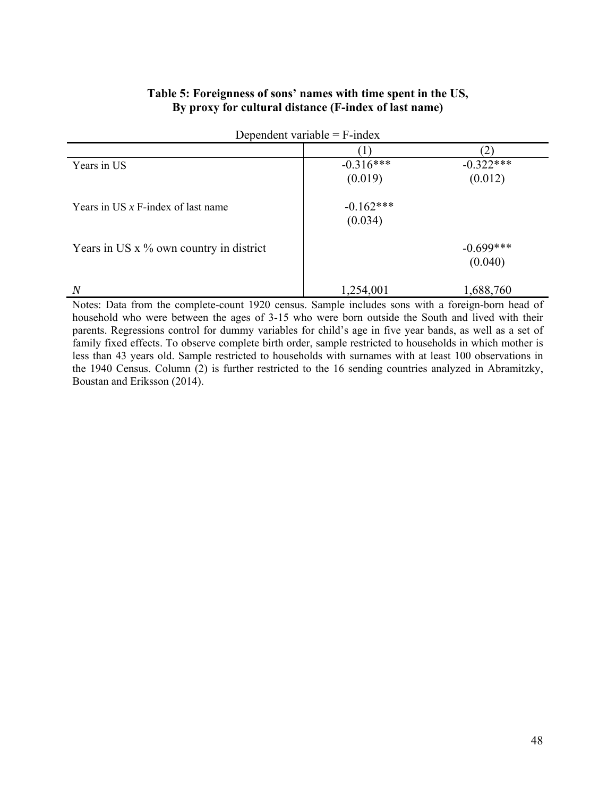### **Table 5: Foreignness of sons' names with time spent in the US, By proxy for cultural distance (F-index of last name)**

| Dependent variable $=$ F-index |  |
|--------------------------------|--|
|--------------------------------|--|

| Years in US                               | $-0.316***$ | $-0.322***$ |
|-------------------------------------------|-------------|-------------|
|                                           | (0.019)     | (0.012)     |
| Years in US $x$ F-index of last name      | $-0.162***$ |             |
|                                           | (0.034)     |             |
| Years in US $x$ % own country in district |             | $-0.699***$ |
|                                           |             | (0.040)     |
| $\overline{N}$                            | 1,254,001   | 1,688,760   |

Notes: Data from the complete-count 1920 census. Sample includes sons with a foreign-born head of household who were between the ages of 3-15 who were born outside the South and lived with their parents. Regressions control for dummy variables for child's age in five year bands, as well as a set of family fixed effects. To observe complete birth order, sample restricted to households in which mother is less than 43 years old. Sample restricted to households with surnames with at least 100 observations in the 1940 Census. Column (2) is further restricted to the 16 sending countries analyzed in Abramitzky, Boustan and Eriksson (2014).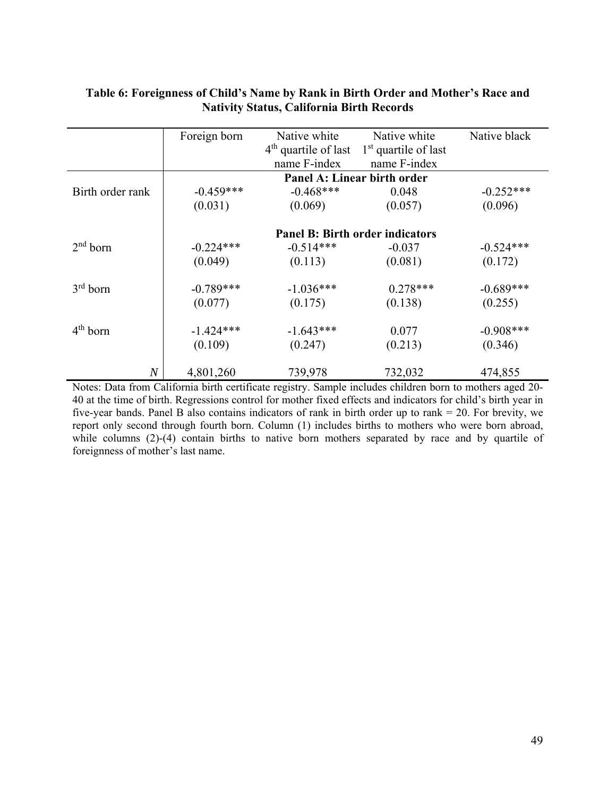|                  | Foreign born | Native white<br>$4th$ quartile of last<br>name F-index | Native white<br>$1st$ quartile of last<br>name F-index | Native black |
|------------------|--------------|--------------------------------------------------------|--------------------------------------------------------|--------------|
|                  |              |                                                        | Panel A: Linear birth order                            |              |
| Birth order rank | $-0.459***$  | $-0.468***$                                            | 0.048                                                  | $-0.252***$  |
|                  | (0.031)      | (0.069)                                                | (0.057)                                                | (0.096)      |
|                  |              |                                                        | <b>Panel B: Birth order indicators</b>                 |              |
| $2nd$ born       | $-0.224***$  | $-0.514***$                                            | $-0.037$                                               | $-0.524***$  |
|                  | (0.049)      | (0.113)                                                | (0.081)                                                | (0.172)      |
| $3rd$ born       | $-0.789***$  | $-1.036***$                                            | $0.278***$                                             | $-0.689***$  |
|                  | (0.077)      | (0.175)                                                | (0.138)                                                | (0.255)      |
| $4th$ born       | $-1.424***$  | $-1.643***$                                            | 0.077                                                  | $-0.908***$  |
|                  | (0.109)      | (0.247)                                                | (0.213)                                                | (0.346)      |
| $\,N$            | 4,801,260    | 739,978                                                | 732,032                                                | 474,855      |

# **Table 6: Foreignness of Child's Name by Rank in Birth Order and Mother's Race and Nativity Status, California Birth Records**

Notes: Data from California birth certificate registry. Sample includes children born to mothers aged 20- 40 at the time of birth. Regressions control for mother fixed effects and indicators for child's birth year in five-year bands. Panel B also contains indicators of rank in birth order up to rank = 20. For brevity, we report only second through fourth born. Column (1) includes births to mothers who were born abroad, while columns (2)-(4) contain births to native born mothers separated by race and by quartile of foreignness of mother's last name.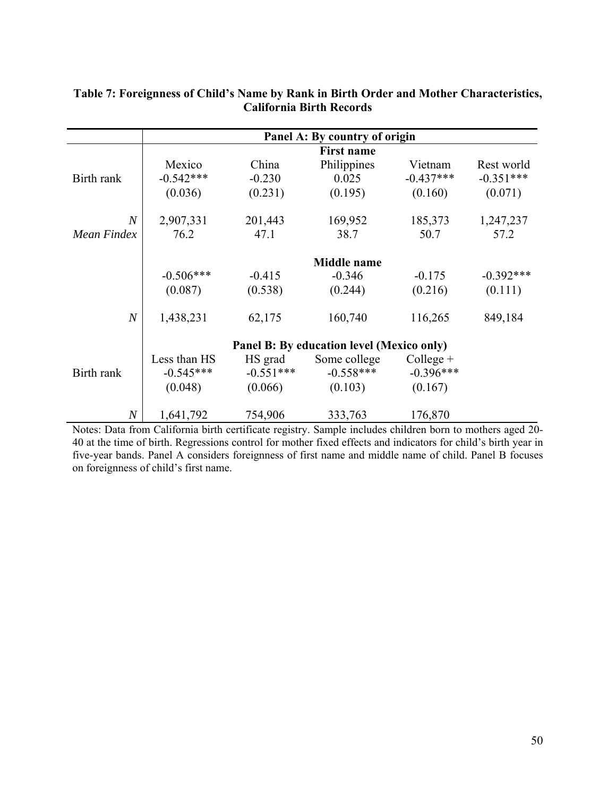|                  |              |             | Panel A: By country of origin             |             |             |
|------------------|--------------|-------------|-------------------------------------------|-------------|-------------|
|                  |              |             | <b>First name</b>                         |             |             |
|                  | Mexico       | China       | Philippines                               | Vietnam     | Rest world  |
| Birth rank       | $-0.542***$  | $-0.230$    | 0.025                                     | $-0.437***$ | $-0.351***$ |
|                  | (0.036)      | (0.231)     | (0.195)                                   | (0.160)     | (0.071)     |
| $\overline{N}$   | 2,907,331    | 201,443     | 169,952                                   | 185,373     | 1,247,237   |
| Mean Findex      | 76.2         | 47.1        | 38.7                                      | 50.7        | 57.2        |
|                  |              |             | <b>Middle</b> name                        |             |             |
|                  | $-0.506***$  | $-0.415$    | $-0.346$                                  | $-0.175$    | $-0.392***$ |
|                  | (0.087)      | (0.538)     | (0.244)                                   | (0.216)     | (0.111)     |
| $\boldsymbol{N}$ | 1,438,231    | 62,175      | 160,740                                   | 116,265     | 849,184     |
|                  |              |             | Panel B: By education level (Mexico only) |             |             |
|                  | Less than HS | HS grad     | Some college                              | $Collect +$ |             |
| Birth rank       | $-0.545***$  | $-0.551***$ | $-0.558***$                               | $-0.396***$ |             |
|                  | (0.048)      | (0.066)     | (0.103)                                   | (0.167)     |             |
| $\overline{N}$   | 1,641,792    | 754,906     | 333,763                                   | 176,870     |             |

# **Table 7: Foreignness of Child's Name by Rank in Birth Order and Mother Characteristics, California Birth Records**

Notes: Data from California birth certificate registry. Sample includes children born to mothers aged 20- 40 at the time of birth. Regressions control for mother fixed effects and indicators for child's birth year in five-year bands. Panel A considers foreignness of first name and middle name of child. Panel B focuses on foreignness of child's first name.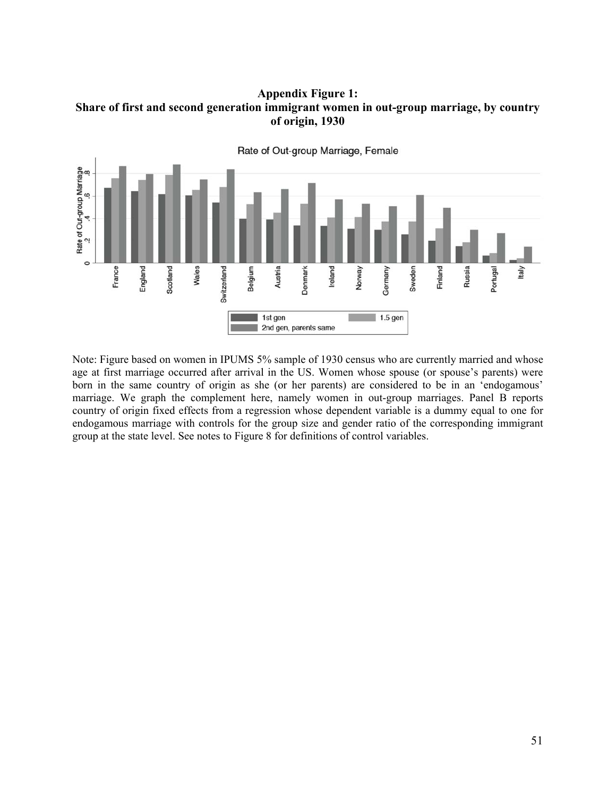**Appendix Figure 1: Share of first and second generation immigrant women in out-group marriage, by country of origin, 1930** 



Note: Figure based on women in IPUMS 5% sample of 1930 census who are currently married and whose age at first marriage occurred after arrival in the US. Women whose spouse (or spouse's parents) were born in the same country of origin as she (or her parents) are considered to be in an 'endogamous' marriage. We graph the complement here, namely women in out-group marriages. Panel B reports country of origin fixed effects from a regression whose dependent variable is a dummy equal to one for endogamous marriage with controls for the group size and gender ratio of the corresponding immigrant group at the state level. See notes to Figure 8 for definitions of control variables.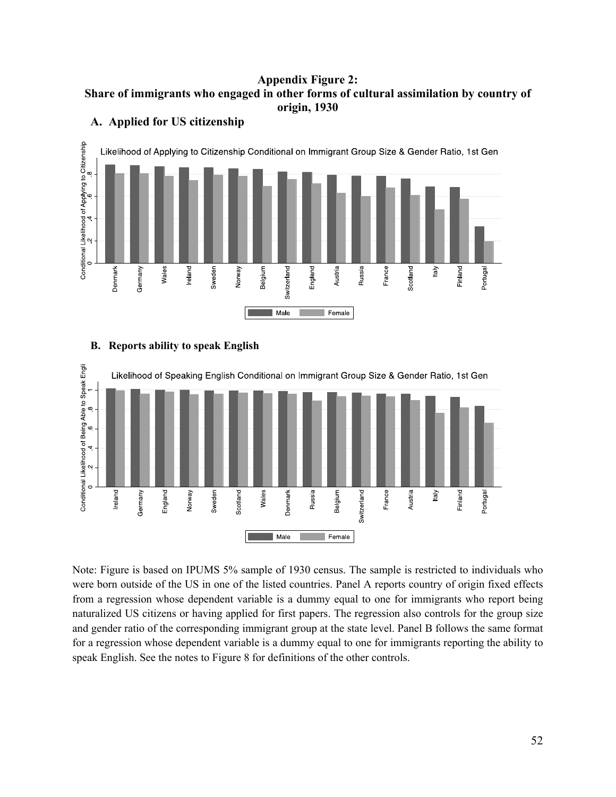### **Appendix Figure 2: Share of immigrants who engaged in other forms of cultural assimilation by country of origin, 1930**



### **A. Applied for US citizenship**

## **B. Reports ability to speak English**



Note: Figure is based on IPUMS 5% sample of 1930 census. The sample is restricted to individuals who were born outside of the US in one of the listed countries. Panel A reports country of origin fixed effects from a regression whose dependent variable is a dummy equal to one for immigrants who report being naturalized US citizens or having applied for first papers. The regression also controls for the group size and gender ratio of the corresponding immigrant group at the state level. Panel B follows the same format for a regression whose dependent variable is a dummy equal to one for immigrants reporting the ability to speak English. See the notes to Figure 8 for definitions of the other controls.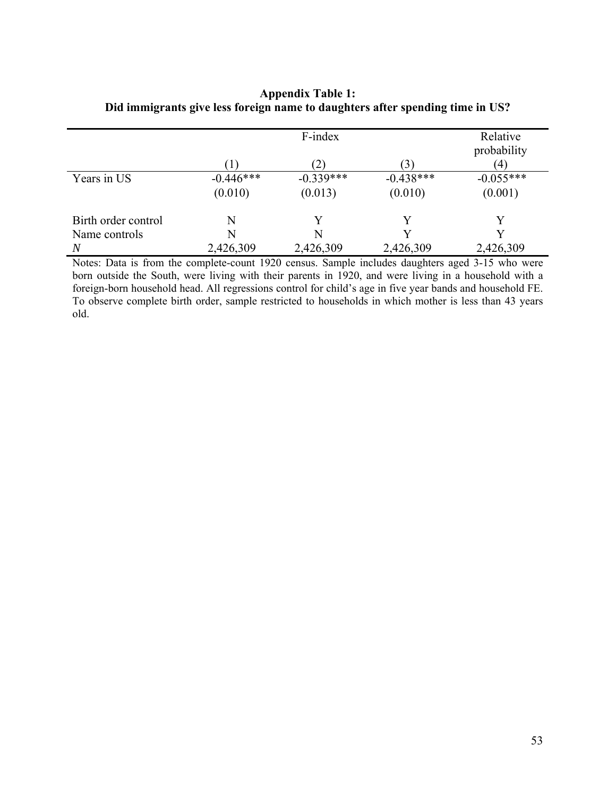|                     | F-index     |             |             | Relative<br>probability |
|---------------------|-------------|-------------|-------------|-------------------------|
|                     |             | (2)         | (3)         | $\left( 4\right)$       |
| Years in US         | $-0.446***$ | $-0.339***$ | $-0.438***$ | $-0.055***$             |
|                     | (0.010)     | (0.013)     | (0.010)     | (0.001)                 |
| Birth order control | N           | V           | Y           | V                       |
| Name controls       | N           | N           |             | V                       |
| $\overline{N}$      | 2,426,309   | 2,426,309   | 2,426,309   | 2,426,309               |

# **Appendix Table 1: Did immigrants give less foreign name to daughters after spending time in US?**

Notes: Data is from the complete-count 1920 census. Sample includes daughters aged 3-15 who were born outside the South, were living with their parents in 1920, and were living in a household with a foreign-born household head. All regressions control for child's age in five year bands and household FE. To observe complete birth order, sample restricted to households in which mother is less than 43 years old.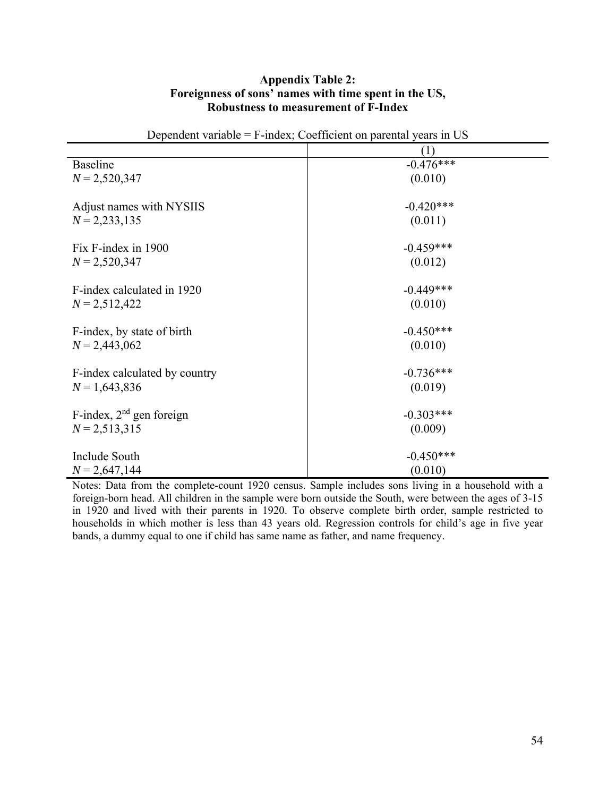### **Appendix Table 2: Foreignness of sons' names with time spent in the US, Robustness to measurement of F-Index**

| Dependent variable - I -mack, Coerneient on parental years in Ob- |             |  |
|-------------------------------------------------------------------|-------------|--|
|                                                                   | (1)         |  |
| <b>Baseline</b>                                                   | $-0.476***$ |  |
| $N = 2,520,347$                                                   | (0.010)     |  |
|                                                                   |             |  |
| Adjust names with NYSIIS                                          | $-0.420***$ |  |
| $N = 2,233,135$                                                   | (0.011)     |  |
|                                                                   |             |  |
| Fix F-index in 1900                                               | $-0.459***$ |  |
| $N = 2,520,347$                                                   | (0.012)     |  |
|                                                                   |             |  |
| F-index calculated in 1920                                        | $-0.449***$ |  |
| $N = 2,512,422$                                                   | (0.010)     |  |
|                                                                   |             |  |
| F-index, by state of birth                                        | $-0.450***$ |  |
| $N = 2,443,062$                                                   | (0.010)     |  |
|                                                                   |             |  |
| F-index calculated by country                                     | $-0.736***$ |  |
| $N = 1,643,836$                                                   | (0.019)     |  |
| F-index, $2nd$ gen foreign                                        | $-0.303***$ |  |
|                                                                   |             |  |
| $N = 2,513,315$                                                   | (0.009)     |  |
| Include South                                                     | $-0.450***$ |  |
| $N = 2,647,144$                                                   | (0.010)     |  |
|                                                                   |             |  |

Dependent variable = F-index; Coefficient on parental years in US

Notes: Data from the complete-count 1920 census. Sample includes sons living in a household with a foreign-born head. All children in the sample were born outside the South, were between the ages of 3-15 in 1920 and lived with their parents in 1920. To observe complete birth order, sample restricted to households in which mother is less than 43 years old. Regression controls for child's age in five year bands, a dummy equal to one if child has same name as father, and name frequency.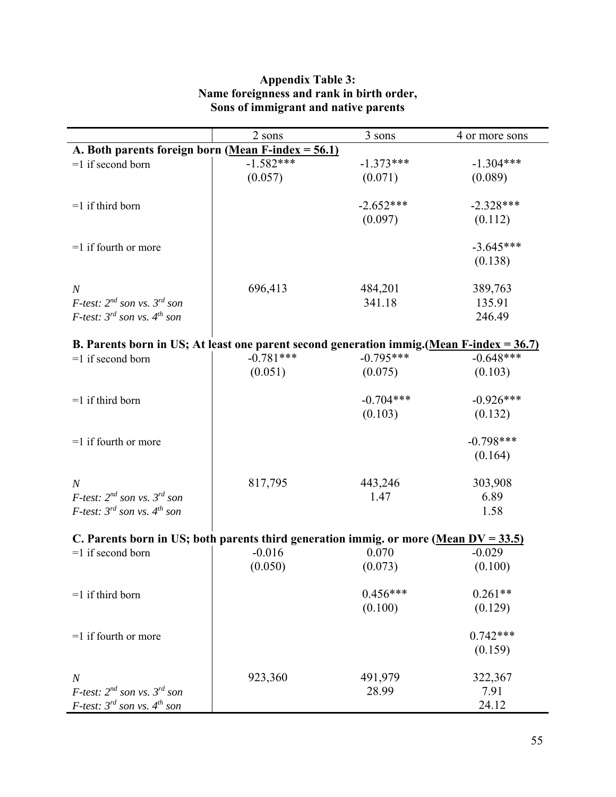|                                                                                                                                                                                                                                                       | 2 sons                         | 3 sons                               | 4 or more sons                                                           |  |  |  |
|-------------------------------------------------------------------------------------------------------------------------------------------------------------------------------------------------------------------------------------------------------|--------------------------------|--------------------------------------|--------------------------------------------------------------------------|--|--|--|
| A. Both parents foreign born (Mean F-index = $56.1$ )                                                                                                                                                                                                 |                                |                                      |                                                                          |  |  |  |
| $=1$ if second born                                                                                                                                                                                                                                   | $-1.582***$                    | $-1.373***$                          | $-1.304***$                                                              |  |  |  |
|                                                                                                                                                                                                                                                       | (0.057)                        | (0.071)                              | (0.089)                                                                  |  |  |  |
|                                                                                                                                                                                                                                                       |                                |                                      |                                                                          |  |  |  |
| $=1$ if third born                                                                                                                                                                                                                                    |                                | $-2.652***$                          | $-2.328***$                                                              |  |  |  |
|                                                                                                                                                                                                                                                       |                                | (0.097)                              | (0.112)                                                                  |  |  |  |
| $=1$ if fourth or more                                                                                                                                                                                                                                |                                |                                      | $-3.645***$                                                              |  |  |  |
|                                                                                                                                                                                                                                                       |                                |                                      | (0.138)                                                                  |  |  |  |
|                                                                                                                                                                                                                                                       |                                |                                      |                                                                          |  |  |  |
| $\boldsymbol{N}$                                                                                                                                                                                                                                      | 696,413                        | 484,201                              | 389,763                                                                  |  |  |  |
| <i>F-test:</i> $2^{nd}$ son vs. $3^{rd}$ son                                                                                                                                                                                                          |                                | 341.18                               | 135.91                                                                   |  |  |  |
| <i>F-test:</i> $3^{rd}$ son vs. $4^{th}$ son                                                                                                                                                                                                          |                                |                                      | 246.49                                                                   |  |  |  |
|                                                                                                                                                                                                                                                       |                                |                                      |                                                                          |  |  |  |
| B. Parents born in US; At least one parent second generation immig. (Mean F-index = $36.7$ )                                                                                                                                                          |                                |                                      |                                                                          |  |  |  |
| $=1$ if second born                                                                                                                                                                                                                                   | $-0.781***$                    | $-0.795***$                          | $-0.648***$                                                              |  |  |  |
|                                                                                                                                                                                                                                                       | (0.051)                        | (0.075)                              | (0.103)                                                                  |  |  |  |
| $=1$ if third born                                                                                                                                                                                                                                    |                                | $-0.704***$                          | $-0.926***$                                                              |  |  |  |
|                                                                                                                                                                                                                                                       |                                | (0.103)                              | (0.132)                                                                  |  |  |  |
|                                                                                                                                                                                                                                                       |                                |                                      |                                                                          |  |  |  |
| $=1$ if fourth or more                                                                                                                                                                                                                                |                                |                                      | $-0.798***$                                                              |  |  |  |
|                                                                                                                                                                                                                                                       |                                |                                      | (0.164)                                                                  |  |  |  |
|                                                                                                                                                                                                                                                       |                                |                                      |                                                                          |  |  |  |
| $\boldsymbol{N}$                                                                                                                                                                                                                                      | 817,795                        | 443,246                              | 303,908                                                                  |  |  |  |
| <i>F-test:</i> $2^{nd}$ son vs. $3^{rd}$ son                                                                                                                                                                                                          |                                | 1.47                                 | 6.89                                                                     |  |  |  |
| <i>F-test:</i> $3^{rd}$ son vs. $4^{th}$ son                                                                                                                                                                                                          |                                |                                      | 1.58                                                                     |  |  |  |
|                                                                                                                                                                                                                                                       |                                |                                      |                                                                          |  |  |  |
|                                                                                                                                                                                                                                                       |                                |                                      |                                                                          |  |  |  |
|                                                                                                                                                                                                                                                       |                                |                                      |                                                                          |  |  |  |
|                                                                                                                                                                                                                                                       |                                |                                      |                                                                          |  |  |  |
| $=1$ if third born                                                                                                                                                                                                                                    |                                | $0.456***$                           | $0.261**$                                                                |  |  |  |
|                                                                                                                                                                                                                                                       |                                | (0.100)                              | (0.129)                                                                  |  |  |  |
|                                                                                                                                                                                                                                                       |                                |                                      |                                                                          |  |  |  |
|                                                                                                                                                                                                                                                       |                                |                                      |                                                                          |  |  |  |
|                                                                                                                                                                                                                                                       |                                |                                      |                                                                          |  |  |  |
|                                                                                                                                                                                                                                                       |                                |                                      |                                                                          |  |  |  |
|                                                                                                                                                                                                                                                       |                                |                                      |                                                                          |  |  |  |
|                                                                                                                                                                                                                                                       |                                |                                      |                                                                          |  |  |  |
| C. Parents born in US; both parents third generation immig. or more (Mean $DV = 33.5$ )<br>$=1$ if second born<br>$=1$ if fourth or more<br>$\boldsymbol{N}$<br><i>F-test:</i> $2^{nd}$ son vs. $3^{rd}$ son<br>F-test: $3^{rd}$ son vs. $4^{th}$ son | $-0.016$<br>(0.050)<br>923,360 | 0.070<br>(0.073)<br>491,979<br>28.99 | $-0.029$<br>(0.100)<br>$0.742***$<br>(0.159)<br>322,367<br>7.91<br>24.12 |  |  |  |

# **Appendix Table 3: Name foreignness and rank in birth order, Sons of immigrant and native parents**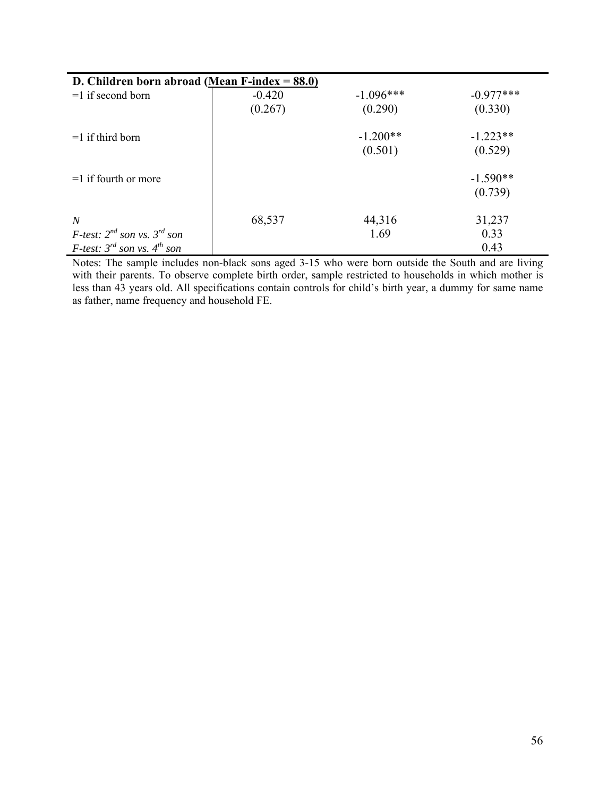| D. Children born abroad (Mean F-index $= 88.0$ ) |          |             |             |  |  |  |
|--------------------------------------------------|----------|-------------|-------------|--|--|--|
| $=1$ if second born                              | $-0.420$ | $-1.096***$ | $-0.977***$ |  |  |  |
|                                                  | (0.267)  | (0.290)     | (0.330)     |  |  |  |
| $=1$ if third born                               |          | $-1.200**$  | $-1.223**$  |  |  |  |
|                                                  |          | (0.501)     | (0.529)     |  |  |  |
| $=1$ if fourth or more                           |          |             | $-1.590**$  |  |  |  |
|                                                  |          |             | (0.739)     |  |  |  |
| $\boldsymbol{N}$                                 | 68,537   | 44,316      | 31,237      |  |  |  |
| <i>F-test:</i> $2^{nd}$ son vs. $3^{rd}$ son     |          | 1.69        | 0.33        |  |  |  |
| <i>F-test:</i> $3^{rd}$ son vs. $4^{th}$ son     |          |             | 0.43        |  |  |  |

Notes: The sample includes non-black sons aged 3-15 who were born outside the South and are living with their parents. To observe complete birth order, sample restricted to households in which mother is less than 43 years old. All specifications contain controls for child's birth year, a dummy for same name as father, name frequency and household FE.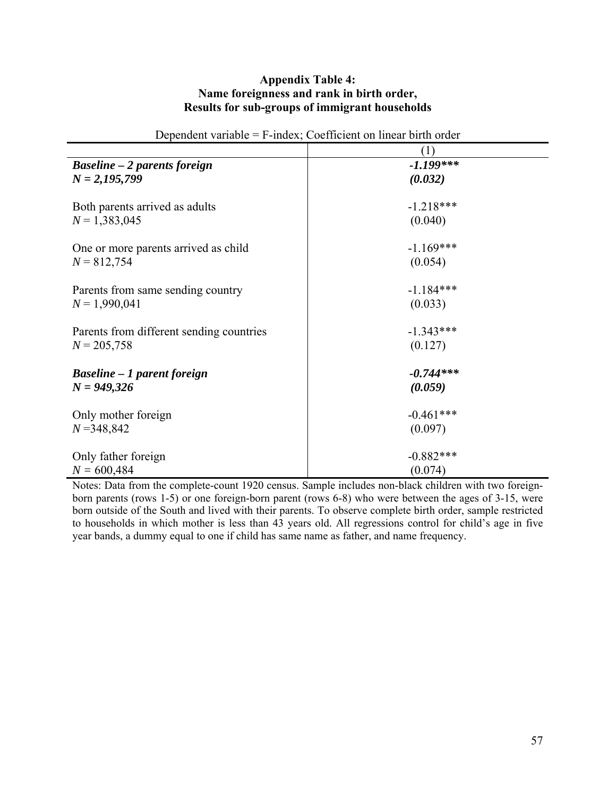### **Appendix Table 4: Name foreignness and rank in birth order, Results for sub-groups of immigrant households**

| Dependent variable                       | 1 mays, coomercin on miear offer order |
|------------------------------------------|----------------------------------------|
|                                          | (1)                                    |
| <b>Baseline – 2 parents foreign</b>      | $-1.199***$                            |
| $N = 2,195,799$                          | (0.032)                                |
|                                          |                                        |
| Both parents arrived as adults           | $-1.218***$                            |
| $N = 1,383,045$                          | (0.040)                                |
|                                          |                                        |
| One or more parents arrived as child     | $-1.169***$                            |
| $N = 812,754$                            | (0.054)                                |
|                                          |                                        |
| Parents from same sending country        | $-1.184***$                            |
| $N = 1,990,041$                          | (0.033)                                |
| Parents from different sending countries | $-1.343***$                            |
| $N = 205,758$                            |                                        |
|                                          | (0.127)                                |
| <b>Baseline – 1 parent foreign</b>       | $-0.744***$                            |
| $N = 949,326$                            | (0.059)                                |
|                                          |                                        |
| Only mother foreign                      | $-0.461***$                            |
| $N = 348,842$                            | (0.097)                                |
|                                          |                                        |
| Only father foreign                      | $-0.882***$                            |
| $N = 600,484$                            | (0.074)                                |

Dependent variable  $=$  F-index; Coefficient on linear birth order

Notes: Data from the complete-count 1920 census. Sample includes non-black children with two foreignborn parents (rows 1-5) or one foreign-born parent (rows 6-8) who were between the ages of 3-15, were born outside of the South and lived with their parents. To observe complete birth order, sample restricted to households in which mother is less than  $43$  years old. All regressions control for child's age in five year bands, a dummy equal to one if child has same name as father, and name frequency.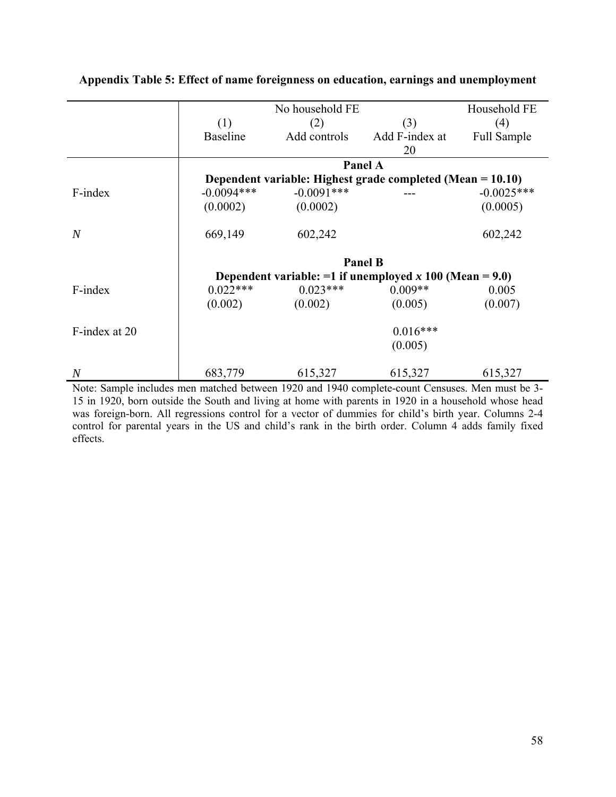|                  |                 | No household FE |                                                              | Household FE |
|------------------|-----------------|-----------------|--------------------------------------------------------------|--------------|
|                  | (1)             | (2)             | (3)                                                          | (4)          |
|                  | <b>Baseline</b> | Add controls    | Add F-index at                                               | Full Sample  |
|                  |                 |                 | 20                                                           |              |
|                  |                 |                 | Panel A                                                      |              |
|                  |                 |                 | Dependent variable: Highest grade completed (Mean = 10.10)   |              |
| F-index          | $-0.0094***$    | $-0.0091$ ***   |                                                              | $-0.0025***$ |
|                  | (0.0002)        | (0.0002)        |                                                              | (0.0005)     |
| $\boldsymbol{N}$ | 669,149         | 602,242         |                                                              | 602,242      |
|                  | <b>Panel B</b>  |                 |                                                              |              |
|                  |                 |                 | Dependent variable: $=1$ if unemployed x 100 (Mean $= 9.0$ ) |              |
| F-index          | $0.022***$      | $0.023***$      | $0.009**$                                                    | 0.005        |
|                  | (0.002)         | (0.002)         | (0.005)                                                      | (0.007)      |
| F-index at 20    |                 |                 | $0.016***$                                                   |              |
|                  |                 |                 | (0.005)                                                      |              |
| $\overline{N}$   | 683,779         | 615,327         | 615,327                                                      | 615,327      |

# **Appendix Table 5: Effect of name foreignness on education, earnings and unemployment**

Note: Sample includes men matched between 1920 and 1940 complete-count Censuses. Men must be 3- 15 in 1920, born outside the South and living at home with parents in 1920 in a household whose head was foreign-born. All regressions control for a vector of dummies for child's birth year. Columns 2-4 control for parental years in the US and child's rank in the birth order. Column 4 adds family fixed effects.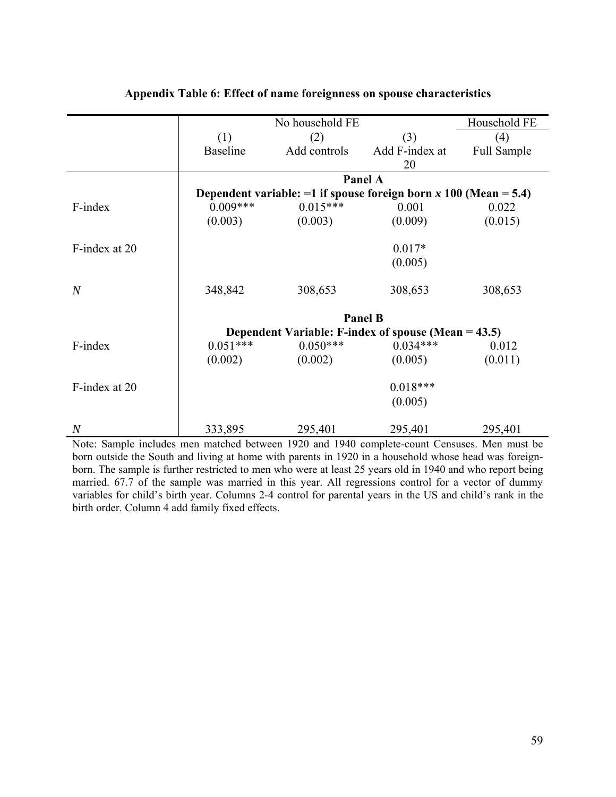|                | No household FE |              |                                                                       | Household FE |
|----------------|-----------------|--------------|-----------------------------------------------------------------------|--------------|
|                | (1)             | (2)          | (3)                                                                   | (4)          |
|                | <b>Baseline</b> | Add controls | Add F-index at                                                        | Full Sample  |
|                |                 |              | 20                                                                    |              |
|                |                 |              | Panel A                                                               |              |
|                |                 |              | Dependent variable: $=1$ if spouse foreign born x 100 (Mean $= 5.4$ ) |              |
| F-index        | $0.009***$      | $0.015***$   | 0.001                                                                 | 0.022        |
|                | (0.003)         | (0.003)      | (0.009)                                                               | (0.015)      |
| F-index at 20  |                 |              | $0.017*$                                                              |              |
|                |                 |              | (0.005)                                                               |              |
| $\overline{N}$ | 348,842         | 308,653      | 308,653                                                               | 308,653      |
|                | <b>Panel B</b>  |              |                                                                       |              |
|                |                 |              | Dependent Variable: F-index of spouse (Mean $=$ 43.5)                 |              |
| F-index        | $0.051***$      | $0.050***$   | $0.034***$                                                            | 0.012        |
|                | (0.002)         | (0.002)      | (0.005)                                                               | (0.011)      |
| F-index at 20  |                 |              | $0.018***$                                                            |              |
|                |                 |              | (0.005)                                                               |              |
| $\overline{N}$ | 333,895         | 295,401      | 295,401                                                               | 295,401      |

# **Appendix Table 6: Effect of name foreignness on spouse characteristics**

Note: Sample includes men matched between 1920 and 1940 complete-count Censuses. Men must be born outside the South and living at home with parents in 1920 in a household whose head was foreignborn. The sample is further restricted to men who were at least 25 years old in 1940 and who report being married. 67.7 of the sample was married in this year. All regressions control for a vector of dummy variables for child's birth year. Columns 2-4 control for parental years in the US and child's rank in the birth order. Column 4 add family fixed effects.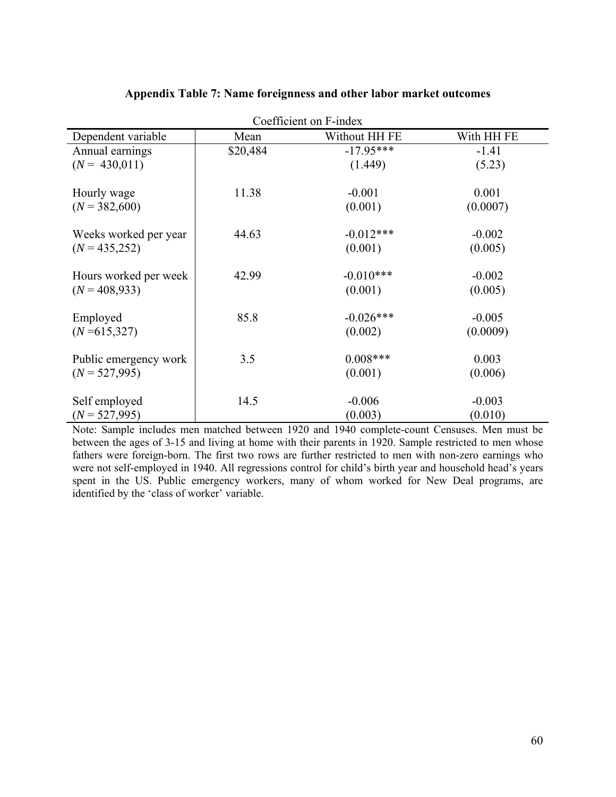| Coefficient on F-index |          |               |            |  |
|------------------------|----------|---------------|------------|--|
| Dependent variable     | Mean     | Without HH FE | With HH FE |  |
| Annual earnings        | \$20,484 | $-17.95***$   | $-1.41$    |  |
| $(N = 430,011)$        |          | (1.449)       | (5.23)     |  |
| Hourly wage            | 11.38    | $-0.001$      | 0.001      |  |
| $(N = 382,600)$        |          | (0.001)       | (0.0007)   |  |
| Weeks worked per year  | 44.63    | $-0.012***$   | $-0.002$   |  |
| $(N = 435,252)$        |          | (0.001)       | (0.005)    |  |
| Hours worked per week  | 42.99    | $-0.010***$   | $-0.002$   |  |
| $(N = 408,933)$        |          | (0.001)       | (0.005)    |  |
| Employed               | 85.8     | $-0.026***$   | $-0.005$   |  |
| $(N=615,327)$          |          | (0.002)       | (0.0009)   |  |
| Public emergency work  | 3.5      | $0.008***$    | 0.003      |  |
| $(N = 527,995)$        |          | (0.001)       | (0.006)    |  |
| Self employed          | 14.5     | $-0.006$      | $-0.003$   |  |
| $(N = 527,995)$        |          | (0.003)       | (0.010)    |  |

### **Appendix Table 7: Name foreignness and other labor market outcomes**

Note: Sample includes men matched between 1920 and 1940 complete-count Censuses. Men must be between the ages of 3-15 and living at home with their parents in 1920. Sample restricted to men whose fathers were foreign-born. The first two rows are further restricted to men with non-zero earnings who were not self-employed in 1940. All regressions control for child's birth year and household head's years spent in the US. Public emergency workers, many of whom worked for New Deal programs, are identified by the 'class of worker' variable.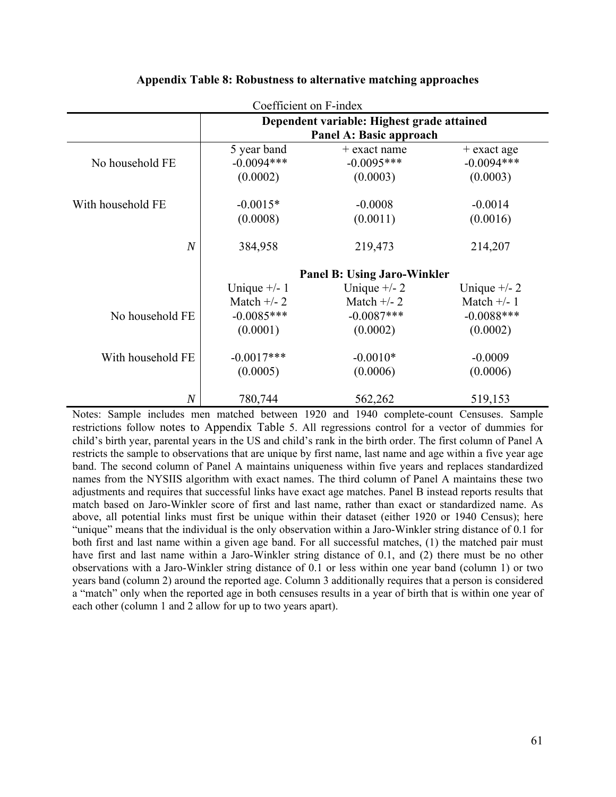| Coefficient on F-index                          |                                                                       |                                                                       |                                           |  |  |
|-------------------------------------------------|-----------------------------------------------------------------------|-----------------------------------------------------------------------|-------------------------------------------|--|--|
|                                                 | Dependent variable: Highest grade attained<br>Panel A: Basic approach |                                                                       |                                           |  |  |
| No household FE                                 | 5 year band<br>$-0.0094***$<br>(0.0002)                               | $+$ exact name<br>$-0.0095***$<br>(0.0003)                            | $+$ exact age<br>$-0.0094***$<br>(0.0003) |  |  |
| With household FE                               | $-0.0015*$<br>(0.0008)                                                | $-0.0008$<br>(0.0011)                                                 | $-0.0014$<br>(0.0016)                     |  |  |
| $\overline{N}$                                  | 384,958                                                               | 219,473                                                               | 214,207                                   |  |  |
|                                                 | Unique $+/- 1$<br>Match $+/- 2$                                       | <b>Panel B: Using Jaro-Winkler</b><br>Unique $+/- 2$<br>Match $+/- 1$ |                                           |  |  |
| No household FE                                 | $-0.0085***$<br>(0.0001)                                              | $-0.0087***$<br>(0.0002)                                              | $-0.0088$ ***<br>(0.0002)                 |  |  |
| With household FE                               | $-0.0017***$<br>(0.0005)                                              | $-0.0010*$<br>(0.0006)                                                | $-0.0009$<br>(0.0006)                     |  |  |
| 519,153<br>$\overline{N}$<br>780,744<br>562,262 |                                                                       |                                                                       |                                           |  |  |

### **Appendix Table 8: Robustness to alternative matching approaches**

Notes: Sample includes men matched between 1920 and 1940 complete-count Censuses. Sample restrictions follow notes to Appendix Table 5. All regressions control for a vector of dummies for child's birth year, parental years in the US and child's rank in the birth order. The first column of Panel A restricts the sample to observations that are unique by first name, last name and age within a five year age band. The second column of Panel A maintains uniqueness within five years and replaces standardized names from the NYSIIS algorithm with exact names. The third column of Panel A maintains these two adjustments and requires that successful links have exact age matches. Panel B instead reports results that match based on Jaro-Winkler score of first and last name, rather than exact or standardized name. As above, all potential links must first be unique within their dataset (either 1920 or 1940 Census); here "unique" means that the individual is the only observation within a Jaro-Winkler string distance of 0.1 for both first and last name within a given age band. For all successful matches, (1) the matched pair must have first and last name within a Jaro-Winkler string distance of 0.1, and (2) there must be no other observations with a Jaro-Winkler string distance of 0.1 or less within one year band (column 1) or two years band (column 2) around the reported age. Column 3 additionally requires that a person is considered a "match" only when the reported age in both censuses results in a year of birth that is within one year of each other (column 1 and 2 allow for up to two years apart).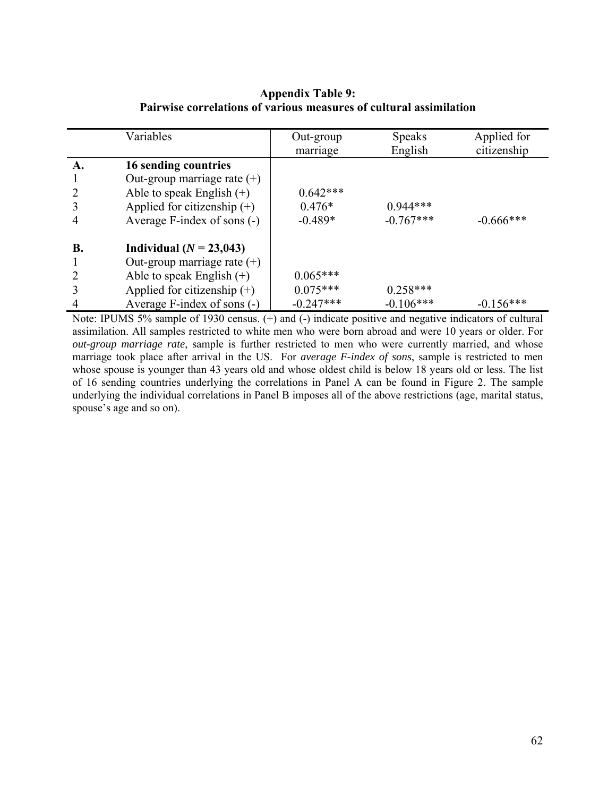# **Appendix Table 9: Pairwise correlations of various measures of cultural assimilation**

|                | Variables                     | Out-group<br>marriage | <b>Speaks</b><br>English | Applied for<br>citizenship |
|----------------|-------------------------------|-----------------------|--------------------------|----------------------------|
| A.             | 16 sending countries          |                       |                          |                            |
|                | Out-group marriage rate $(+)$ |                       |                          |                            |
| 2              | Able to speak English $(+)$   | $0.642***$            |                          |                            |
| 3              | Applied for citizenship $(+)$ | $0.476*$              | $0.944***$               |                            |
| $\overline{4}$ | Average F-index of sons (-)   | $-0.489*$             | $-0.767***$              | $-0.666***$                |
| <b>B.</b>      | Individual $(N = 23,043)$     |                       |                          |                            |
|                | Out-group marriage rate $(+)$ |                       |                          |                            |
| $\overline{2}$ | Able to speak English $(+)$   | $0.065***$            |                          |                            |
| 3              | Applied for citizenship $(+)$ | $0.075***$            | $0.258***$               |                            |
| $\overline{4}$ | Average F-index of sons (-)   | $-0.247***$           | $-0.106***$              | $-0.156***$                |

Note: IPUMS 5% sample of 1930 census. (+) and (-) indicate positive and negative indicators of cultural assimilation. All samples restricted to white men who were born abroad and were 10 years or older. For *out-group marriage rate*, sample is further restricted to men who were currently married, and whose marriage took place after arrival in the US. For *average F-index of sons*, sample is restricted to men whose spouse is younger than 43 years old and whose oldest child is below 18 years old or less. The list of 16 sending countries underlying the correlations in Panel A can be found in Figure 2. The sample underlying the individual correlations in Panel B imposes all of the above restrictions (age, marital status, spouse's age and so on).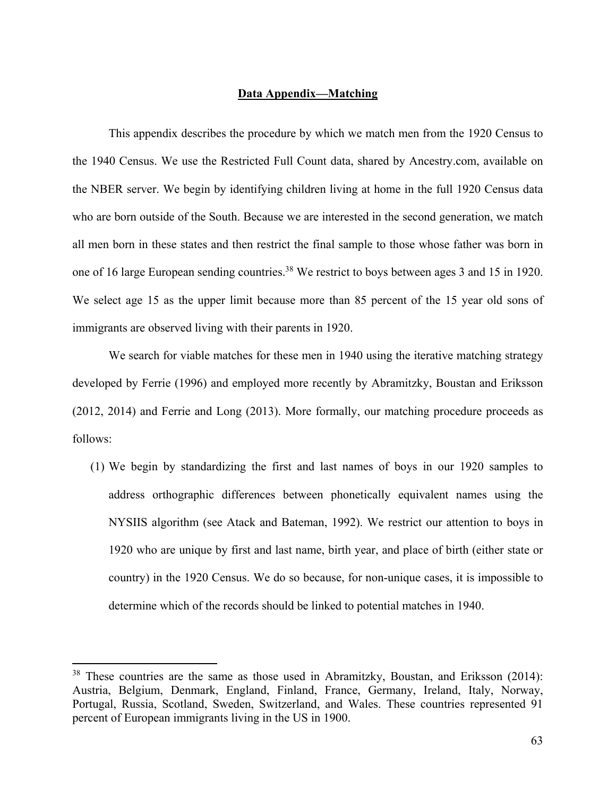### **Data Appendix—Matching**

This appendix describes the procedure by which we match men from the 1920 Census to the 1940 Census. We use the Restricted Full Count data, shared by Ancestry.com, available on the NBER server. We begin by identifying children living at home in the full 1920 Census data who are born outside of the South. Because we are interested in the second generation, we match all men born in these states and then restrict the final sample to those whose father was born in one of 16 large European sending countries.<sup>38</sup> We restrict to boys between ages 3 and 15 in 1920. We select age 15 as the upper limit because more than 85 percent of the 15 year old sons of immigrants are observed living with their parents in 1920.

We search for viable matches for these men in 1940 using the iterative matching strategy developed by Ferrie (1996) and employed more recently by Abramitzky, Boustan and Eriksson (2012, 2014) and Ferrie and Long (2013). More formally, our matching procedure proceeds as follows:

(1) We begin by standardizing the first and last names of boys in our 1920 samples to address orthographic differences between phonetically equivalent names using the NYSIIS algorithm (see Atack and Bateman, 1992). We restrict our attention to boys in 1920 who are unique by first and last name, birth year, and place of birth (either state or country) in the 1920 Census. We do so because, for non-unique cases, it is impossible to determine which of the records should be linked to potential matches in 1940.

<sup>&</sup>lt;sup>38</sup> These countries are the same as those used in Abramitzky, Boustan, and Eriksson (2014): Austria, Belgium, Denmark, England, Finland, France, Germany, Ireland, Italy, Norway, Portugal, Russia, Scotland, Sweden, Switzerland, and Wales. These countries represented 91 percent of European immigrants living in the US in 1900.